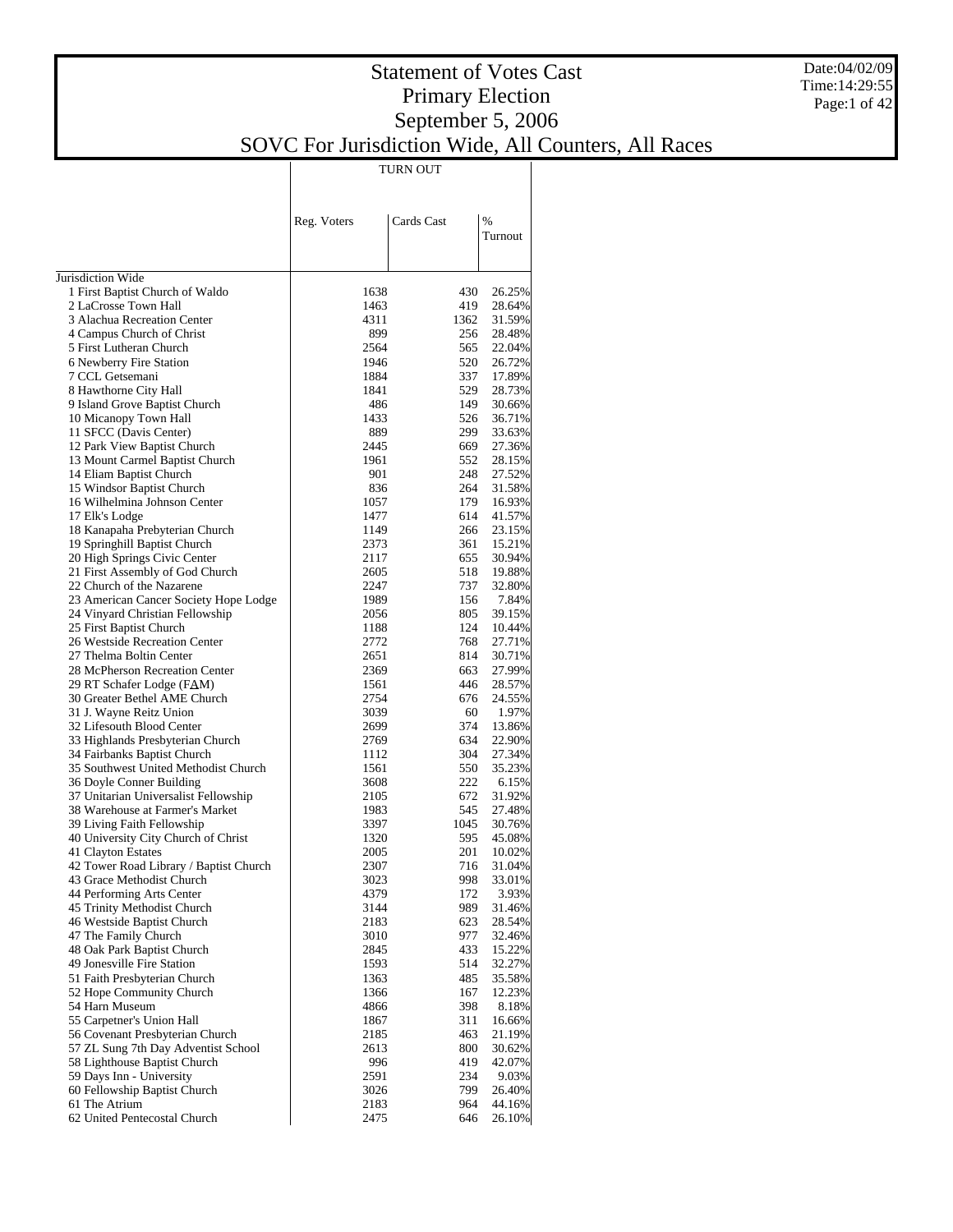#### Date:04/02/09 Time:14:29:55 Page:1 of 42

#### Statement of Votes Cast Primary Election September 5, 2006 SOVC For Jurisdiction Wide, All Counters, All Races

TURN OUT

|                                                              | Reg. Voters  | Cards Cast | %                |
|--------------------------------------------------------------|--------------|------------|------------------|
|                                                              |              |            | Turnout          |
|                                                              |              |            |                  |
| Jurisdiction Wide                                            |              |            |                  |
| 1 First Baptist Church of Waldo                              | 1638         | 430        | 26.25%           |
| 2 LaCrosse Town Hall                                         | 1463         | 419        | 28.64%           |
| 3 Alachua Recreation Center                                  | 4311         | 1362       | 31.59%           |
| 4 Campus Church of Christ                                    | 899          | 256        | 28.48%           |
| 5 First Lutheran Church                                      | 2564         | 565        | 22.04%           |
| 6 Newberry Fire Station                                      | 1946         | 520        | 26.72%           |
| 7 CCL Getsemani                                              | 1884         | 337        | 17.89%           |
| 8 Hawthorne City Hall                                        | 1841         | 529        | 28.73%           |
| 9 Island Grove Baptist Church                                | 486          | 149        | 30.66%           |
| 10 Micanopy Town Hall                                        | 1433         | 526        | 36.71%           |
| 11 SFCC (Davis Center)                                       | 889          | 299        | 33.63%           |
| 12 Park View Baptist Church                                  | 2445         | 669        | 27.36%           |
| 13 Mount Carmel Baptist Church                               | 1961         | 552        | 28.15%           |
| 14 Eliam Baptist Church                                      | 901          | 248        | 27.52%           |
| 15 Windsor Baptist Church                                    | 836          | 264        | 31.58%           |
| 16 Wilhelmina Johnson Center                                 | 1057         | 179        | 16.93%           |
| 17 Elk's Lodge                                               | 1477         | 614        | 41.57%           |
| 18 Kanapaha Prebyterian Church                               | 1149         | 266        | 23.15%           |
| 19 Springhill Baptist Church<br>20 High Springs Civic Center | 2373         | 361        | 15.21%           |
| 21 First Assembly of God Church                              | 2117<br>2605 | 655<br>518 | 30.94%           |
| 22 Church of the Nazarene                                    | 2247         | 737        | 19.88%<br>32.80% |
| 23 American Cancer Society Hope Lodge                        | 1989         | 156        | 7.84%            |
| 24 Vinyard Christian Fellowship                              | 2056         | 805        | 39.15%           |
| 25 First Baptist Church                                      | 1188         | 124        | 10.44%           |
| 26 Westside Recreation Center                                | 2772         | 768        | 27.71%           |
| 27 Thelma Boltin Center                                      | 2651         | 814        | 30.71%           |
| 28 McPherson Recreation Center                               | 2369         | 663        | 27.99%           |
| 29 RT Schafer Lodge (FAM)                                    | 1561         | 446        | 28.57%           |
| 30 Greater Bethel AME Church                                 | 2754         | 676        | 24.55%           |
| 31 J. Wayne Reitz Union                                      | 3039         | 60         | 1.97%            |
| 32 Lifesouth Blood Center                                    | 2699         | 374        | 13.86%           |
| 33 Highlands Presbyterian Church                             | 2769         | 634        | 22.90%           |
| 34 Fairbanks Baptist Church                                  | 1112         | 304        | 27.34%           |
| 35 Southwest United Methodist Church                         | 1561         | 550        | 35.23%           |
| 36 Doyle Conner Building                                     | 3608         | 222        | 6.15%            |
| 37 Unitarian Universalist Fellowship                         | 2105         | 672        | 31.92%           |
| 38 Warehouse at Farmer's Market                              | 1983         | 545        | 27.48%           |
| 39 Living Faith Fellowship                                   | 3397         | 1045       | 30.76%           |
| 40 University City Church of Christ                          | 1320         | 595        | 45.08%           |
| 41 Clayton Estates                                           | 2005         | 201        | 10.02%           |
| 42 Tower Road Library / Baptist Church                       | 2307         | 716        | 31.04%           |
| 43 Grace Methodist Church                                    | 3023         | 998        | 33.01%           |
| 44 Performing Arts Center                                    | 4379         | 172        | 3.93%            |
| 45 Trinity Methodist Church                                  | 3144         | 989        | 31.46%           |
| 46 Westside Baptist Church                                   | 2183         | 623        | 28.54%           |
| 47 The Family Church                                         | 3010         | 977        | 32.46%           |
| 48 Oak Park Baptist Church                                   | 2845         | 433        | 15.22%           |
| 49 Jonesville Fire Station                                   | 1593         | 514        | 32.27%           |
| 51 Faith Presbyterian Church<br>52 Hope Community Church     | 1363         | 485<br>167 | 35.58%<br>12.23% |
| 54 Harn Museum                                               | 1366<br>4866 | 398        | 8.18%            |
| 55 Carpetner's Union Hall                                    | 1867         | 311        | 16.66%           |
| 56 Covenant Presbyterian Church                              | 2185         | 463        | 21.19%           |
| 57 ZL Sung 7th Day Adventist School                          | 2613         | 800        | 30.62%           |
| 58 Lighthouse Baptist Church                                 | 996          | 419        | 42.07%           |
| 59 Days Inn - University                                     | 2591         | 234        | 9.03%            |
| 60 Fellowship Baptist Church                                 | 3026         | 799        | 26.40%           |
| 61 The Atrium                                                | 2183         | 964        | 44.16%           |
| 62 United Pentecostal Church                                 | 2475         | 646        | 26.10%           |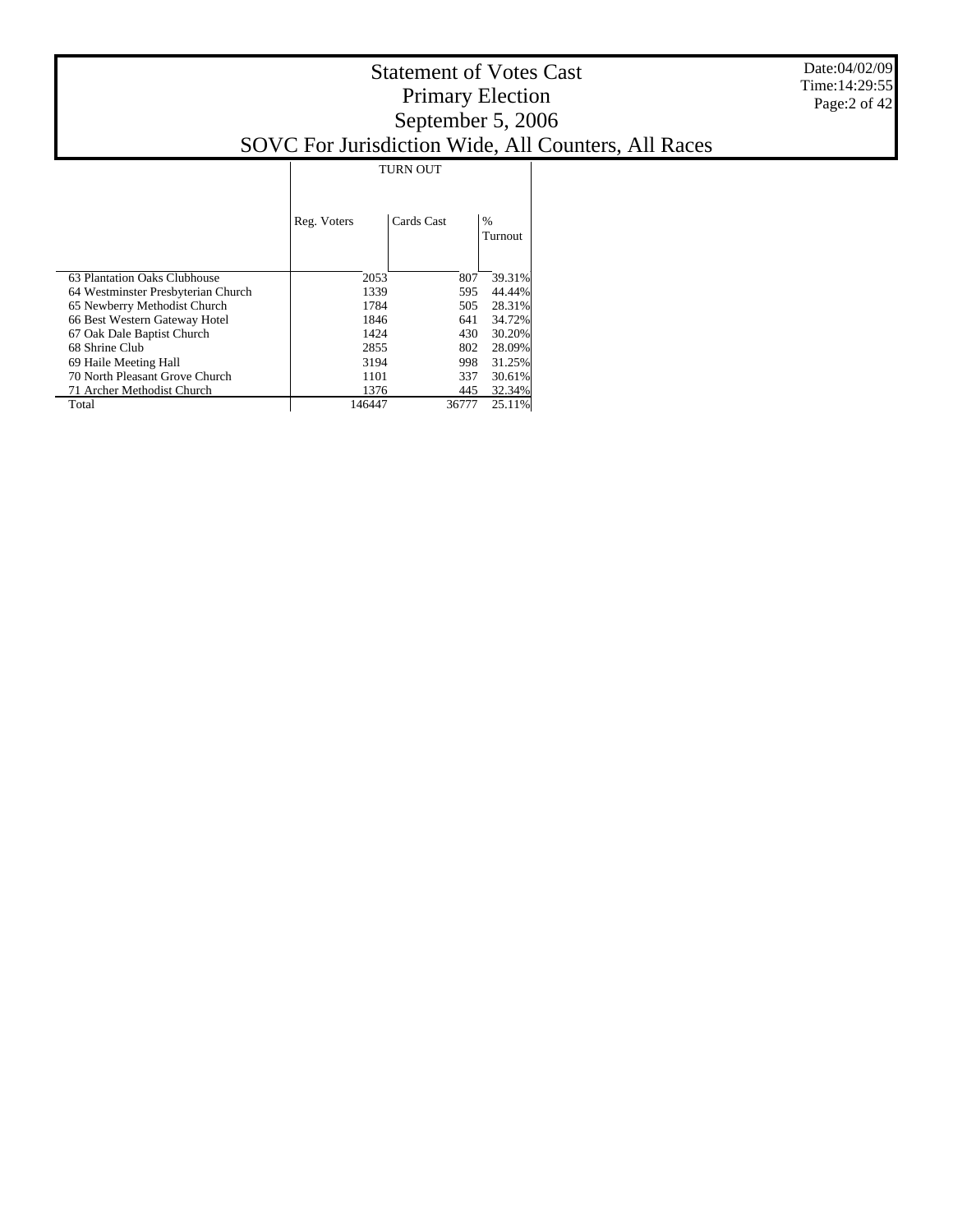|                                    | <b>TURN OUT</b> |            |                          |  |  |  |
|------------------------------------|-----------------|------------|--------------------------|--|--|--|
|                                    | Reg. Voters     | Cards Cast | $\frac{0}{0}$<br>Turnout |  |  |  |
| 63 Plantation Oaks Clubhouse       | 2053            | 807        | 39.31%                   |  |  |  |
| 64 Westminster Presbyterian Church | 1339            | 595        | 44.44%                   |  |  |  |
| 65 Newberry Methodist Church       | 1784            | 505        | 28.31%                   |  |  |  |
| 66 Best Western Gateway Hotel      | 1846            | 641        | 34.72%                   |  |  |  |
| 67 Oak Dale Baptist Church         | 1424            | 430        | 30.20%                   |  |  |  |
| 68 Shrine Club                     | 2855            | 802        | 28.09%                   |  |  |  |
| 69 Haile Meeting Hall              | 3194            | 998        | 31.25%                   |  |  |  |
| 70 North Pleasant Grove Church     | 1101            | 337        | 30.61%                   |  |  |  |
| 71 Archer Methodist Church         | 1376            | 445        | 32.34%                   |  |  |  |
| Total                              | 146447          | 36777      | 25.11%                   |  |  |  |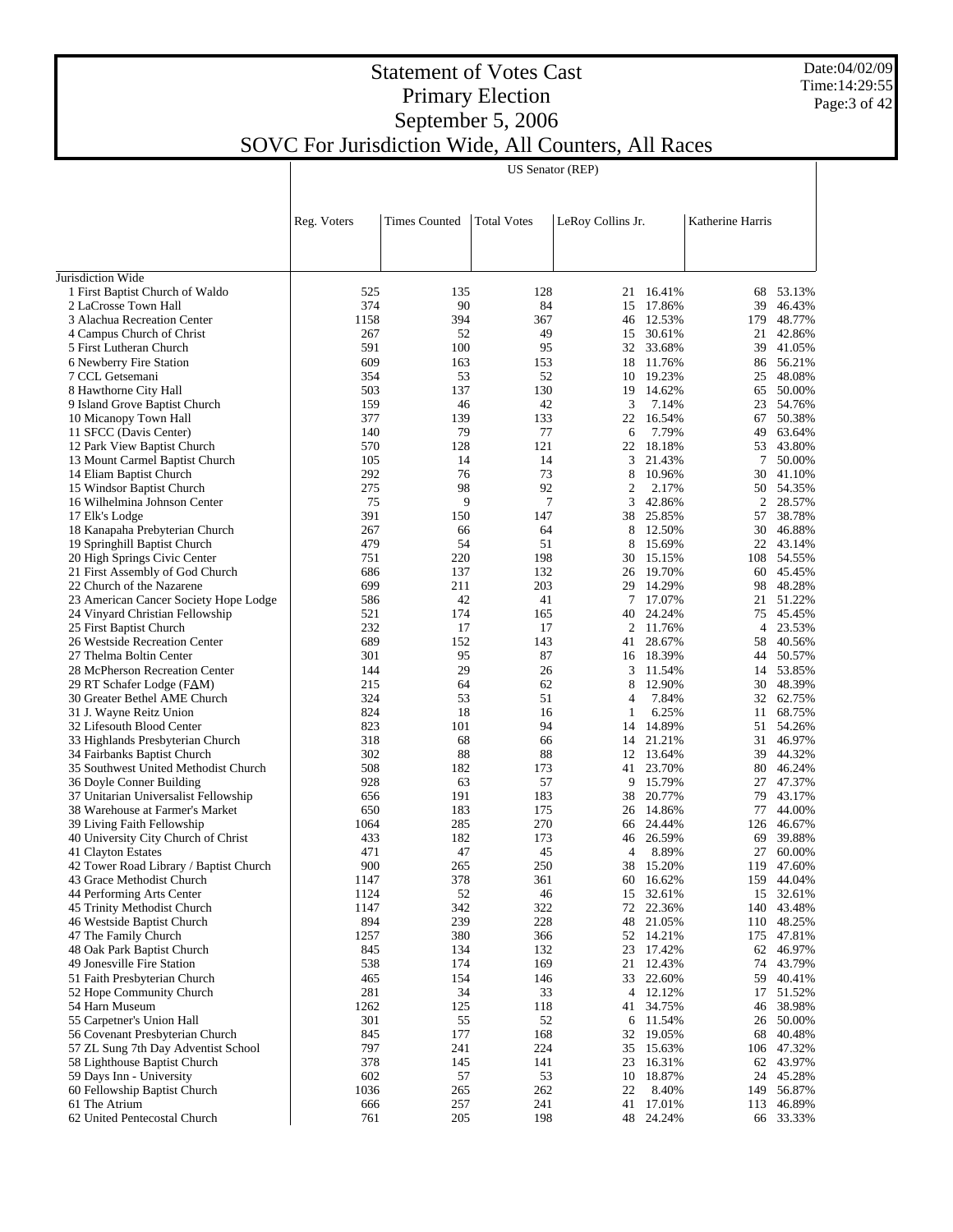#### Date:04/02/09 Time:14:29:55 Page:3 of 42

|                                                                          |             |                      |                    | US Senator (REP)  |                     |                  |                        |
|--------------------------------------------------------------------------|-------------|----------------------|--------------------|-------------------|---------------------|------------------|------------------------|
|                                                                          |             |                      |                    |                   |                     |                  |                        |
|                                                                          | Reg. Voters | <b>Times Counted</b> | <b>Total Votes</b> | LeRoy Collins Jr. |                     | Katherine Harris |                        |
|                                                                          |             |                      |                    |                   |                     |                  |                        |
|                                                                          |             |                      |                    |                   |                     |                  |                        |
| Jurisdiction Wide<br>1 First Baptist Church of Waldo                     | 525         | 135                  | 128                |                   | 21 16.41%           |                  | 68 53.13%              |
| 2 LaCrosse Town Hall                                                     | 374         | 90                   | 84                 | 15                | 17.86%              | 39               | 46.43%                 |
| 3 Alachua Recreation Center                                              | 1158        | 394                  | 367                |                   | 46 12.53%           | 179              | 48.77%                 |
| 4 Campus Church of Christ                                                | 267         | 52                   | 49                 | 15                | 30.61%              | 21               | 42.86%                 |
| 5 First Lutheran Church                                                  | 591         | 100                  | 95                 |                   | 32 33.68%           | 39               | 41.05%                 |
| 6 Newberry Fire Station                                                  | 609         | 163                  | 153                | 18                | 11.76%              | 86               | 56.21%                 |
| 7 CCL Getsemani                                                          | 354         | 53                   | 52                 |                   | 10 19.23%           | 25               | 48.08%                 |
| 8 Hawthorne City Hall                                                    | 503         | 137                  | 130                | 19                | 14.62%              | 65               | 50.00%                 |
| 9 Island Grove Baptist Church                                            | 159<br>377  | 46<br>139            | 42<br>133          | 3                 | 7.14%<br>22 16.54%  |                  | 23 54.76%<br>50.38%    |
| 10 Micanopy Town Hall<br>11 SFCC (Davis Center)                          | 140         | 79                   | 77                 | 6                 | 7.79%               | 67<br>49         | 63.64%                 |
| 12 Park View Baptist Church                                              | 570         | 128                  | 121                | 22                | 18.18%              | 53               | 43.80%                 |
| 13 Mount Carmel Baptist Church                                           | 105         | 14                   | 14                 | 3                 | 21.43%              | 7                | 50.00%                 |
| 14 Eliam Baptist Church                                                  | 292         | 76                   | 73                 | 8                 | 10.96%              | 30               | 41.10%                 |
| 15 Windsor Baptist Church                                                | 275         | 98                   | 92                 | $\overline{2}$    | 2.17%               |                  | 50 54.35%              |
| 16 Wilhelmina Johnson Center                                             | 75          | 9                    | $\tau$             | 3                 | 42.86%              |                  | 2 28.57%               |
| 17 Elk's Lodge                                                           | 391         | 150                  | 147                |                   | 38 25.85%           | 57               | 38.78%                 |
| 18 Kanapaha Prebyterian Church                                           | 267         | 66                   | 64                 | 8                 | 12.50%              | 30               | 46.88%                 |
| 19 Springhill Baptist Church                                             | 479         | 54                   | 51                 | 8                 | 15.69%              |                  | 22 43.14%              |
| 20 High Springs Civic Center                                             | 751         | 220                  | 198                |                   | 30 15.15%           |                  | 108 54.55%             |
| 21 First Assembly of God Church                                          | 686         | 137                  | 132                |                   | 26 19.70%           |                  | 60 45.45%              |
| 22 Church of the Nazarene                                                | 699<br>586  | 211<br>42            | 203<br>41          | 29<br>7           | 14.29%<br>17.07%    | 98               | 48.28%<br>21 51.22%    |
| 23 American Cancer Society Hope Lodge<br>24 Vinyard Christian Fellowship | 521         | 174                  | 165                |                   | 40 24.24%           | 75               | 45.45%                 |
| 25 First Baptist Church                                                  | 232         | 17                   | 17                 |                   | 2 11.76%            |                  | 4 23.53%               |
| 26 Westside Recreation Center                                            | 689         | 152                  | 143                | 41                | 28.67%              | 58               | 40.56%                 |
| 27 Thelma Boltin Center                                                  | 301         | 95                   | 87                 |                   | 16 18.39%           |                  | 44 50.57%              |
| 28 McPherson Recreation Center                                           | 144         | 29                   | 26                 | 3                 | 11.54%              |                  | 14 53.85%              |
| 29 RT Schafer Lodge (FAM)                                                | 215         | 64                   | 62                 | 8                 | 12.90%              | 30               | 48.39%                 |
| 30 Greater Bethel AME Church                                             | 324         | 53                   | 51                 | 4                 | 7.84%               |                  | 32 62.75%              |
| 31 J. Wayne Reitz Union                                                  | 824         | 18                   | 16                 | 1                 | 6.25%               |                  | 11 68.75%              |
| 32 Lifesouth Blood Center                                                | 823         | 101                  | 94                 |                   | 14 14.89%           |                  | 51 54.26%              |
| 33 Highlands Presbyterian Church                                         | 318         | 68                   | 66                 |                   | 14 21.21%           |                  | 31 46.97%              |
| 34 Fairbanks Baptist Church                                              | 302         | 88                   | 88                 |                   | 12 13.64%           | 39               | 44.32%                 |
| 35 Southwest United Methodist Church                                     | 508<br>928  | 182<br>63            | 173<br>57          | 9                 | 41 23.70%<br>15.79% | 80               | 46.24%<br>47.37%       |
| 36 Doyle Conner Building<br>37 Unitarian Universalist Fellowship         | 656         | 191                  | 183                | 38                | 20.77%              | 27<br>79         | 43.17%                 |
| 38 Warehouse at Farmer's Market                                          | 650         | 183                  | 175                |                   | 26 14.86%           | 77               | 44.00%                 |
| 39 Living Faith Fellowship                                               | 1064        | 285                  | 270                |                   | 66 24.44%           | 126              | 46.67%                 |
| 40 University City Church of Christ                                      | 433         | 182                  | 173                |                   | 46 26.59%           | 69               | 39.88%                 |
| 41 Clayton Estates                                                       | 471         | 47                   | 45                 |                   | 4 8.89%             | 27               | 60.00%                 |
| 42 Tower Road Library / Baptist Church                                   | 900         | 265                  | 250                | 38                | 15.20%              |                  | 119 47.60%             |
| 43 Grace Methodist Church                                                | 1147        | 378                  | 361                | 60                | 16.62%              | 159              | 44.04%                 |
| 44 Performing Arts Center                                                | 1124        | 52                   | 46                 | 15                | 32.61%              |                  | 15 32.61%              |
| 45 Trinity Methodist Church                                              | 1147        | 342                  | 322                |                   | 72 22.36%           |                  | 140 43.48%             |
| 46 Westside Baptist Church                                               | 894         | 239                  | 228                | 48                | 21.05%              |                  | 110 48.25%             |
| 47 The Family Church<br>48 Oak Park Baptist Church                       | 1257        | 380                  | 366                |                   | 52 14.21%           |                  | 175 47.81%             |
| 49 Jonesville Fire Station                                               | 845<br>538  | 134<br>174           | 132<br>169         | 23<br>21          | 17.42%<br>12.43%    |                  | 62 46.97%<br>74 43.79% |
| 51 Faith Presbyterian Church                                             | 465         | 154                  | 146                | 33                | 22.60%              | 59               | 40.41%                 |
| 52 Hope Community Church                                                 | 281         | 34                   | 33                 |                   | 4 12.12%            |                  | 17 51.52%              |
| 54 Harn Museum                                                           | 1262        | 125                  | 118                | 41                | 34.75%              |                  | 46 38.98%              |
| 55 Carpetner's Union Hall                                                | 301         | 55                   | 52                 |                   | 6 11.54%            |                  | 26 50.00%              |
| 56 Covenant Presbyterian Church                                          | 845         | 177                  | 168                |                   | 32 19.05%           | 68               | 40.48%                 |
| 57 ZL Sung 7th Day Adventist School                                      | 797         | 241                  | 224                |                   | 35 15.63%           |                  | 106 47.32%             |
| 58 Lighthouse Baptist Church                                             | 378         | 145                  | 141                | 23                | 16.31%              |                  | 62 43.97%              |
| 59 Days Inn - University                                                 | 602         | 57                   | 53                 | 10                | 18.87%              |                  | 24 45.28%              |
| 60 Fellowship Baptist Church                                             | 1036        | 265                  | 262                | 22                | 8.40%               | 149              | 56.87%                 |
| 61 The Atrium                                                            | 666         | 257                  | 241                | 41                | 17.01%              | 113              | 46.89%                 |
| 62 United Pentecostal Church                                             | 761         | 205                  | 198                |                   | 48 24.24%           |                  | 66 33.33%              |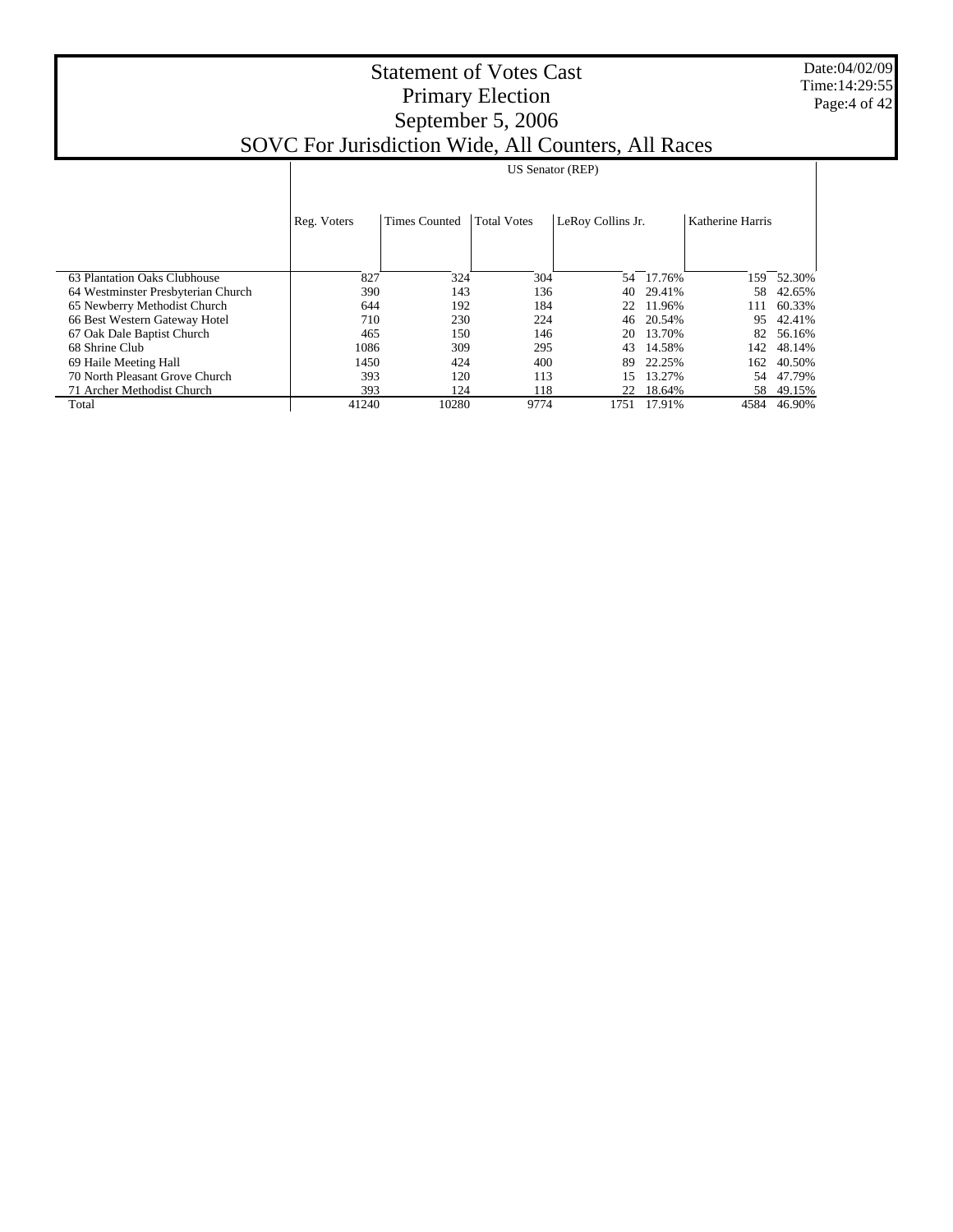Date:04/02/09 Time:14:29:55 Page:4 of 42

|                                    |             | <b>US Senator (REP)</b> |                    |                   |        |                  |        |  |  |
|------------------------------------|-------------|-------------------------|--------------------|-------------------|--------|------------------|--------|--|--|
|                                    |             |                         |                    |                   |        |                  |        |  |  |
|                                    | Reg. Voters | <b>Times Counted</b>    | <b>Total Votes</b> | LeRoy Collins Jr. |        | Katherine Harris |        |  |  |
|                                    |             |                         |                    |                   |        |                  |        |  |  |
|                                    |             |                         |                    |                   |        |                  |        |  |  |
| 63 Plantation Oaks Clubhouse       | 827         | 324                     | 304                | 54                | 17.76% | 159              | 52.30% |  |  |
| 64 Westminster Presbyterian Church | 390         | 143                     | 136                | 40                | 29.41% | 58               | 42.65% |  |  |
| 65 Newberry Methodist Church       | 644         | 192                     | 184                | 22                | 11.96% | 111              | 60.33% |  |  |
| 66 Best Western Gateway Hotel      | 710         | 230                     | 224                | 46                | 20.54% | 95               | 42.41% |  |  |
| 67 Oak Dale Baptist Church         | 465         | 150                     | 146                | 20                | 13.70% | 82               | 56.16% |  |  |
| 68 Shrine Club                     | 1086        | 309                     | 295                | 43                | 14.58% | 142              | 48.14% |  |  |
| 69 Haile Meeting Hall              | 1450        | 424                     | 400                | 89                | 22.25% | 162              | 40.50% |  |  |
| 70 North Pleasant Grove Church     | 393         | 120                     | 113                | 15                | 13.27% | .54              | 47.79% |  |  |
| 71 Archer Methodist Church         | 393         | 124                     | 118                | 22                | 18.64% | 58               | 49.15% |  |  |
| Total                              | 41240       | 10280                   | 9774               | 1751              | 17.91% | 4584             | 46.90% |  |  |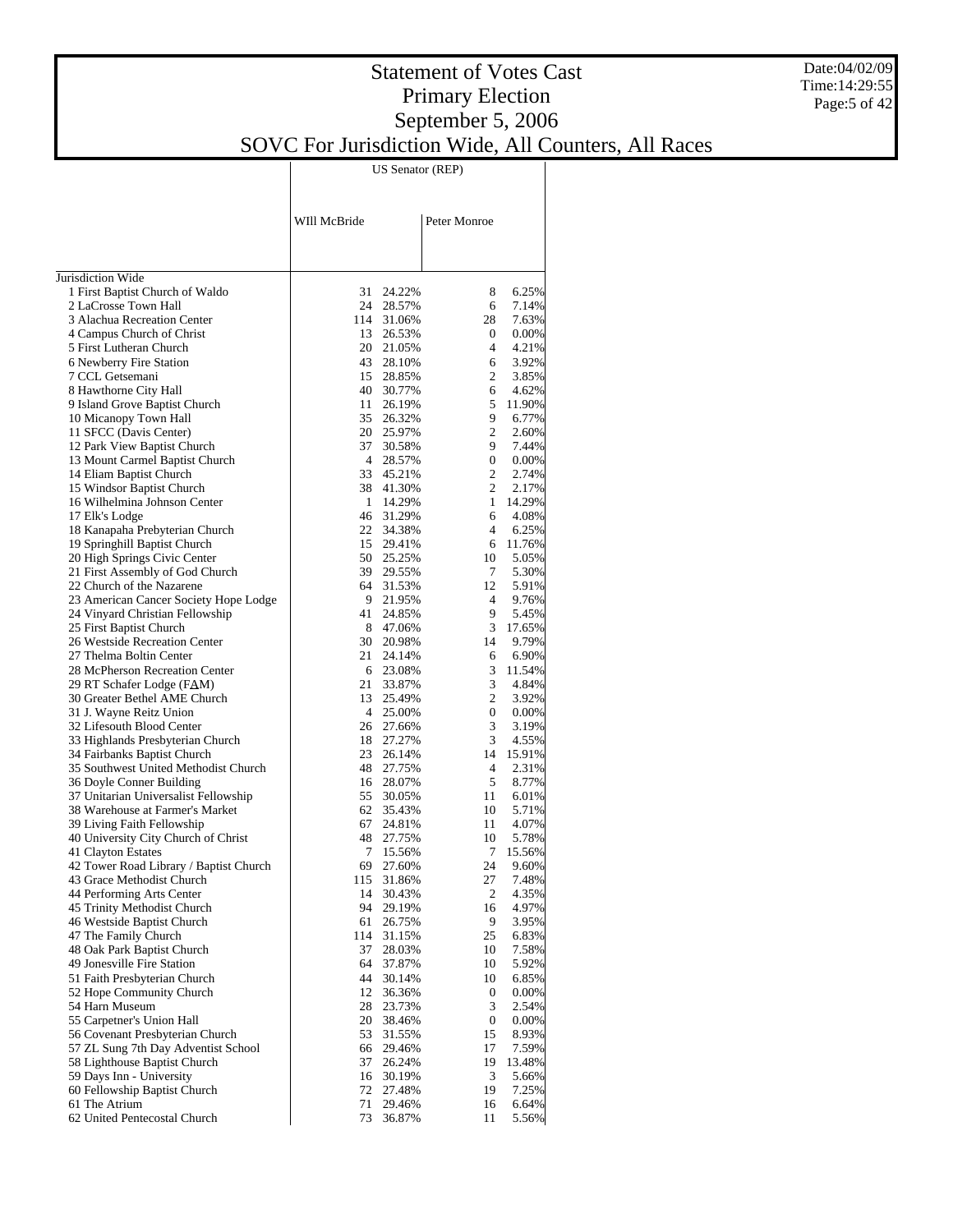#### Date:04/02/09 Time:14:29:55 Page: 5 of 42

#### Statement of Votes Cast Primary Election September 5, 2006 SOVC For Jurisdiction Wide, All Counters, All Races

US Senator (REP)

|                                                                     | WIll McBride   |                     | Peter Monroe   |                    |
|---------------------------------------------------------------------|----------------|---------------------|----------------|--------------------|
|                                                                     |                |                     |                |                    |
|                                                                     |                |                     |                |                    |
| Jurisdiction Wide<br>1 First Baptist Church of Waldo                | 31             | 24.22%              | 8              | 6.25%              |
| 2 LaCrosse Town Hall                                                |                | 24 28.57%           | 6              | 7.14%              |
| 3 Alachua Recreation Center                                         |                | 114 31.06%          | 28             | 7.63%              |
| 4 Campus Church of Christ                                           |                | 13 26.53%           | 0              | 0.00%              |
| 5 First Lutheran Church                                             |                | 20 21.05%           | 4              | 4.21%              |
| 6 Newberry Fire Station                                             |                | 43 28.10%           | 6              | 3.92%              |
| 7 CCL Getsemani                                                     |                | 15 28.85%           | $\overline{2}$ | 3.85%              |
| 8 Hawthorne City Hall<br>9 Island Grove Baptist Church              | 11             | 40 30.77%           | 6<br>5         | 4.62%<br>11.90%    |
| 10 Micanopy Town Hall                                               | 35             | 26.19%<br>26.32%    | 9              | 6.77%              |
| 11 SFCC (Davis Center)                                              |                | 20 25.97%           | 2              | 2.60%              |
| 12 Park View Baptist Church                                         | 37             | 30.58%              | 9              | 7.44%              |
| 13 Mount Carmel Baptist Church                                      |                | 4 28.57%            | 0              | 0.00%              |
| 14 Eliam Baptist Church                                             |                | 33 45.21%           | $\overline{2}$ | 2.74%              |
| 15 Windsor Baptist Church                                           |                | 38 41.30%           | $\overline{2}$ | 2.17%              |
| 16 Wilhelmina Johnson Center                                        |                | 1 14.29%            | 1              | 14.29%             |
| 17 Elk's Lodge                                                      |                | 46 31.29%           | 6              | 4.08%              |
| 18 Kanapaha Prebyterian Church                                      | 22             | 34.38%              | $\overline{4}$ | 6.25%              |
| 19 Springhill Baptist Church                                        |                | 15 29.41%           |                | 6 11.76%           |
| 20 High Springs Civic Center                                        |                | 50 25.25%           | 10             | 5.05%              |
| 21 First Assembly of God Church<br>22 Church of the Nazarene        | 39             | 29.55%<br>64 31.53% | 7<br>12        | 5.30%<br>5.91%     |
| 23 American Cancer Society Hope Lodge                               |                | 9 21.95%            | $\overline{4}$ | 9.76%              |
| 24 Vinyard Christian Fellowship                                     | 41             | 24.85%              | 9.             | 5.45%              |
| 25 First Baptist Church                                             |                | 8 47.06%            | 3 <sup>1</sup> | 17.65%             |
| 26 Westside Recreation Center                                       |                | 30 20.98%           | 14             | 9.79%              |
| 27 Thelma Boltin Center                                             | 21             | 24.14%              | 6              | 6.90%              |
| 28 McPherson Recreation Center                                      |                | 6 23.08%            |                | 3 11.54%           |
| 29 RT Schafer Lodge (FAM)                                           | 21             | 33.87%              | 3              | 4.84%              |
| 30 Greater Bethel AME Church                                        | 13             | 25.49%              | $\overline{2}$ | 3.92%              |
| 31 J. Wayne Reitz Union                                             | $\overline{4}$ | 25.00%              | $\overline{0}$ | 0.00%              |
| 32 Lifesouth Blood Center                                           | 26             | 27.66%              | 3              | 3.19%              |
| 33 Highlands Presbyterian Church                                    | 18<br>23       | 27.27%              | 3              | 4.55%              |
| 34 Fairbanks Baptist Church<br>35 Southwest United Methodist Church | 48             | 26.14%<br>27.75%    | $\overline{4}$ | 14 15.91%<br>2.31% |
| 36 Doyle Conner Building                                            |                | 16 28.07%           | 5              | 8.77%              |
| 37 Unitarian Universalist Fellowship                                | 55             | 30.05%              | 11             | 6.01%              |
| 38 Warehouse at Farmer's Market                                     | 62             | 35.43%              | 10             | 5.71%              |
| 39 Living Faith Fellowship                                          | 67             | 24.81%              | 11             | 4.07%              |
| 40 University City Church of Christ                                 |                | 48 27.75%           | 10             | 5.78%              |
| 41 Clayton Estates                                                  | 7              | 15.56%              | 7              | 15.56%             |
| 42 Tower Road Library / Baptist Church                              | 69             | 27.60%              | 24             | 9.60%              |
| 43 Grace Methodist Church                                           |                | 115 31.86%          | 27             | 7.48%              |
| 44 Performing Arts Center                                           | 14             | 30.43%              | $\mathfrak{2}$ | 4.35%              |
| 45 Trinity Methodist Church                                         | 94             | 29.19%              | 16             | 4.97%              |
| 46 Westside Baptist Church<br>47 The Family Church                  | 61<br>114      | 26.75%<br>31.15%    | 9<br>25        | 3.95%<br>6.83%     |
| 48 Oak Park Baptist Church                                          | 37             | 28.03%              | 10             | 7.58%              |
| 49 Jonesville Fire Station                                          | 64             | 37.87%              | 10             | 5.92%              |
| 51 Faith Presbyterian Church                                        | 44             | 30.14%              | 10             | 6.85%              |
| 52 Hope Community Church                                            | 12             | 36.36%              | 0              | 0.00%              |
| 54 Harn Museum                                                      | 28             | 23.73%              | 3              | 2.54%              |
| 55 Carpetner's Union Hall                                           | 20             | 38.46%              | 0              | 0.00%              |
| 56 Covenant Presbyterian Church                                     | 53             | 31.55%              | 15             | 8.93%              |
| 57 ZL Sung 7th Day Adventist School                                 | 66             | 29.46%              | 17             | 7.59%              |
| 58 Lighthouse Baptist Church                                        | 37             | 26.24%              | 19             | 13.48%             |
| 59 Days Inn - University                                            | 16             | 30.19%              | 3              | 5.66%              |
| 60 Fellowship Baptist Church<br>61 The Atrium                       | 72<br>71       | 27.48%<br>29.46%    | 19<br>16       | 7.25%<br>6.64%     |
| 62 United Pentecostal Church                                        | 73             | 36.87%              | 11             | 5.56%              |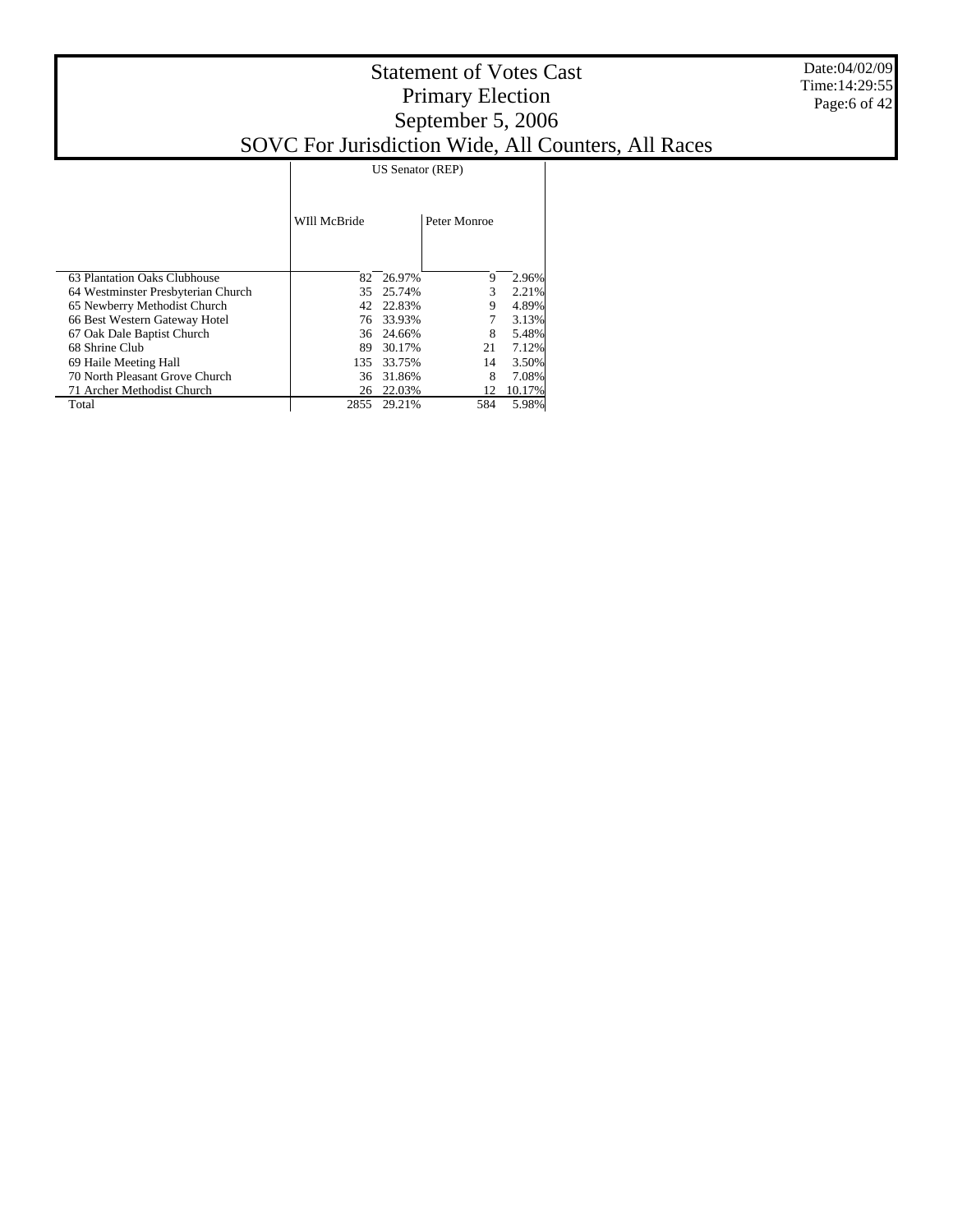|                                    |              |        | US Senator (REP) |        |  |
|------------------------------------|--------------|--------|------------------|--------|--|
|                                    | WIll McBride |        | Peter Monroe     |        |  |
| 63 Plantation Oaks Clubhouse       | 82           | 26.97% | 9                | 2.96%  |  |
| 64 Westminster Presbyterian Church | 35           | 25.74% | 3                | 2.21%  |  |
| 65 Newberry Methodist Church       | 42           | 22.83% | 9                | 4.89%  |  |
| 66 Best Western Gateway Hotel      | 76           | 33.93% |                  | 3.13%  |  |
| 67 Oak Dale Baptist Church         | 36           | 24.66% | 8                | 5.48%  |  |
| 68 Shrine Club                     | 89           | 30.17% | 21               | 7.12%  |  |
| 69 Haile Meeting Hall              | 135          | 33.75% | 14               | 3.50%  |  |
| 70 North Pleasant Grove Church     | 36           | 31.86% | 8                | 7.08%  |  |
| 71 Archer Methodist Church         | 26           | 22.03% | 12               | 10.17% |  |
| Total                              | 2855         | 29.21% | 584              | 5.98%  |  |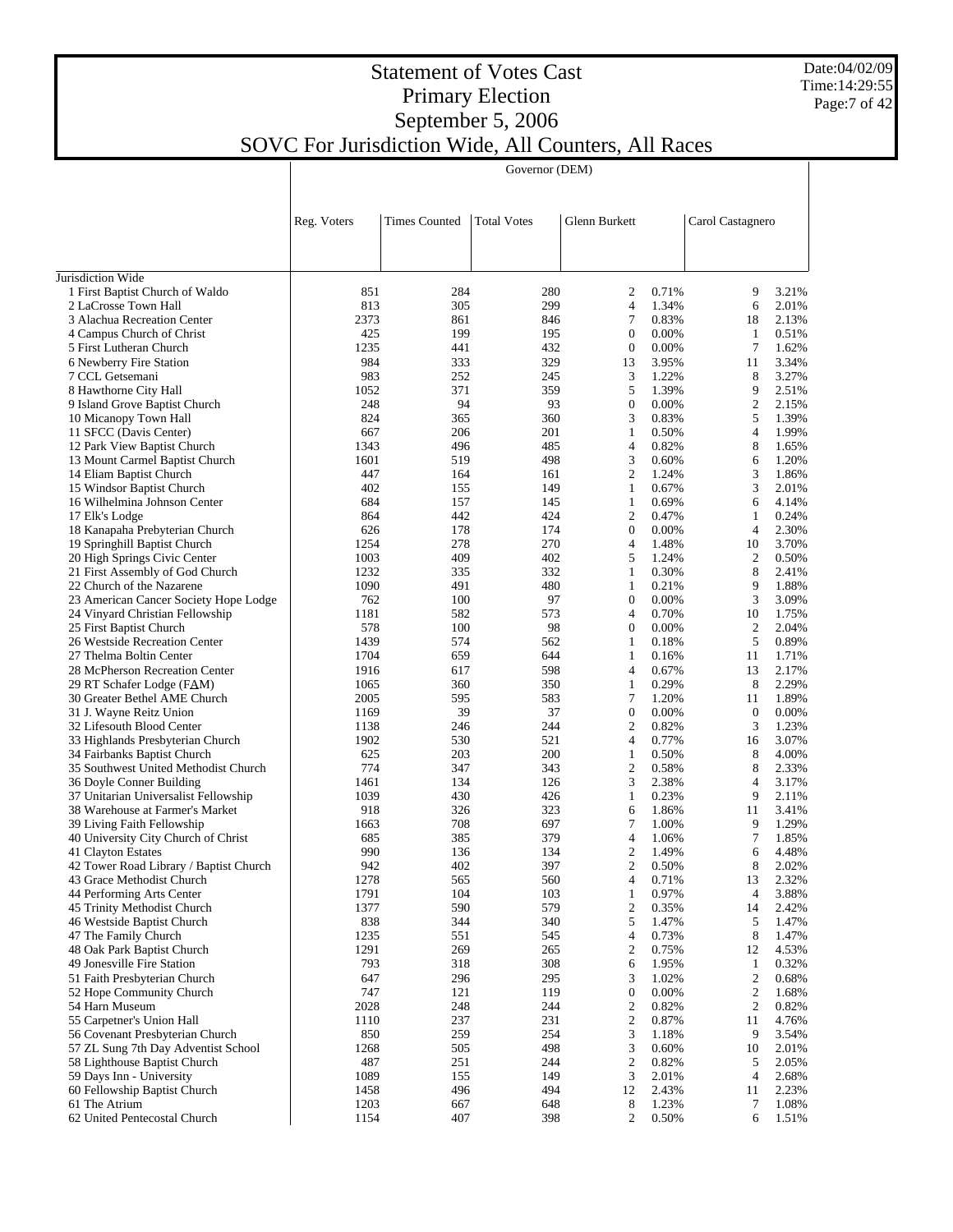#### Date:04/02/09 Time:14:29:55 Page:7 of 42

## Statement of Votes Cast Primary Election September 5, 2006 SOVC For Jurisdiction Wide, All Counters, All Races

Governor (DEM)

|                                                                    | Reg. Voters  | <b>Times Counted</b> | <b>Total Votes</b> | Glenn Burkett                |                | Carol Castagnero               |                |
|--------------------------------------------------------------------|--------------|----------------------|--------------------|------------------------------|----------------|--------------------------------|----------------|
|                                                                    |              |                      |                    |                              |                |                                |                |
| Jurisdiction Wide                                                  |              |                      |                    |                              |                |                                |                |
| 1 First Baptist Church of Waldo                                    | 851          | 284                  | 280                | $\overline{c}$               | 0.71%          | 9                              | 3.21%          |
| 2 LaCrosse Town Hall                                               | 813          | 305                  | 299                | $\overline{4}$               | 1.34%          | 6                              | 2.01%          |
| 3 Alachua Recreation Center                                        | 2373         | 861                  | 846                | $\overline{7}$               | 0.83%          | 18                             | 2.13%          |
| 4 Campus Church of Christ                                          | 425          | 199                  | 195                | $\mathbf{0}$                 | 0.00%          | 1                              | 0.51%          |
| 5 First Lutheran Church                                            | 1235         | 441                  | 432                | $\theta$                     | 0.00%          | 7                              | 1.62%          |
| 6 Newberry Fire Station                                            | 984          | 333                  | 329                | 13                           | 3.95%          | 11                             | 3.34%          |
| 7 CCL Getsemani                                                    | 983          | 252                  | 245                | 3                            | 1.22%          | 8                              | 3.27%<br>2.51% |
| 8 Hawthorne City Hall<br>9 Island Grove Baptist Church             | 1052<br>248  | 371<br>94            | 359<br>93          | 5<br>$\boldsymbol{0}$        | 1.39%<br>0.00% | 9<br>$\mathfrak{2}$            | 2.15%          |
| 10 Micanopy Town Hall                                              | 824          | 365                  | 360                | 3                            | 0.83%          | 5                              | 1.39%          |
| 11 SFCC (Davis Center)                                             | 667          | 206                  | 201                | $\mathbf{1}$                 | 0.50%          | $\overline{4}$                 | 1.99%          |
| 12 Park View Baptist Church                                        | 1343         | 496                  | 485                | $\overline{4}$               | 0.82%          | 8                              | 1.65%          |
| 13 Mount Carmel Baptist Church                                     | 1601         | 519                  | 498                | 3                            | 0.60%          | 6                              | 1.20%          |
| 14 Eliam Baptist Church                                            | 447          | 164                  | 161                | $\mathfrak{2}$               | 1.24%          | 3                              | 1.86%          |
| 15 Windsor Baptist Church                                          | 402          | 155                  | 149                | $\mathbf{1}$                 | 0.67%          | 3                              | 2.01%          |
| 16 Wilhelmina Johnson Center                                       | 684          | 157                  | 145                | $\mathbf{1}$                 | 0.69%          | 6                              | 4.14%          |
| 17 Elk's Lodge                                                     | 864          | 442                  | 424                | $\mathfrak{2}$               | 0.47%          | 1                              | 0.24%          |
| 18 Kanapaha Prebyterian Church                                     | 626          | 178                  | 174                | $\mathbf{0}$                 | 0.00%          | $\overline{4}$                 | 2.30%          |
| 19 Springhill Baptist Church                                       | 1254         | 278                  | 270                | $\overline{4}$               | 1.48%          | 10                             | 3.70%          |
| 20 High Springs Civic Center                                       | 1003         | 409                  | 402                | 5                            | 1.24%          | $\mathfrak{2}$                 | 0.50%          |
| 21 First Assembly of God Church                                    | 1232         | 335                  | 332                | $\mathbf{1}$                 | 0.30%          | 8<br>9                         | 2.41%          |
| 22 Church of the Nazarene<br>23 American Cancer Society Hope Lodge | 1090<br>762  | 491<br>100           | 480<br>97          | $\mathbf{1}$<br>$\mathbf{0}$ | 0.21%<br>0.00% | 3                              | 1.88%<br>3.09% |
| 24 Vinyard Christian Fellowship                                    | 1181         | 582                  | 573                | $\overline{4}$               | 0.70%          | 10                             | 1.75%          |
| 25 First Baptist Church                                            | 578          | 100                  | 98                 | $\mathbf{0}$                 | 0.00%          | $\mathfrak{2}$                 | 2.04%          |
| 26 Westside Recreation Center                                      | 1439         | 574                  | 562                | $\mathbf{1}$                 | 0.18%          | 5                              | 0.89%          |
| 27 Thelma Boltin Center                                            | 1704         | 659                  | 644                | $\mathbf{1}$                 | 0.16%          | 11                             | 1.71%          |
| 28 McPherson Recreation Center                                     | 1916         | 617                  | 598                | $\overline{4}$               | 0.67%          | 13                             | 2.17%          |
| 29 RT Schafer Lodge (FAM)                                          | 1065         | 360                  | 350                | $\mathbf{1}$                 | 0.29%          | 8                              | 2.29%          |
| 30 Greater Bethel AME Church                                       | 2005         | 595                  | 583                | 7                            | 1.20%          | 11                             | 1.89%          |
| 31 J. Wayne Reitz Union                                            | 1169         | 39                   | 37                 | $\mathbf{0}$                 | 0.00%          | $\mathbf{0}$                   | 0.00%          |
| 32 Lifesouth Blood Center                                          | 1138         | 246                  | 244                | $\mathfrak{2}$               | 0.82%          | 3                              | 1.23%          |
| 33 Highlands Presbyterian Church                                   | 1902         | 530                  | 521                | $\overline{4}$               | 0.77%          | 16                             | 3.07%          |
| 34 Fairbanks Baptist Church                                        | 625          | 203                  | 200                | $\mathbf{1}$                 | 0.50%          | 8                              | 4.00%          |
| 35 Southwest United Methodist Church                               | 774          | 347                  | 343                | $\mathfrak{2}$<br>3          | 0.58%          | 8<br>$\overline{4}$            | 2.33%          |
| 36 Doyle Conner Building<br>37 Unitarian Universalist Fellowship   | 1461<br>1039 | 134<br>430           | 126<br>426         | $\mathbf{1}$                 | 2.38%<br>0.23% | 9                              | 3.17%<br>2.11% |
| 38 Warehouse at Farmer's Market                                    | 918          | 326                  | 323                | 6                            | 1.86%          | 11                             | 3.41%          |
| 39 Living Faith Fellowship                                         | 1663         | 708                  | 697                | 7                            | 1.00%          | 9                              | 1.29%          |
| 40 University City Church of Christ                                | 685          | 385                  | 379                | $\overline{4}$               | 1.06%          | 7                              | 1.85%          |
| 41 Clayton Estates                                                 | 990          | 136                  | 134                | $\sqrt{2}$                   | 1.49%          | 6                              | 4.48%          |
| 42 Tower Road Library / Baptist Church                             | 942          | 402                  | 397                | $\mathfrak{2}$               | 0.50%          | 8                              | 2.02%          |
| 43 Grace Methodist Church                                          | 1278         | 565                  | 560                | 4                            | 0.71%          | 13                             | 2.32%          |
| 44 Performing Arts Center                                          | 1791         | 104                  | 103                | $\,1$                        | 0.97%          | 4                              | 3.88%          |
| 45 Trinity Methodist Church                                        | 1377         | 590                  | 579                | $\sqrt{2}$                   | 0.35%          | 14                             | 2.42%          |
| 46 Westside Baptist Church                                         | 838          | 344                  | 340                | 5                            | 1.47%          | 5                              | 1.47%          |
| 47 The Family Church                                               | 1235         | 551                  | 545                | 4                            | 0.73%          | 8                              | 1.47%          |
| 48 Oak Park Baptist Church                                         | 1291         | 269                  | 265                | $\mathfrak{2}$               | 0.75%          | 12                             | 4.53%          |
| 49 Jonesville Fire Station<br>51 Faith Presbyterian Church         | 793<br>647   | 318<br>296           | 308<br>295         | 6<br>3                       | 1.95%<br>1.02% | $\mathbf{1}$<br>$\mathfrak{2}$ | 0.32%<br>0.68% |
| 52 Hope Community Church                                           | 747          | 121                  | 119                | $\boldsymbol{0}$             | 0.00%          | $\mathfrak{2}$                 | 1.68%          |
| 54 Harn Museum                                                     | 2028         | 248                  | 244                | $\sqrt{2}$                   | 0.82%          | $\mathfrak{2}$                 | 0.82%          |
| 55 Carpetner's Union Hall                                          | 1110         | 237                  | 231                | $\sqrt{2}$                   | 0.87%          | 11                             | 4.76%          |
| 56 Covenant Presbyterian Church                                    | 850          | 259                  | 254                | 3                            | 1.18%          | 9                              | 3.54%          |
| 57 ZL Sung 7th Day Adventist School                                | 1268         | 505                  | 498                | 3                            | 0.60%          | 10                             | 2.01%          |
| 58 Lighthouse Baptist Church                                       | 487          | 251                  | 244                | $\sqrt{2}$                   | 0.82%          | 5                              | 2.05%          |
| 59 Days Inn - University                                           | 1089         | 155                  | 149                | 3                            | 2.01%          | 4                              | 2.68%          |
| 60 Fellowship Baptist Church                                       | 1458         | 496                  | 494                | 12                           | 2.43%          | 11                             | 2.23%          |
| 61 The Atrium                                                      | 1203         | 667                  | 648                | 8                            | 1.23%          | 7                              | 1.08%          |
| 62 United Pentecostal Church                                       | 1154         | 407                  | 398                | 2                            | 0.50%          | 6                              | 1.51%          |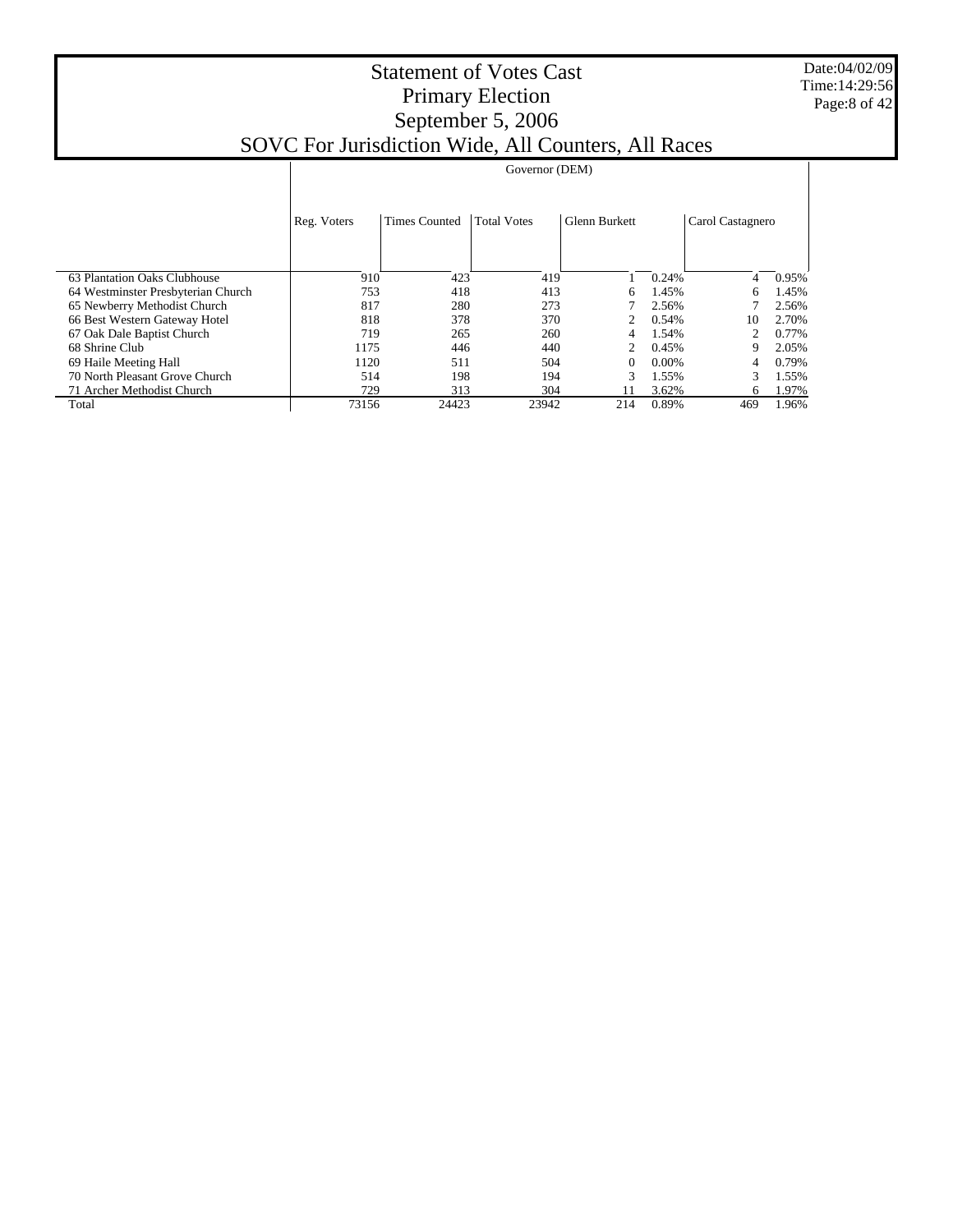Date:04/02/09 Time:14:29:56 Page:8 of 42

|                                    |             | Governor (DEM)       |                    |                      |          |                  |       |  |  |  |
|------------------------------------|-------------|----------------------|--------------------|----------------------|----------|------------------|-------|--|--|--|
|                                    |             |                      |                    |                      |          |                  |       |  |  |  |
|                                    | Reg. Voters | <b>Times Counted</b> | <b>Total Votes</b> | <b>Glenn Burkett</b> |          | Carol Castagnero |       |  |  |  |
|                                    |             |                      |                    |                      |          |                  |       |  |  |  |
|                                    |             |                      |                    |                      |          |                  |       |  |  |  |
| 63 Plantation Oaks Clubhouse       | 910         | 423                  | 419                |                      | 0.24%    | 4                | 0.95% |  |  |  |
| 64 Westminster Presbyterian Church | 753         | 418                  | 413                | 6                    | 1.45%    | 6                | 1.45% |  |  |  |
| 65 Newberry Methodist Church       | 817         | 280                  | 273                |                      | 2.56%    |                  | 2.56% |  |  |  |
| 66 Best Western Gateway Hotel      | 818         | 378                  | 370                |                      | 0.54%    | 10               | 2.70% |  |  |  |
| 67 Oak Dale Baptist Church         | 719         | 265                  | 260                |                      | 1.54%    |                  | 0.77% |  |  |  |
| 68 Shrine Club                     | 1175        | 446                  | 440                |                      | 0.45%    |                  | 2.05% |  |  |  |
| 69 Haile Meeting Hall              | 1120        | 511                  | 504                | 0                    | $0.00\%$ | 4                | 0.79% |  |  |  |
| 70 North Pleasant Grove Church     | 514         | 198                  | 194                | 3                    | 1.55%    | 3                | 1.55% |  |  |  |
| 71 Archer Methodist Church         | 729         | 313                  | 304                |                      | 3.62%    | 6                | 1.97% |  |  |  |
| Total                              | 73156       | 24423                | 23942              | 214                  | 0.89%    | 469              | 1.96% |  |  |  |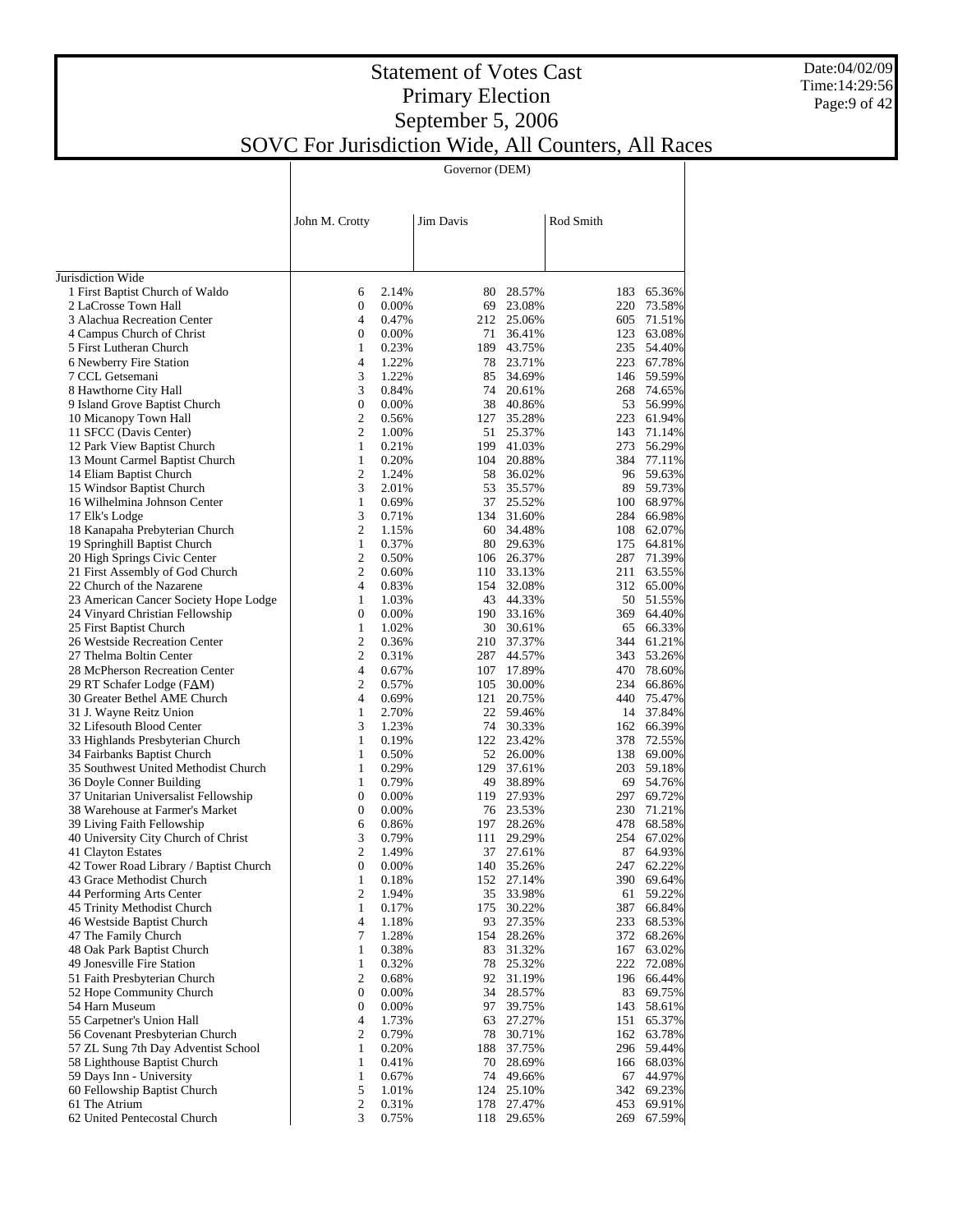Governor (DEM)

|                                                                         | John M. Crotty                   |                | Jim Davis  |                  | Rod Smith  |                      |
|-------------------------------------------------------------------------|----------------------------------|----------------|------------|------------------|------------|----------------------|
|                                                                         |                                  |                |            |                  |            |                      |
|                                                                         |                                  |                |            |                  |            |                      |
| Jurisdiction Wide<br>1 First Baptist Church of Waldo                    | 6                                | 2.14%          | 80-        | 28.57%           | 183        | 65.36%               |
| 2 LaCrosse Town Hall                                                    | $\boldsymbol{0}$                 | 0.00%          |            | 69 23.08%        | 220        | 73.58%               |
| 3 Alachua Recreation Center                                             | 4                                | 0.47%          | 212        | 25.06%           | 605        | 71.51%               |
| 4 Campus Church of Christ                                               | $\boldsymbol{0}$                 | 0.00%          | 71         | 36.41%           | 123        | 63.08%               |
| 5 First Lutheran Church                                                 | $\mathbf{1}$                     | 0.23%          | 189        | 43.75%           | 235        | 54.40%               |
| 6 Newberry Fire Station                                                 | $\overline{4}$                   | 1.22%          | 78         | 23.71%           | 223        | 67.78%               |
| 7 CCL Getsemani                                                         | 3                                | 1.22%          | 85         | 34.69%           |            | 146 59.59%           |
| 8 Hawthorne City Hall                                                   | 3                                | 0.84%          | 74         | 20.61%           | 268        | 74.65%               |
| 9 Island Grove Baptist Church                                           | $\boldsymbol{0}$                 | 0.00%          | 38         | 40.86%           | 53         | 56.99%               |
| 10 Micanopy Town Hall                                                   | 2                                | 0.56%          | 127        | 35.28%           | 223        | 61.94%               |
| 11 SFCC (Davis Center)                                                  | $\overline{c}$                   | 1.00%          | 51         | 25.37%           |            | 143 71.14%           |
| 12 Park View Baptist Church                                             | $\mathbf{1}$                     | 0.21%          | 199        | 41.03%           |            | 273 56.29%           |
| 13 Mount Carmel Baptist Church                                          | $\mathbf{1}$                     | 0.20%          | 104        | 20.88%           |            | 384 77.11%           |
| 14 Eliam Baptist Church                                                 | $\mathfrak{2}$                   | 1.24%          | 58         | 36.02%           |            | 96 59.63%            |
| 15 Windsor Baptist Church                                               | 3                                | 2.01%          | 53<br>37   | 35.57%           | 89         | 59.73%               |
| 16 Wilhelmina Johnson Center<br>17 Elk's Lodge                          | $\mathbf{1}$<br>3                | 0.69%<br>0.71% | 134        | 25.52%<br>31.60% | 284        | 100 68.97%<br>66.98% |
| 18 Kanapaha Prebyterian Church                                          | 2                                | 1.15%          |            | 60 34.48%        | 108        | 62.07%               |
| 19 Springhill Baptist Church                                            | $\mathbf{1}$                     | 0.37%          | 80         | 29.63%           | 175        | 64.81%               |
| 20 High Springs Civic Center                                            | 2                                | 0.50%          | 106        | 26.37%           | 287        | 71.39%               |
| 21 First Assembly of God Church                                         | $\overline{c}$                   | 0.60%          | 110        | 33.13%           | 211        | 63.55%               |
| 22 Church of the Nazarene                                               | 4                                | 0.83%          | 154        | 32.08%           | 312        | 65.00%               |
| 23 American Cancer Society Hope Lodge                                   | $\mathbf{1}$                     | 1.03%          | 43         | 44.33%           |            | 50 51.55%            |
| 24 Vinyard Christian Fellowship                                         | $\boldsymbol{0}$                 | 0.00%          | 190        | 33.16%           |            | 369 64.40%           |
| 25 First Baptist Church                                                 | $\mathbf{1}$                     | 1.02%          | 30         | 30.61%           | 65         | 66.33%               |
| 26 Westside Recreation Center                                           | 2                                | 0.36%          | 210        | 37.37%           |            | 344 61.21%           |
| 27 Thelma Boltin Center                                                 | $\overline{c}$                   | 0.31%          | 287        | 44.57%           |            | 343 53.26%           |
| 28 McPherson Recreation Center                                          | 4                                | 0.67%          | 107        | 17.89%           |            | 470 78.60%           |
| 29 RT Schafer Lodge (FAM)                                               | $\overline{c}$                   | 0.57%          | 105        | 30.00%           | 234        | 66.86%               |
| 30 Greater Bethel AME Church                                            | 4                                | 0.69%          | 121        | 20.75%           | 440 -      | 75.47%               |
| 31 J. Wayne Reitz Union                                                 | $\mathbf{1}$                     | 2.70%          |            | 22 59.46%        |            | 14 37.84%            |
| 32 Lifesouth Blood Center                                               | 3                                | 1.23%          |            | 74 30.33%        |            | 162 66.39%           |
| 33 Highlands Presbyterian Church                                        | $\mathbf{1}$                     | 0.19%          | 122        | 23.42%           | 378        | 72.55%               |
| 34 Fairbanks Baptist Church                                             | $\mathbf{1}$                     | 0.50%          | 52         | 26.00%           |            | 138 69.00%           |
| 35 Southwest United Methodist Church                                    | $\mathbf{1}$                     | 0.29%          | 129        | 37.61%           | 203        | 59.18%               |
| 36 Doyle Conner Building                                                | $\mathbf{1}$<br>$\boldsymbol{0}$ | 0.79%<br>0.00% | 49<br>119  | 38.89%<br>27.93% | 69<br>297  | 54.76%<br>69.72%     |
| 37 Unitarian Universalist Fellowship<br>38 Warehouse at Farmer's Market | $\boldsymbol{0}$                 | 0.00%          |            | 76 23.53%        | 230        | 71.21%               |
| 39 Living Faith Fellowship                                              | 6                                | 0.86%          | 197        | 28.26%           | 478        | 68.58%               |
| 40 University City Church of Christ                                     | 3                                | 0.79%          | 111        | 29.29%           | 254        | 67.02%               |
| 41 Clayton Estates                                                      | 2                                | 1.49%          | 37         | 27.61%           | 87         | 64.93%               |
| 42 Tower Road Library / Baptist Church                                  | $\boldsymbol{0}$                 | 0.00%          | 140        | 35.26%           | 247        | 62.22%               |
| 43 Grace Methodist Church                                               | $\,1$                            | 0.18%          |            | 152 27.14%       |            | 390 69.64%           |
| 44 Performing Arts Center                                               | $\overline{c}$                   | 1.94%          |            | 35 33.98%        | 61         | 59.22%               |
| 45 Trinity Methodist Church                                             | 1                                | 0.17%          | 175        | 30.22%           | 387        | 66.84%               |
| 46 Westside Baptist Church                                              | 4                                | 1.18%          | 93         | 27.35%           | 233        | 68.53%               |
| 47 The Family Church                                                    | 7                                | 1.28%          | 154        | 28.26%           | 372        | 68.26%               |
| 48 Oak Park Baptist Church                                              | 1                                | 0.38%          | 83         | 31.32%           | 167        | 63.02%               |
| 49 Jonesville Fire Station                                              | $\mathbf{1}$                     | 0.32%          | 78         | 25.32%           | 222        | 72.08%               |
| 51 Faith Presbyterian Church                                            | $\boldsymbol{2}$                 | 0.68%          | 92         | 31.19%           | 196        | 66.44%               |
| 52 Hope Community Church                                                | $\boldsymbol{0}$                 | 0.00%          | 34         | 28.57%           | 83         | 69.75%               |
| 54 Harn Museum                                                          | $\boldsymbol{0}$                 | 0.00%          | 97         | 39.75%           | 143        | 58.61%               |
| 55 Carpetner's Union Hall                                               | 4                                | 1.73%          | 63         | 27.27%           | 151        | 65.37%               |
| 56 Covenant Presbyterian Church                                         | 2                                | 0.79%          | 78         | 30.71%           | 162        | 63.78%               |
| 57 ZL Sung 7th Day Adventist School                                     | $\mathbf{1}$                     | 0.20%          | 188        | 37.75%           |            | 296 59.44%           |
| 58 Lighthouse Baptist Church                                            | $\mathbf{1}$                     | 0.41%          | 70         | 28.69%           |            | 166 68.03%           |
| 59 Days Inn - University                                                | $\mathbf{1}$                     | 0.67%          | 74         | 49.66%           | 67         | 44.97%               |
| 60 Fellowship Baptist Church<br>61 The Atrium                           | 5<br>$\mathbf{2}$                | 1.01%<br>0.31% | 124<br>178 | 25.10%<br>27.47% | 342<br>453 | 69.23%<br>69.91%     |
| 62 United Pentecostal Church                                            | 3                                | 0.75%          |            | 118 29.65%       | 269        | 67.59%               |
|                                                                         |                                  |                |            |                  |            |                      |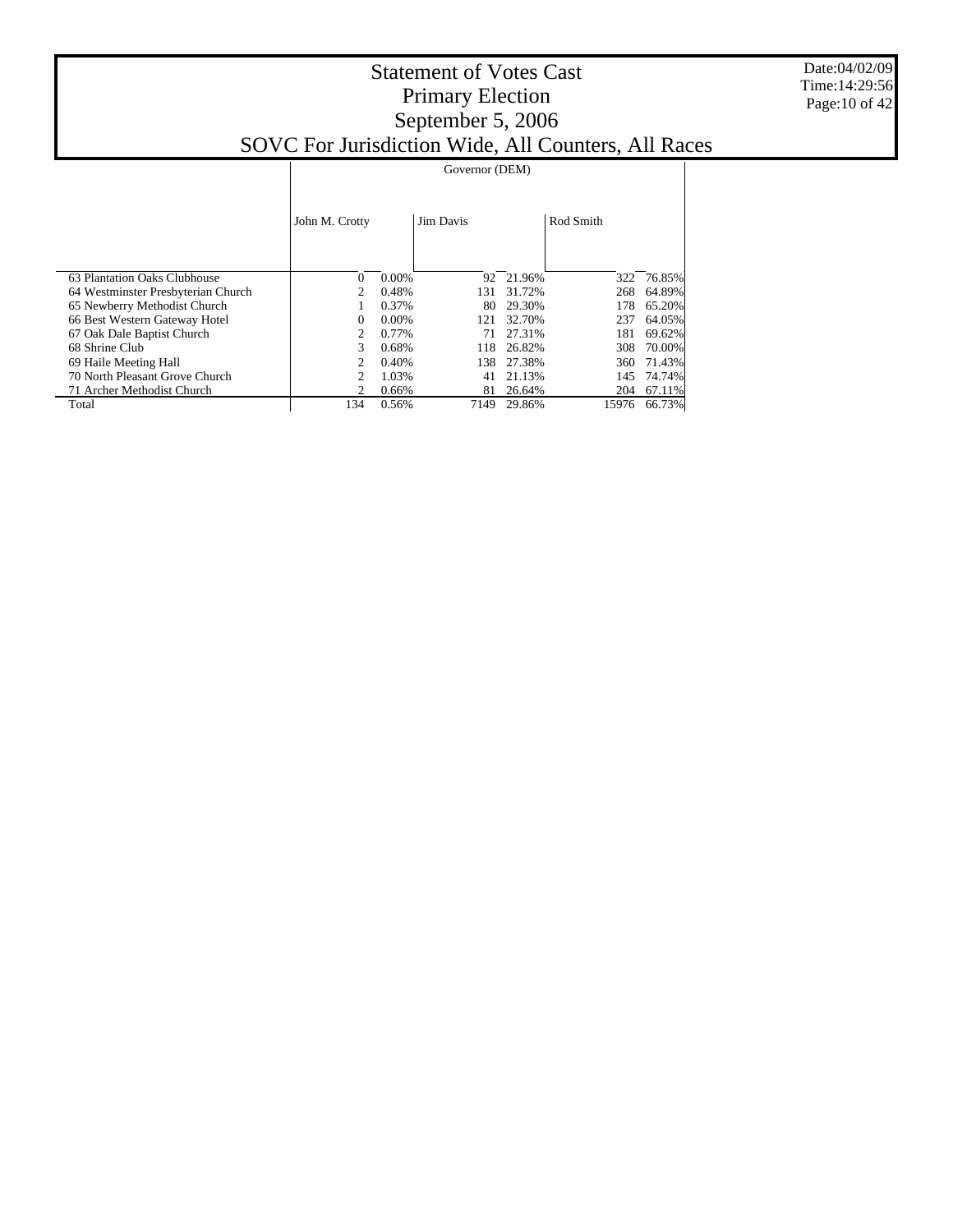|                                    | Governor (DEM) |          |                  |           |           |        |  |  |
|------------------------------------|----------------|----------|------------------|-----------|-----------|--------|--|--|
|                                    | John M. Crotty |          | <b>Jim Davis</b> |           | Rod Smith |        |  |  |
| 63 Plantation Oaks Clubhouse       | 0              | 0.00%    |                  | 92 21.96% | 322       | 76.85% |  |  |
| 64 Westminster Presbyterian Church | 2              | 0.48%    | 131              | 31.72%    | 268       | 64.89% |  |  |
| 65 Newberry Methodist Church       |                | 0.37%    | 80               | 29.30%    | 178       | 65.20% |  |  |
| 66 Best Western Gateway Hotel      | 0              | $0.00\%$ | 121              | 32.70%    | 237       | 64.05% |  |  |
| 67 Oak Dale Baptist Church         | 2              | 0.77%    | 71               | 27.31%    | 181       | 69.62% |  |  |
| 68 Shrine Club                     | 3              | 0.68%    | 118              | 26.82%    | 308       | 70.00% |  |  |
| 69 Haile Meeting Hall              | 2              | 0.40%    | 138              | 27.38%    | 360       | 71.43% |  |  |
| 70 North Pleasant Grove Church     | 2              | 1.03%    | 41               | 21.13%    | 145       | 74.74% |  |  |
| 71 Archer Methodist Church         | 2              | 0.66%    | 81               | 26.64%    | 204       | 67.11% |  |  |
| Total                              | 134            | 0.56%    | 7149             | 29.86%    | 15976     | 66.73% |  |  |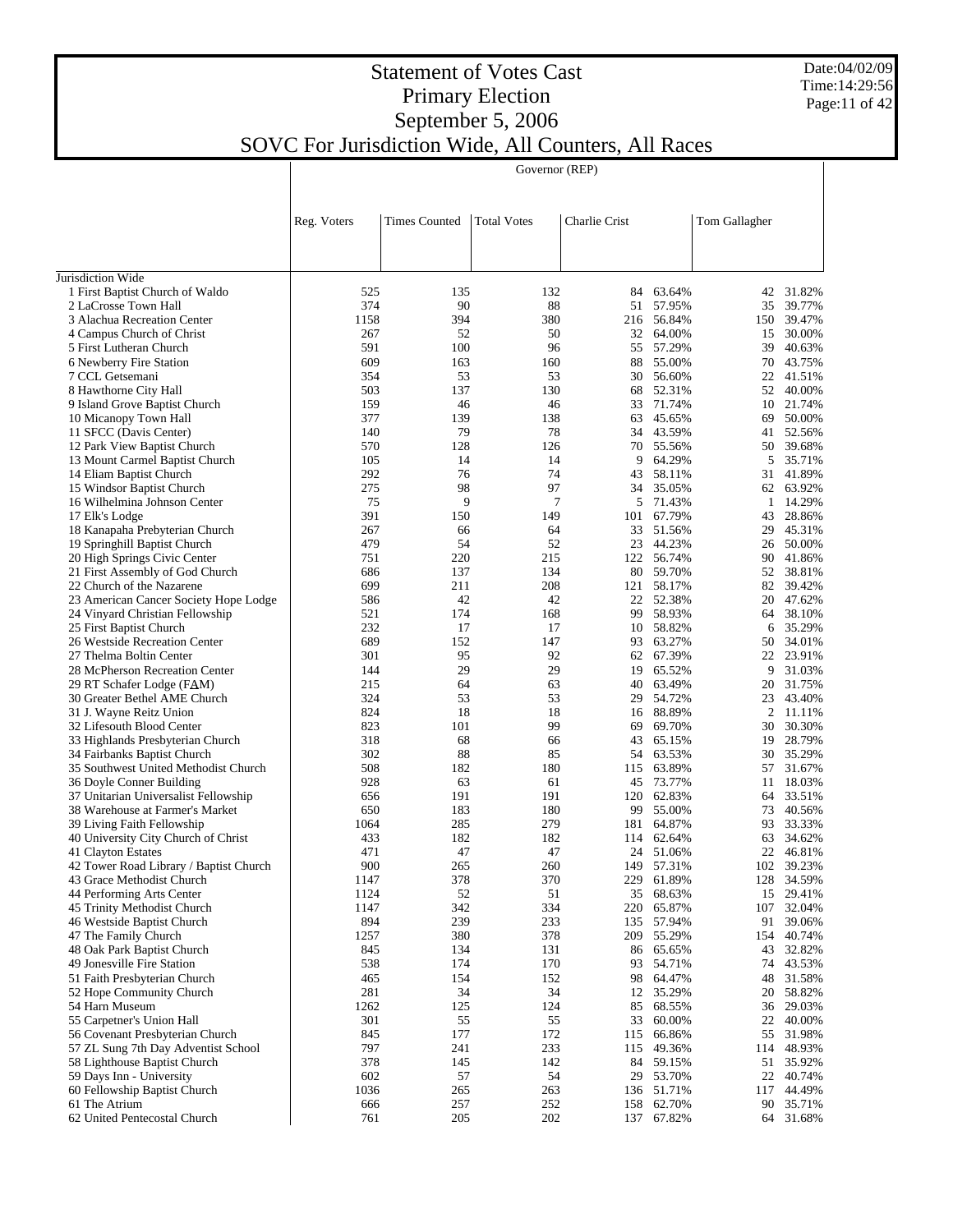Date:04/02/09 Time:14:29:56 Page:11 of 42

## Statement of Votes Cast Primary Election September 5, 2006 SOVC For Jurisdiction Wide, All Counters, All Races

|                                                                         |             |                      | Governor (REP)     |               |                     |               |                        |
|-------------------------------------------------------------------------|-------------|----------------------|--------------------|---------------|---------------------|---------------|------------------------|
|                                                                         |             |                      |                    |               |                     |               |                        |
|                                                                         | Reg. Voters | <b>Times Counted</b> | <b>Total Votes</b> | Charlie Crist |                     | Tom Gallagher |                        |
|                                                                         |             |                      |                    |               |                     |               |                        |
| Jurisdiction Wide                                                       |             |                      |                    |               |                     |               |                        |
| 1 First Baptist Church of Waldo                                         | 525         | 135                  | 132                | 84            | 63.64%              | 42            | 31.82%                 |
| 2 LaCrosse Town Hall                                                    | 374         | 90                   | 88                 | 51            | 57.95%              | 35            | 39.77%                 |
| 3 Alachua Recreation Center                                             | 1158        | 394                  | 380                |               | 216 56.84%          |               | 150 39.47%             |
| 4 Campus Church of Christ                                               | 267         | 52                   | 50                 | 32            | 64.00%              | 15            | 30.00%                 |
| 5 First Lutheran Church                                                 | 591         | 100                  | 96                 | 55            | 57.29%              | 39            | 40.63%                 |
| 6 Newberry Fire Station                                                 | 609         | 163                  | 160                | 88            | 55.00%              |               | 70 43.75%              |
| 7 CCL Getsemani                                                         | 354         | 53                   | 53                 | 30            | 56.60%              |               | 22 41.51%              |
| 8 Hawthorne City Hall                                                   | 503         | 137                  | 130                | 68            | 52.31%              |               | 52 40.00%              |
| 9 Island Grove Baptist Church<br>10 Micanopy Town Hall                  | 159<br>377  | 46<br>139            | 46<br>138          | 33<br>63      | 71.74%<br>45.65%    | 69            | 10 21.74%<br>50.00%    |
| 11 SFCC (Davis Center)                                                  | 140         | 79                   | 78                 | 34            | 43.59%              | 41            | 52.56%                 |
| 12 Park View Baptist Church                                             | 570         | 128                  | 126                | 70            | 55.56%              |               | 50 39.68%              |
| 13 Mount Carmel Baptist Church                                          | 105         | 14                   | 14                 | 9             | 64.29%              |               | 5 35.71%               |
| 14 Eliam Baptist Church                                                 | 292         | 76                   | 74                 | 43            | 58.11%              | 31            | 41.89%                 |
| 15 Windsor Baptist Church                                               | 275         | 98                   | 97                 | 34            | 35.05%              |               | 62 63.92%              |
| 16 Wilhelmina Johnson Center                                            | 75          | 9                    | 7                  | 5             | 71.43%              | 1             | 14.29%                 |
| 17 Elk's Lodge                                                          | 391         | 150                  | 149                | 101           | 67.79%              | 43            | 28.86%                 |
| 18 Kanapaha Prebyterian Church                                          | 267         | 66                   | 64                 | 33            | 51.56%              | 29            | 45.31%                 |
| 19 Springhill Baptist Church                                            | 479         | 54                   | 52                 | 23            | 44.23%              |               | 26 50.00%              |
| 20 High Springs Civic Center                                            | 751         | 220                  | 215                | 122           | 56.74%              | 90            | 41.86%                 |
| 21 First Assembly of God Church                                         | 686         | 137                  | 134                | 80            | 59.70%              |               | 52 38.81%              |
| 22 Church of the Nazarene                                               | 699         | 211                  | 208                | 121           | 58.17%              | 82            | 39.42%                 |
| 23 American Cancer Society Hope Lodge                                   | 586         | 42                   | 42                 | 22            | 52.38%              | 20            | 47.62%                 |
| 24 Vinyard Christian Fellowship                                         | 521<br>232  | 174<br>17            | 168<br>17          | 99            | 58.93%<br>10 58.82% | 64<br>6       | 38.10%<br>35.29%       |
| 25 First Baptist Church<br>26 Westside Recreation Center                | 689         | 152                  | 147                | 93            | 63.27%              |               | 50 34.01%              |
| 27 Thelma Boltin Center                                                 | 301         | 95                   | 92                 | 62            | 67.39%              |               | 22 23.91%              |
| 28 McPherson Recreation Center                                          | 144         | 29                   | 29                 | 19            | 65.52%              | 9             | 31.03%                 |
| 29 RT Schafer Lodge (FAM)                                               | 215         | 64                   | 63                 | 40            | 63.49%              | 20            | 31.75%                 |
| 30 Greater Bethel AME Church                                            | 324         | 53                   | 53                 | 29            | 54.72%              | 23            | 43.40%                 |
| 31 J. Wayne Reitz Union                                                 | 824         | 18                   | 18                 | 16            | 88.89%              |               | 2 11.11%               |
| 32 Lifesouth Blood Center                                               | 823         | 101                  | 99                 | 69            | 69.70%              | 30            | 30.30%                 |
| 33 Highlands Presbyterian Church                                        | 318         | 68                   | 66                 | 43            | 65.15%              | 19            | 28.79%                 |
| 34 Fairbanks Baptist Church                                             | 302         | 88                   | 85                 | 54            | 63.53%              |               | 30 35.29%              |
| 35 Southwest United Methodist Church                                    | 508         | 182                  | 180                | 115           | 63.89%              |               | 57 31.67%              |
| 36 Doyle Conner Building                                                | 928         | 63                   | 61                 | 45            | 73.77%              | 11            | 18.03%                 |
| 37 Unitarian Universalist Fellowship<br>38 Warehouse at Farmer's Market | 656         | 191                  | 191<br>180         | 120           | 62.83%              |               | 64 33.51%              |
| 39 Living Faith Fellowship                                              | 650<br>1064 | 183<br>285           | 279                | 99<br>181     | 55.00%<br>64.87%    | 93.           | 73 40.56%<br>33.33%    |
| 40 University City Church of Christ                                     | 433         | 182                  | 182                |               | 114 62.64%          |               | 63 34.62%              |
| 41 Clayton Estates                                                      | 471         | 47                   | 47                 |               | 24 51.06%           | 22            | 46.81%                 |
| 42 Tower Road Library / Baptist Church                                  | 900         | 265                  | 260                | 149           | 57.31%              |               | 102 39.23%             |
| 43 Grace Methodist Church                                               | 1147        | 378                  | 370                | 229           | 61.89%              |               | 128 34.59%             |
| 44 Performing Arts Center                                               | 1124        | 52                   | 51                 | 35            | 68.63%              |               | 15 29.41%              |
| 45 Trinity Methodist Church                                             | 1147        | 342                  | 334                | 220           | 65.87%              |               | 107 32.04%             |
| 46 Westside Baptist Church                                              | 894         | 239                  | 233                | 135           | 57.94%              | 91            | 39.06%                 |
| 47 The Family Church                                                    | 1257        | 380                  | 378                | 209           | 55.29%              |               | 154 40.74%             |
| 48 Oak Park Baptist Church                                              | 845         | 134                  | 131                | 86            | 65.65%              |               | 43 32.82%              |
| 49 Jonesville Fire Station                                              | 538         | 174                  | 170                | 93            | 54.71%              |               | 74 43.53%              |
| 51 Faith Presbyterian Church                                            | 465         | 154                  | 152                | 98            | 64.47%              | 48            | 31.58%                 |
| 52 Hope Community Church<br>54 Harn Museum                              | 281         | 34                   | 34                 | 12            | 35.29%              |               | 20 58.82%              |
| 55 Carpetner's Union Hall                                               | 1262<br>301 | 125<br>55            | 124<br>55          | 85<br>33      | 68.55%<br>60.00%    |               | 36 29.03%<br>22 40.00% |
| 56 Covenant Presbyterian Church                                         | 845         | 177                  | 172                | 115           | 66.86%              |               | 55 31.98%              |
| 57 ZL Sung 7th Day Adventist School                                     | 797         | 241                  | 233                | 115           | 49.36%              |               | 114 48.93%             |
| 58 Lighthouse Baptist Church                                            | 378         | 145                  | 142                | 84            | 59.15%              | 51            | 35.92%                 |
| 59 Days Inn - University                                                | 602         | 57                   | 54                 | 29            | 53.70%              |               | 22 40.74%              |
| 60 Fellowship Baptist Church                                            | 1036        | 265                  | 263                | 136           | 51.71%              | 117           | 44.49%                 |
| 61 The Atrium                                                           | 666         | 257                  | 252                |               | 158 62.70%          |               | 90 35.71%              |
| 62 United Pentecostal Church                                            | 761         | 205                  | 202                |               | 137 67.82%          |               | 64 31.68%              |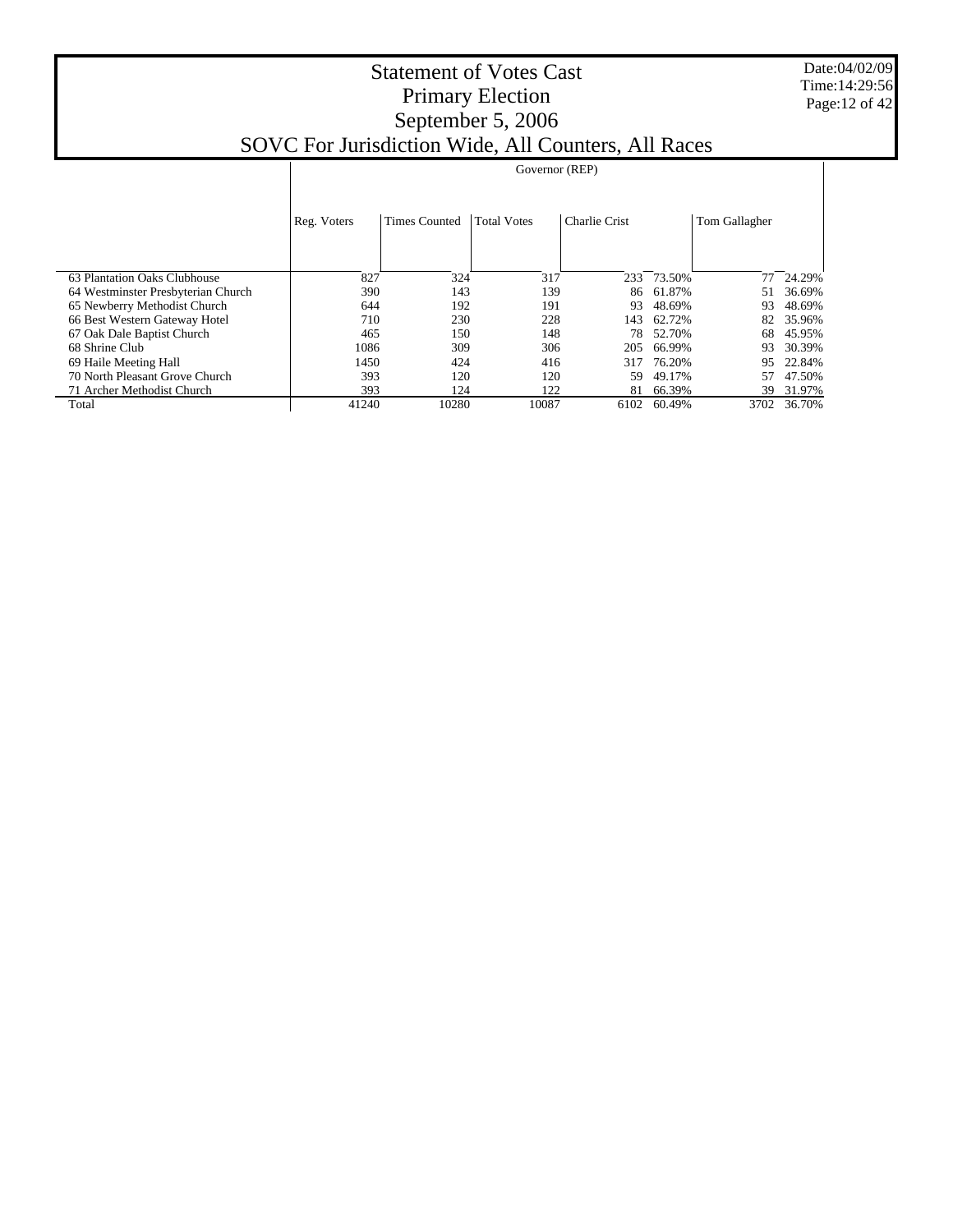Date:04/02/09 Time:14:29:56 Page:12 of 42

| $SO$ VC TOI JUITSUICHOIL WHIC, AIT COUNTERS, AIT NACES |             |                      |                    |                      |        |               |        |  |
|--------------------------------------------------------|-------------|----------------------|--------------------|----------------------|--------|---------------|--------|--|
|                                                        |             |                      | Governor (REP)     |                      |        |               |        |  |
|                                                        |             |                      |                    |                      |        |               |        |  |
|                                                        | Reg. Voters | <b>Times Counted</b> | <b>Total Votes</b> | <b>Charlie Crist</b> |        | Tom Gallagher |        |  |
|                                                        |             |                      |                    |                      |        |               |        |  |
|                                                        |             |                      |                    |                      |        |               |        |  |
| 63 Plantation Oaks Clubhouse                           | 827         | 324                  | 317                | 233                  | 73.50% | 77            | 24.29% |  |
| 64 Westminster Presbyterian Church                     | 390         | 143                  | 139                | 86                   | 61.87% | 51            | 36.69% |  |
| 65 Newberry Methodist Church                           | 644         | 192                  | 191                | 93                   | 48.69% | 93            | 48.69% |  |
| 66 Best Western Gateway Hotel                          | 710         | 230                  | 228                | 143                  | 62.72% | 82            | 35.96% |  |
| 67 Oak Dale Baptist Church                             | 465         | 150                  | 148                | 78                   | 52.70% | 68            | 45.95% |  |
| 68 Shrine Club                                         | 1086        | 309                  | 306                | 205                  | 66.99% | 93            | 30.39% |  |
| 69 Haile Meeting Hall                                  | 1450        | 424                  | 416                | 317                  | 76.20% | 95            | 22.84% |  |
| 70 North Pleasant Grove Church                         | 393         | 120                  | 120                | 59                   | 49.17% | 57            | 47.50% |  |
| 71 Archer Methodist Church                             | 393         | 124                  | 122                | 81                   | 66.39% | 39            | 31.97% |  |
| Total                                                  | 41240       | 10280                | 10087              | 6102                 | 60.49% | 3702          | 36.70% |  |
|                                                        |             |                      |                    |                      |        |               |        |  |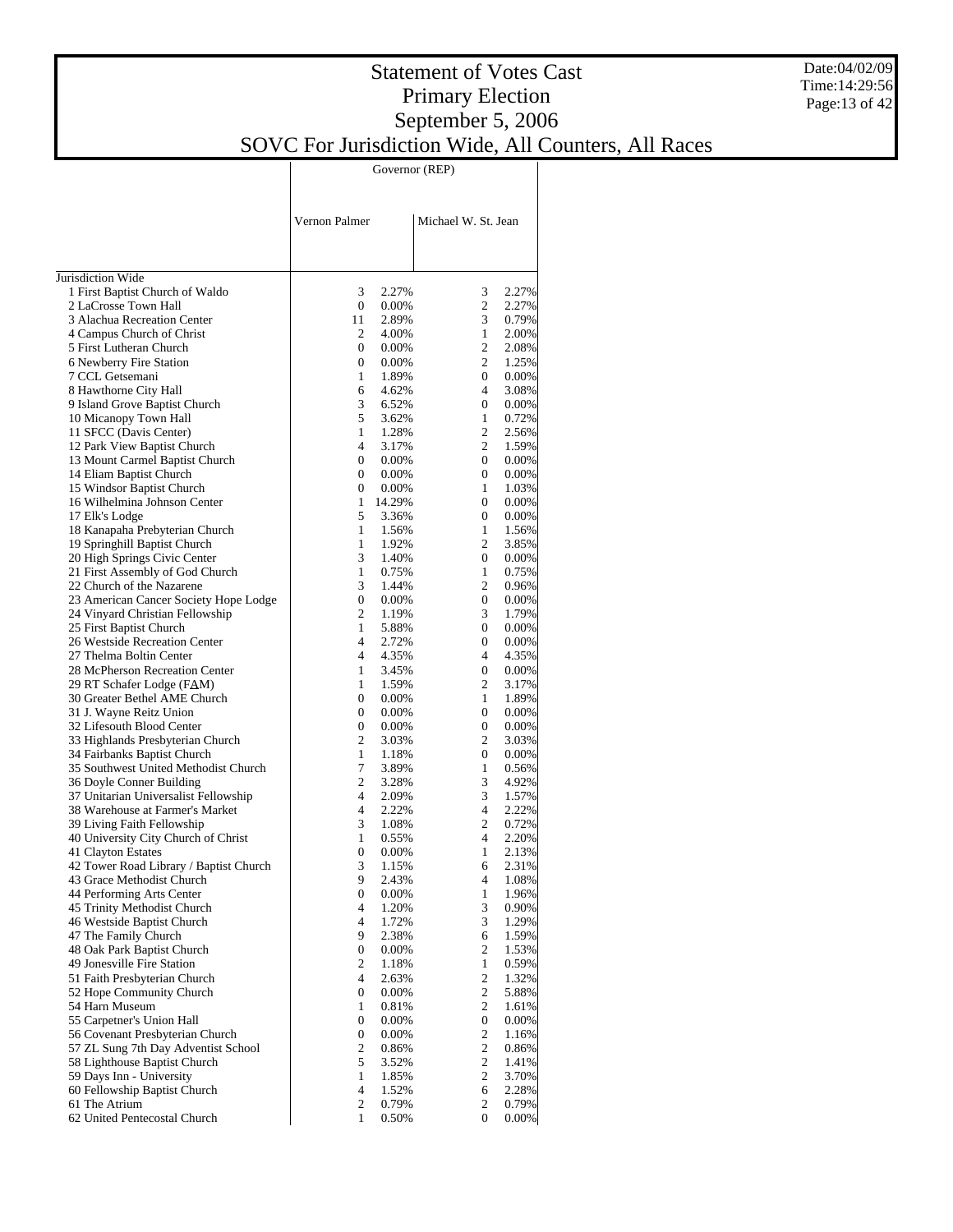#### Date:04/02/09 Time:14:29:56 Page:13 of 42

|                                                           | Vernon Palmer       |                   | Michael W. St. Jean |                     |                |
|-----------------------------------------------------------|---------------------|-------------------|---------------------|---------------------|----------------|
|                                                           |                     |                   |                     |                     |                |
|                                                           |                     |                   |                     |                     |                |
| Jurisdiction Wide                                         |                     |                   |                     |                     |                |
| 1 First Baptist Church of Waldo                           | 3                   | 2.27%             |                     | 3                   | 2.27%          |
| 2 LaCrosse Town Hall                                      | $\mathbf{0}$        | $0.00\%$          |                     | $\overline{c}$      | 2.27%          |
| 3 Alachua Recreation Center                               | 11                  | 2.89%             |                     | 3                   | 0.79%          |
| 4 Campus Church of Christ                                 | 2                   | 4.00%             |                     | $\mathbf{1}$        | 2.00%          |
| 5 First Lutheran Church                                   | $\mathbf{0}$        | $0.00\%$          |                     | $\overline{c}$<br>2 | 2.08%          |
| 6 Newberry Fire Station<br>7 CCL Getsemani                | 0<br>1              | $0.00\%$<br>1.89% |                     | 0                   | 1.25%<br>0.00% |
| 8 Hawthorne City Hall                                     | 6                   | 4.62%             |                     | 4                   | 3.08%          |
| 9 Island Grove Baptist Church                             | 3                   | 6.52%             |                     | 0                   | $0.00\%$       |
| 10 Micanopy Town Hall                                     | 5                   | 3.62%             |                     | 1                   | 0.72%          |
| 11 SFCC (Davis Center)                                    | $\mathbf{1}$        | 1.28%             |                     | $\overline{c}$      | 2.56%          |
| 12 Park View Baptist Church                               | $\overline{4}$      | 3.17%             |                     | 2                   | 1.59%          |
| 13 Mount Carmel Baptist Church                            | $\mathbf{0}$        | $0.00\%$          |                     | 0                   | $0.00\%$       |
| 14 Eliam Baptist Church                                   | 0                   | $0.00\%$          |                     | 0                   | 0.00%          |
| 15 Windsor Baptist Church                                 | 0                   | $0.00\%$          |                     | 1                   | 1.03%          |
| 16 Wilhelmina Johnson Center                              | 1                   | 14.29%            |                     | 0                   | $0.00\%$       |
| 17 Elk's Lodge<br>18 Kanapaha Prebyterian Church          | 5<br>$\mathbf{1}$   | 3.36%<br>1.56%    |                     | 0<br>1              | 0.00%          |
| 19 Springhill Baptist Church                              | $\mathbf{1}$        | 1.92%             |                     | 2                   | 1.56%<br>3.85% |
| 20 High Springs Civic Center                              | 3                   | 1.40%             |                     | 0                   | 0.00%          |
| 21 First Assembly of God Church                           | $\mathbf{1}$        | 0.75%             |                     | 1                   | 0.75%          |
| 22 Church of the Nazarene                                 | 3                   | 1.44%             |                     | 2                   | 0.96%          |
| 23 American Cancer Society Hope Lodge                     | $\mathbf{0}$        | 0.00%             |                     | 0                   | 0.00%          |
| 24 Vinyard Christian Fellowship                           | $\overline{c}$      | 1.19%             |                     | 3                   | 1.79%          |
| 25 First Baptist Church                                   | $\mathbf{1}$        | 5.88%             |                     | 0                   | 0.00%          |
| 26 Westside Recreation Center                             | $\overline{4}$      | 2.72%             |                     | 0                   | 0.00%          |
| 27 Thelma Boltin Center                                   | $\overline{4}$      | 4.35%             |                     | 4                   | 4.35%          |
| 28 McPherson Recreation Center                            | $\mathbf{1}$        | 3.45%             |                     | 0                   | 0.00%          |
| 29 RT Schafer Lodge (FAM)                                 | $\mathbf{1}$        | 1.59%             |                     | 2                   | 3.17%          |
| 30 Greater Bethel AME Church                              | $\mathbf{0}$        | $0.00\%$          |                     | $\mathbf{1}$        | 1.89%          |
| 31 J. Wayne Reitz Union<br>32 Lifesouth Blood Center      | 0<br>$\mathbf{0}$   | $0.00\%$          |                     | 0<br>0              | $0.00\%$       |
| 33 Highlands Presbyterian Church                          | $\overline{c}$      | $0.00\%$<br>3.03% |                     | 2                   | 0.00%<br>3.03% |
| 34 Fairbanks Baptist Church                               | $\mathbf{1}$        | 1.18%             |                     | 0                   | $0.00\%$       |
| 35 Southwest United Methodist Church                      | 7                   | 3.89%             |                     | 1                   | 0.56%          |
| 36 Doyle Conner Building                                  | 2                   | 3.28%             |                     | 3                   | 4.92%          |
| 37 Unitarian Universalist Fellowship                      | $\overline{4}$      | 2.09%             |                     | 3                   | 1.57%          |
| 38 Warehouse at Farmer's Market                           | $\overline{4}$      | 2.22%             |                     | $\overline{4}$      | 2.22%          |
| 39 Living Faith Fellowship                                | 3                   | 1.08%             |                     | $\overline{c}$      | 0.72%          |
| 40 University City Church of Christ                       | $\mathbf{1}$        | 0.55%             |                     | 4                   | 2.20%          |
| 41 Clayton Estates                                        | $\boldsymbol{0}$    | $0.00\%$          |                     | 1                   | 2.13%          |
| 42 Tower Road Library / Baptist Church                    | 3                   | 1.15%             |                     | 6                   | 2.31%          |
| 43 Grace Methodist Church                                 | 9                   | 2.43%             |                     | 4                   | 1.08%          |
| 44 Performing Arts Center                                 | $\boldsymbol{0}$    | 0.00%             |                     | 1                   | 1.96%          |
| 45 Trinity Methodist Church<br>46 Westside Baptist Church | 4<br>$\overline{4}$ | 1.20%             |                     | 3<br>3              | 0.90%          |
| 47 The Family Church                                      | 9                   | 1.72%<br>2.38%    |                     | 6                   | 1.29%<br>1.59% |
| 48 Oak Park Baptist Church                                | $\boldsymbol{0}$    | 0.00%             |                     | 2                   | 1.53%          |
| 49 Jonesville Fire Station                                | 2                   | 1.18%             |                     | 1                   | 0.59%          |
| 51 Faith Presbyterian Church                              | $\overline{4}$      | 2.63%             |                     | $\mathfrak{2}$      | 1.32%          |
| 52 Hope Community Church                                  | $\boldsymbol{0}$    | 0.00%             |                     | 2                   | 5.88%          |
| 54 Harn Museum                                            | $\mathbf{1}$        | 0.81%             |                     | $\mathbf{c}$        | 1.61%          |
| 55 Carpetner's Union Hall                                 | $\boldsymbol{0}$    | 0.00%             |                     | $\boldsymbol{0}$    | 0.00%          |
| 56 Covenant Presbyterian Church                           | $\boldsymbol{0}$    | 0.00%             |                     | $\mathfrak{2}$      | 1.16%          |
| 57 ZL Sung 7th Day Adventist School                       | $\mathfrak{2}$      | 0.86%             |                     | 2                   | 0.86%          |
| 58 Lighthouse Baptist Church                              | 5                   | 3.52%             |                     | $\mathfrak{2}$      | 1.41%          |
| 59 Days Inn - University                                  | $\mathbf{1}$        | 1.85%             |                     | $\mathfrak{2}$      | 3.70%          |
| 60 Fellowship Baptist Church                              | 4                   | 1.52%             |                     | 6                   | 2.28%          |
| 61 The Atrium<br>62 United Pentecostal Church             | 2<br>$\mathbf{1}$   | 0.79%             |                     | 2<br>0              | 0.79%          |
|                                                           |                     | 0.50%             |                     |                     | $0.00\%$       |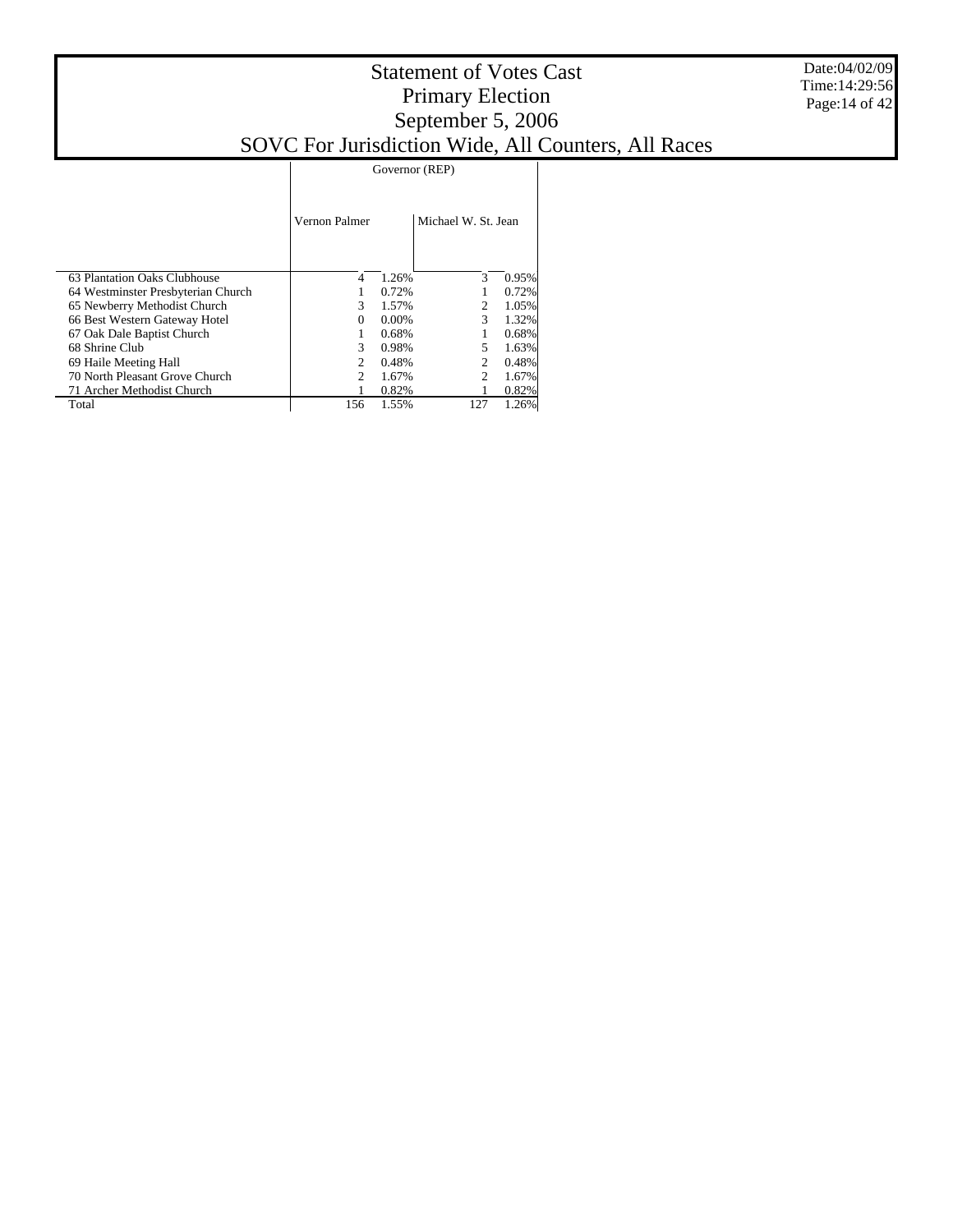|                                    |                             | Governor (REP) |                     |       |  |  |  |  |
|------------------------------------|-----------------------------|----------------|---------------------|-------|--|--|--|--|
|                                    | Vernon Palmer               |                | Michael W. St. Jean |       |  |  |  |  |
| 63 Plantation Oaks Clubhouse       | 4                           | 1.26%          | 3                   | 0.95% |  |  |  |  |
| 64 Westminster Presbyterian Church |                             | 0.72%          |                     | 0.72% |  |  |  |  |
| 65 Newberry Methodist Church       | 3                           | 1.57%          | 2                   | 1.05% |  |  |  |  |
| 66 Best Western Gateway Hotel      | $\Omega$                    | $0.00\%$       | 3                   | 1.32% |  |  |  |  |
| 67 Oak Dale Baptist Church         |                             | 0.68%          |                     | 0.68% |  |  |  |  |
| 68 Shrine Club                     | 3                           | 0.98%          |                     | 1.63% |  |  |  |  |
| 69 Haile Meeting Hall              |                             | 0.48%          |                     | 0.48% |  |  |  |  |
| 70 North Pleasant Grove Church     | $\mathcal{D}_{\mathcal{L}}$ | 1.67%          | $\mathfrak{D}$      | 1.67% |  |  |  |  |
| 71 Archer Methodist Church         |                             | 0.82%          |                     | 0.82% |  |  |  |  |
| Total                              | 156                         | 1.55%          | 127                 | 1.26% |  |  |  |  |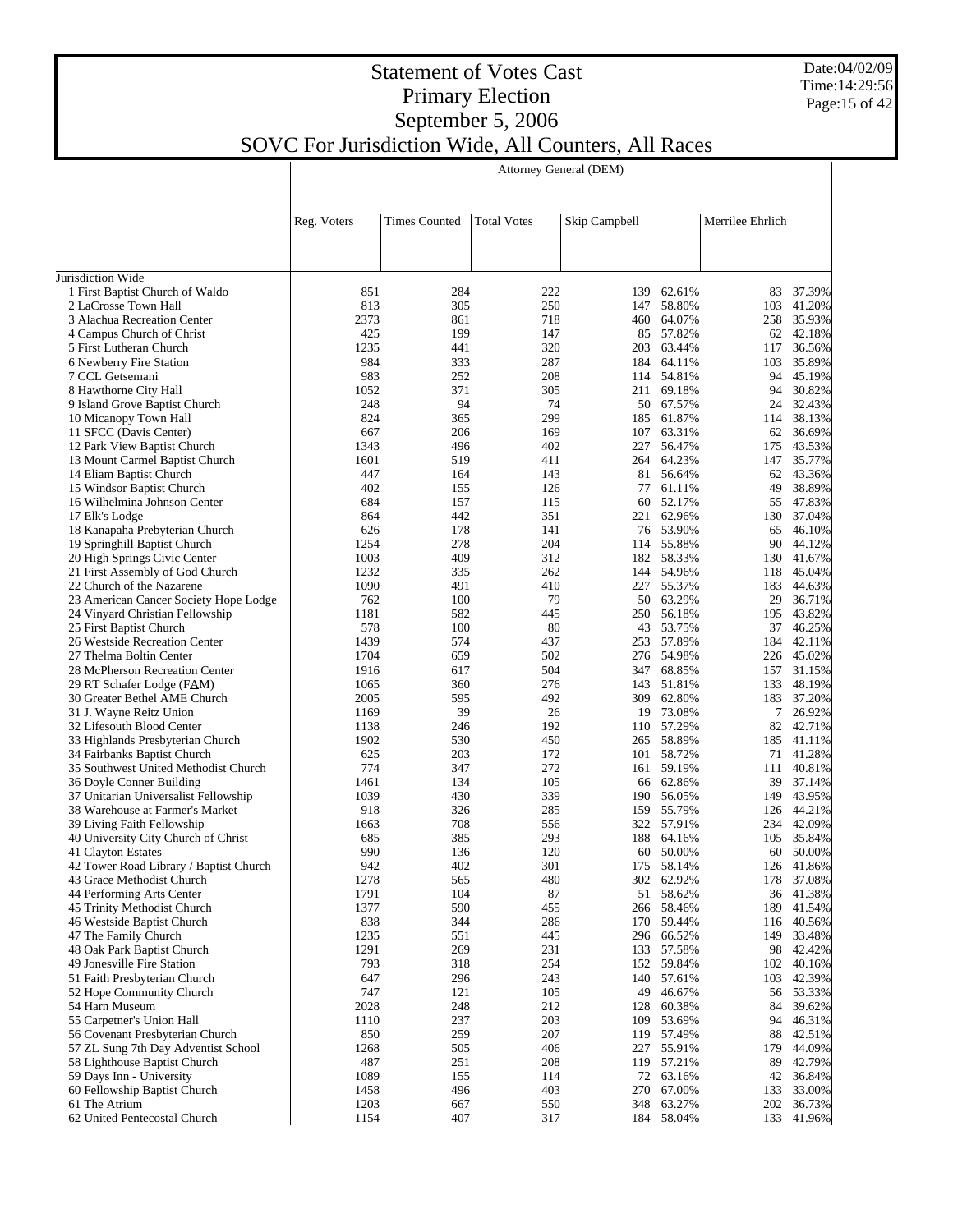Date:04/02/09 Time:14:29:56 Page:15 of 42

 $\overline{\phantom{a}}$ 

#### Statement of Votes Cast Primary Election September 5, 2006 SOVC For Jurisdiction Wide, All Counters, All Races

 $\overline{\phantom{a}}$ 

Attorney General (DEM)

| Reg. Voters<br><b>Times Counted</b><br><b>Total Votes</b><br>Skip Campbell<br>Merrilee Ehrlich<br>Jurisdiction Wide<br>851<br>284<br>222<br>1 First Baptist Church of Waldo<br>62.61%<br>83<br>139<br>250<br>147 58.80%<br>2 LaCrosse Town Hall<br>813<br>305<br>103<br>2373<br>718<br>460 64.07%<br>3 Alachua Recreation Center<br>861<br>199<br>85 57.82%<br>4 Campus Church of Christ<br>425<br>147 | 37.39%<br>41.20%<br>258 35.93%<br>62 42.18%<br>36.56%<br>35.89%<br>45.19%<br>30.82%<br>32.43% |
|--------------------------------------------------------------------------------------------------------------------------------------------------------------------------------------------------------------------------------------------------------------------------------------------------------------------------------------------------------------------------------------------------------|-----------------------------------------------------------------------------------------------|
|                                                                                                                                                                                                                                                                                                                                                                                                        |                                                                                               |
|                                                                                                                                                                                                                                                                                                                                                                                                        |                                                                                               |
|                                                                                                                                                                                                                                                                                                                                                                                                        |                                                                                               |
|                                                                                                                                                                                                                                                                                                                                                                                                        |                                                                                               |
|                                                                                                                                                                                                                                                                                                                                                                                                        |                                                                                               |
|                                                                                                                                                                                                                                                                                                                                                                                                        |                                                                                               |
|                                                                                                                                                                                                                                                                                                                                                                                                        |                                                                                               |
|                                                                                                                                                                                                                                                                                                                                                                                                        |                                                                                               |
| 1235<br>441<br>320<br>5 First Lutheran Church<br>203 63.44%<br>117                                                                                                                                                                                                                                                                                                                                     |                                                                                               |
| 984<br>333<br>287<br>6 Newberry Fire Station<br>184 64.11%<br>103<br>983<br>252<br>208<br>114 54.81%                                                                                                                                                                                                                                                                                                   |                                                                                               |
| 7 CCL Getsemani<br>94<br>371<br>305<br>8 Hawthorne City Hall<br>1052<br>211 69.18%<br>94                                                                                                                                                                                                                                                                                                               |                                                                                               |
| 94<br>74<br>50 67.57%<br>9 Island Grove Baptist Church<br>248<br>24                                                                                                                                                                                                                                                                                                                                    |                                                                                               |
| 824<br>365<br>299<br>185 61.87%<br>10 Micanopy Town Hall<br>114                                                                                                                                                                                                                                                                                                                                        | 38.13%                                                                                        |
| 206<br>63.31%<br>11 SFCC (Davis Center)<br>667<br>169<br>107<br>62                                                                                                                                                                                                                                                                                                                                     | 36.69%                                                                                        |
| 402<br>12 Park View Baptist Church<br>1343<br>496<br>227 56.47%                                                                                                                                                                                                                                                                                                                                        | 175 43.53%                                                                                    |
| 1601<br>411<br>264 64.23%<br>13 Mount Carmel Baptist Church<br>519<br>147                                                                                                                                                                                                                                                                                                                              | 35.77%                                                                                        |
| 14 Eliam Baptist Church<br>447<br>164<br>143<br>81 56.64%<br>62                                                                                                                                                                                                                                                                                                                                        | 43.36%                                                                                        |
| 402<br>15 Windsor Baptist Church<br>155<br>126<br>77 61.11%<br>49                                                                                                                                                                                                                                                                                                                                      | 38.89%                                                                                        |
| 60 52.17%<br>16 Wilhelmina Johnson Center<br>684<br>157<br>115<br>55                                                                                                                                                                                                                                                                                                                                   | 47.83%                                                                                        |
| 442<br>351<br>864<br>221 62.96%<br>130<br>17 Elk's Lodge                                                                                                                                                                                                                                                                                                                                               | 37.04%                                                                                        |
| 178<br>18 Kanapaha Prebyterian Church<br>626<br>141<br>76 53.90%<br>65                                                                                                                                                                                                                                                                                                                                 | 46.10%                                                                                        |
| 1254<br>278<br>204<br>114 55.88%<br>19 Springhill Baptist Church<br>90                                                                                                                                                                                                                                                                                                                                 | 44.12%                                                                                        |
| 1003<br>409<br>312<br>20 High Springs Civic Center<br>182 58.33%                                                                                                                                                                                                                                                                                                                                       | 130 41.67%                                                                                    |
| 1232<br>335<br>262<br>21 First Assembly of God Church<br>144 54.96%                                                                                                                                                                                                                                                                                                                                    | 118 45.04%                                                                                    |
| 1090<br>491<br>410<br>227 55.37%<br>22 Church of the Nazarene                                                                                                                                                                                                                                                                                                                                          | 183 44.63%                                                                                    |
| 100<br>79<br>50 63.29%<br>23 American Cancer Society Hope Lodge<br>762<br>29<br>1181<br>582<br>445<br>250 56.18%                                                                                                                                                                                                                                                                                       | 36.71%                                                                                        |
| 24 Vinyard Christian Fellowship<br>578<br>100<br>80<br>43 53.75%<br>25 First Baptist Church                                                                                                                                                                                                                                                                                                            | 195 43.82%<br>37 46.25%                                                                       |
| 1439<br>574<br>437<br>253 57.89%<br>26 Westside Recreation Center<br>184                                                                                                                                                                                                                                                                                                                               | 42.11%                                                                                        |
| 1704<br>659<br>502<br>276 54.98%<br>27 Thelma Boltin Center                                                                                                                                                                                                                                                                                                                                            | 226 45.02%                                                                                    |
| 504<br>347 68.85%<br>1916<br>617<br>28 McPherson Recreation Center                                                                                                                                                                                                                                                                                                                                     | 157 31.15%                                                                                    |
| 276<br>1065<br>360<br>143 51.81%<br>29 RT Schafer Lodge (FAM)                                                                                                                                                                                                                                                                                                                                          | 133 48.19%                                                                                    |
| 595<br>492<br>309 62.80%<br>2005<br>30 Greater Bethel AME Church                                                                                                                                                                                                                                                                                                                                       | 183 37.20%                                                                                    |
| 39<br>26<br>19 73.08%<br>31 J. Wayne Reitz Union<br>1169<br>$7^{\circ}$                                                                                                                                                                                                                                                                                                                                | 26.92%                                                                                        |
| 192<br>110 57.29%<br>1138<br>246<br>32 Lifesouth Blood Center                                                                                                                                                                                                                                                                                                                                          | 82 42.71%                                                                                     |
| 1902<br>530<br>450<br>265 58.89%<br>185<br>33 Highlands Presbyterian Church                                                                                                                                                                                                                                                                                                                            | 41.11%                                                                                        |
| 203<br>172<br>101 58.72%<br>625<br>34 Fairbanks Baptist Church                                                                                                                                                                                                                                                                                                                                         | 71 41.28%                                                                                     |
| 774<br>347<br>272<br>35 Southwest United Methodist Church<br>161 59.19%                                                                                                                                                                                                                                                                                                                                | 111 40.81%                                                                                    |
| 1461<br>134<br>105<br>66 62.86%<br>36 Doyle Conner Building                                                                                                                                                                                                                                                                                                                                            | 39 37.14%                                                                                     |
| 1039<br>339<br>37 Unitarian Universalist Fellowship<br>430<br>190 56.05%                                                                                                                                                                                                                                                                                                                               | 149 43.95%                                                                                    |
| 38 Warehouse at Farmer's Market<br>918<br>326<br>285<br>159 55.79%                                                                                                                                                                                                                                                                                                                                     | 126 44.21%                                                                                    |
| 708<br>556<br>39 Living Faith Fellowship<br>1663<br>322 57.91%                                                                                                                                                                                                                                                                                                                                         | 234 42.09%                                                                                    |
| 40 University City Church of Christ<br>385<br>293<br>188 64.16%<br>685<br>41 Clayton Estates<br>990<br>136<br>120<br>60 50.00%<br>60                                                                                                                                                                                                                                                                   | 105 35.84%<br>50.00%                                                                          |
| 402<br>42 Tower Road Library / Baptist Church<br>942<br>301<br>175 58.14%                                                                                                                                                                                                                                                                                                                              | 126 41.86%                                                                                    |
| 43 Grace Methodist Church<br>1278<br>565<br>480<br>302 62.92%                                                                                                                                                                                                                                                                                                                                          | 178 37.08%                                                                                    |
| 1791<br>104<br>87<br>51 58.62%<br>44 Performing Arts Center                                                                                                                                                                                                                                                                                                                                            | 36 41.38%                                                                                     |
| 1377<br>590<br>45 Trinity Methodist Church<br>455<br>266 58.46%                                                                                                                                                                                                                                                                                                                                        | 189 41.54%                                                                                    |
| 838<br>344<br>46 Westside Baptist Church<br>286<br>170 59.44%                                                                                                                                                                                                                                                                                                                                          | 116 40.56%                                                                                    |
| 1235<br>47 The Family Church<br>551<br>445<br>296 66.52%<br>149                                                                                                                                                                                                                                                                                                                                        | 33.48%                                                                                        |
| 231<br>48 Oak Park Baptist Church<br>1291<br>269<br>133 57.58%                                                                                                                                                                                                                                                                                                                                         | 98 42.42%                                                                                     |
| 793<br>254<br>49 Jonesville Fire Station<br>318<br>152 59.84%                                                                                                                                                                                                                                                                                                                                          | 102 40.16%                                                                                    |
| 51 Faith Presbyterian Church<br>647<br>296<br>243<br>140 57.61%                                                                                                                                                                                                                                                                                                                                        | 103 42.39%                                                                                    |
| 747<br>121<br>52 Hope Community Church<br>105<br>49<br>46.67%                                                                                                                                                                                                                                                                                                                                          | 56 53.33%                                                                                     |
| 212<br>54 Harn Museum<br>2028<br>248<br>128 60.38%<br>84                                                                                                                                                                                                                                                                                                                                               | 39.62%                                                                                        |
| 203<br>55 Carpetner's Union Hall<br>1110<br>237<br>53.69%<br>109<br>94                                                                                                                                                                                                                                                                                                                                 | 46.31%                                                                                        |
| 259<br>207<br>56 Covenant Presbyterian Church<br>850<br>119 57.49%                                                                                                                                                                                                                                                                                                                                     | 88 42.51%                                                                                     |
| 57 ZL Sung 7th Day Adventist School<br>1268<br>505<br>406<br>227 55.91%<br>179                                                                                                                                                                                                                                                                                                                         | 44.09%                                                                                        |
| 251<br>58 Lighthouse Baptist Church<br>487<br>208<br>119 57.21%<br>89                                                                                                                                                                                                                                                                                                                                  | 42.79%                                                                                        |
| 1089<br>59 Days Inn - University<br>155<br>114<br>72 63.16%                                                                                                                                                                                                                                                                                                                                            | 42 36.84%                                                                                     |
| 60 Fellowship Baptist Church<br>496<br>403<br>270<br>67.00%<br>1458<br>61 The Atrium<br>1203<br>667<br>550<br>348<br>63.27%                                                                                                                                                                                                                                                                            | 133 33.00%<br>202 36.73%                                                                      |
| 62 United Pentecostal Church<br>407<br>1154<br>317<br>184 58.04%                                                                                                                                                                                                                                                                                                                                       | 133 41.96%                                                                                    |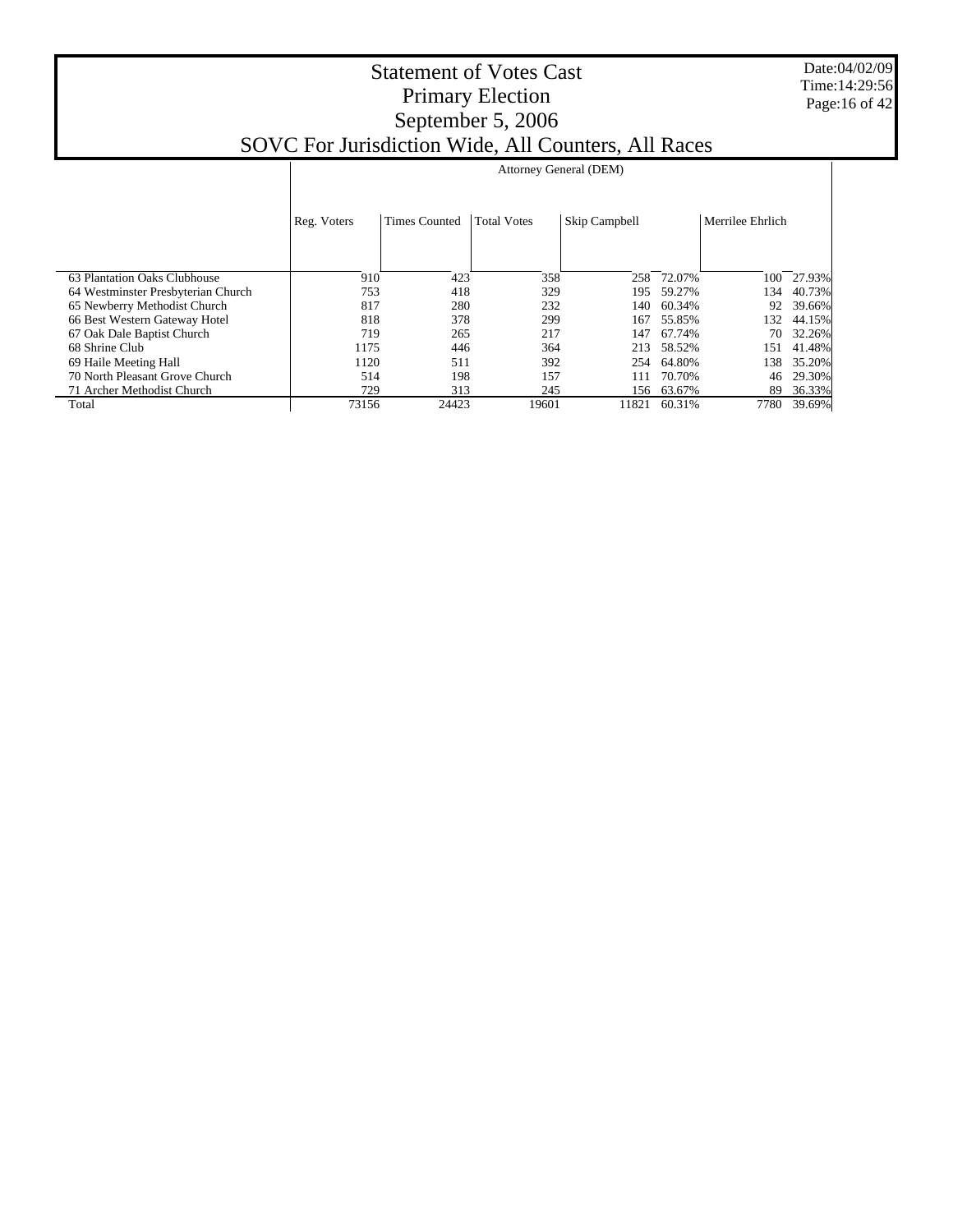Date:04/02/09 Time:14:29:56 Page:16 of 42

|                                    | Attorney General (DEM) |                      |                    |               |            |                  |        |  |
|------------------------------------|------------------------|----------------------|--------------------|---------------|------------|------------------|--------|--|
|                                    | Reg. Voters            | <b>Times Counted</b> | <b>Total Votes</b> | Skip Campbell |            | Merrilee Ehrlich |        |  |
| 63 Plantation Oaks Clubhouse       | 910                    | 423                  | 358                | 258           | 72.07%     | 100              | 27.93% |  |
| 64 Westminster Presbyterian Church | 753                    | 418                  | 329                | 195           | 59.27%     | 134              | 40.73% |  |
| 65 Newberry Methodist Church       | 817                    | 280                  | 232                | 140           | 60.34%     | 92               | 39.66% |  |
| 66 Best Western Gateway Hotel      | 818                    | 378                  | 299                | 167           | 55.85%     | 132              | 44.15% |  |
| 67 Oak Dale Baptist Church         | 719                    | 265                  | 217                | 147           | 67.74%     | 70               | 32.26% |  |
| 68 Shrine Club                     | 1175                   | 446                  | 364                | 213           | 58.52%     | 151              | 41.48% |  |
| 69 Haile Meeting Hall              | 1120                   | 511                  | 392                | 254           | 64.80%     | 138              | 35.20% |  |
| 70 North Pleasant Grove Church     | 514                    | 198                  | 157                | 111           | 70.70%     | 46               | 29.30% |  |
| 71 Archer Methodist Church         | 729                    | 313                  | 245                |               | 156 63.67% | 89               | 36.33% |  |
| Total                              | 73156                  | 24423                | 19601              | 11821         | 60.31%     | 7780             | 39.69% |  |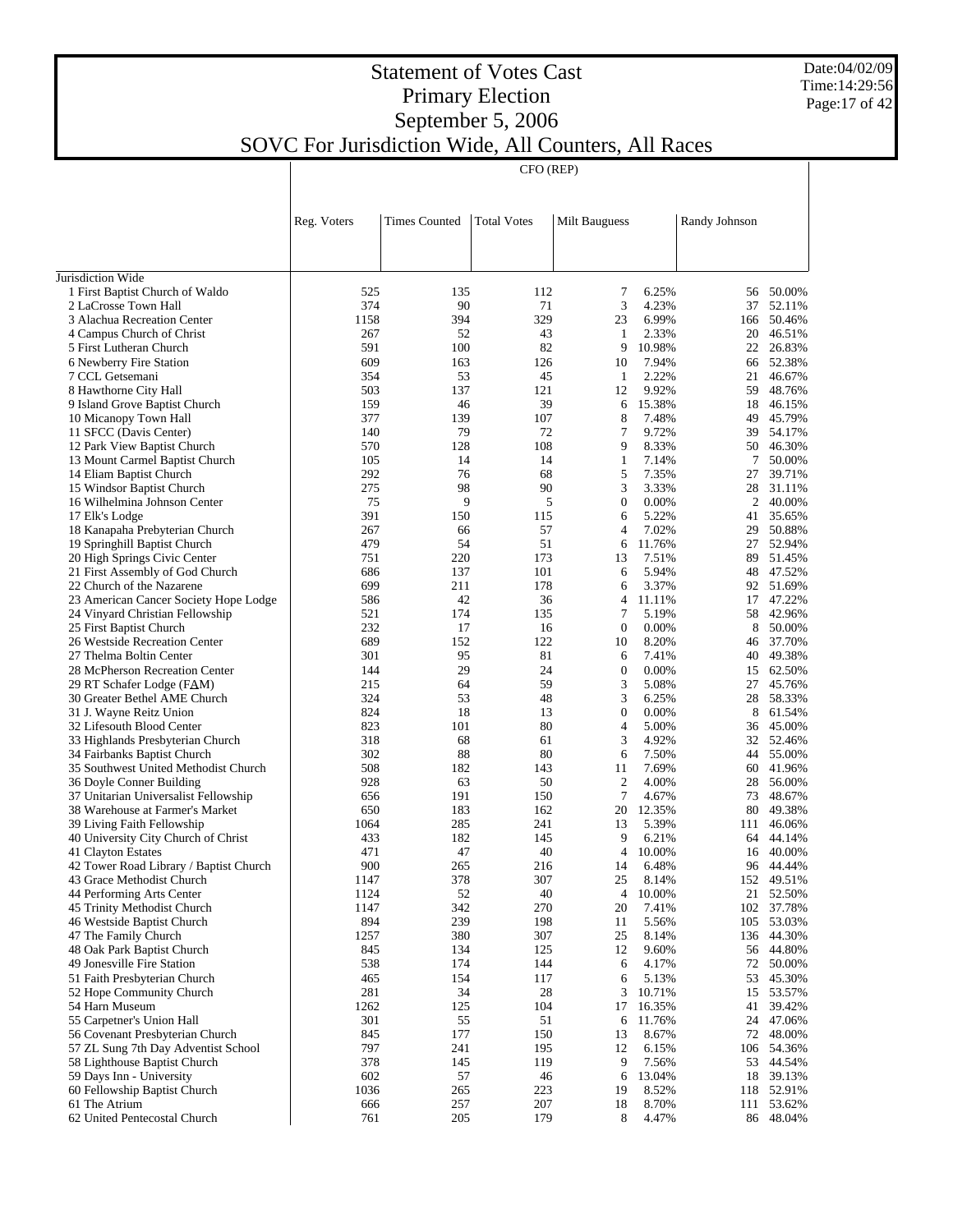#### Date:04/02/09 Time:14:29:56 Page:17 of 42

## Statement of Votes Cast Primary Election September 5, 2006 SOVC For Jurisdiction Wide, All Counters, All Races

CFO (REP)

|                                                                     | Reg. Voters | <b>Times Counted</b> | <b>Total Votes</b> | Milt Bauguess       |                 | Randy Johnson |                  |
|---------------------------------------------------------------------|-------------|----------------------|--------------------|---------------------|-----------------|---------------|------------------|
|                                                                     |             |                      |                    |                     |                 |               |                  |
|                                                                     |             |                      |                    |                     |                 |               |                  |
| Jurisdiction Wide                                                   |             |                      |                    |                     |                 |               |                  |
| 1 First Baptist Church of Waldo                                     | 525         | 135<br>90            | 112                | 7                   | 6.25%           |               | 56 50.00%        |
| 2 LaCrosse Town Hall<br>3 Alachua Recreation Center                 | 374<br>1158 | 394                  | 71<br>329          | 3<br>23             | 4.23%<br>6.99%  | 37            | 52.11%<br>50.46% |
| 4 Campus Church of Christ                                           | 267         | 52                   | 43                 | $\mathbf{1}$        | 2.33%           | 166<br>20     | 46.51%           |
| 5 First Lutheran Church                                             | 591         | 100                  | 82                 | 9                   | 10.98%          | 22            | 26.83%           |
| 6 Newberry Fire Station                                             | 609         | 163                  | 126                | 10                  | 7.94%           | 66            | 52.38%           |
| 7 CCL Getsemani                                                     | 354         | 53                   | 45                 | $\mathbf{1}$        | 2.22%           | 21            | 46.67%           |
| 8 Hawthorne City Hall                                               | 503         | 137                  | 121                | 12                  | 9.92%           | 59            | 48.76%           |
| 9 Island Grove Baptist Church                                       | 159         | 46                   | 39                 | 6                   | 15.38%          | 18            | 46.15%           |
| 10 Micanopy Town Hall                                               | 377         | 139                  | 107                | 8                   | 7.48%           | 49            | 45.79%           |
| 11 SFCC (Davis Center)                                              | 140         | 79                   | 72                 | 7                   | 9.72%           | 39            | 54.17%           |
| 12 Park View Baptist Church                                         | 570         | 128                  | 108                | 9                   | 8.33%           | 50            | 46.30%           |
| 13 Mount Carmel Baptist Church                                      | 105         | 14                   | 14                 | $\mathbf{1}$        | 7.14%           | 7             | 50.00%           |
| 14 Eliam Baptist Church                                             | 292         | 76                   | 68                 | 5                   | 7.35%           | 27            | 39.71%           |
| 15 Windsor Baptist Church                                           | 275         | 98                   | 90                 | 3                   | 3.33%           | 28            | 31.11%           |
| 16 Wilhelmina Johnson Center                                        | 75          | 9                    | 5                  | $\mathbf{0}$        | 0.00%           | 2             | 40.00%           |
| 17 Elk's Lodge                                                      | 391         | 150                  | 115                | 6                   | 5.22%           | 41            | 35.65%           |
| 18 Kanapaha Prebyterian Church<br>19 Springhill Baptist Church      | 267<br>479  | 66<br>54             | 57<br>51           | $\overline{4}$<br>6 | 7.02%<br>11.76% | 29<br>27      | 50.88%<br>52.94% |
| 20 High Springs Civic Center                                        | 751         | 220                  | 173                | 13                  | 7.51%           | 89            | 51.45%           |
| 21 First Assembly of God Church                                     | 686         | 137                  | 101                | 6                   | 5.94%           | 48            | 47.52%           |
| 22 Church of the Nazarene                                           | 699         | 211                  | 178                | 6                   | 3.37%           | 92            | 51.69%           |
| 23 American Cancer Society Hope Lodge                               | 586         | 42                   | 36                 | 4                   | 11.11%          | 17            | 47.22%           |
| 24 Vinyard Christian Fellowship                                     | 521         | 174                  | 135                | 7                   | 5.19%           | 58            | 42.96%           |
| 25 First Baptist Church                                             | 232         | 17                   | 16                 | $\mathbf{0}$        | 0.00%           | 8             | 50.00%           |
| 26 Westside Recreation Center                                       | 689         | 152                  | 122                | 10                  | 8.20%           | 46            | 37.70%           |
| 27 Thelma Boltin Center                                             | 301         | 95                   | 81                 | 6                   | 7.41%           | 40            | 49.38%           |
| 28 McPherson Recreation Center                                      | 144         | 29                   | 24                 | $\boldsymbol{0}$    | 0.00%           | 15            | 62.50%           |
| 29 RT Schafer Lodge (FAM)                                           | 215         | 64                   | 59                 | 3                   | 5.08%           | 27            | 45.76%           |
| 30 Greater Bethel AME Church                                        | 324         | 53                   | 48                 | 3                   | 6.25%           | 28            | 58.33%           |
| 31 J. Wayne Reitz Union                                             | 824         | 18                   | 13                 | $\mathbf{0}$        | 0.00%           | 8             | 61.54%           |
| 32 Lifesouth Blood Center                                           | 823         | 101                  | 80                 | 4                   | 5.00%           | 36            | 45.00%           |
| 33 Highlands Presbyterian Church                                    | 318         | 68                   | 61<br>80           | 3<br>6              | 4.92%           | 32            | 52.46%           |
| 34 Fairbanks Baptist Church<br>35 Southwest United Methodist Church | 302<br>508  | 88<br>182            | 143                | 11                  | 7.50%<br>7.69%  | 44<br>60      | 55.00%<br>41.96% |
| 36 Doyle Conner Building                                            | 928         | 63                   | 50                 | $\mathfrak{2}$      | 4.00%           | 28            | 56.00%           |
| 37 Unitarian Universalist Fellowship                                | 656         | 191                  | 150                | 7                   | 4.67%           | 73            | 48.67%           |
| 38 Warehouse at Farmer's Market                                     | 650         | 183                  | 162                | 20                  | 12.35%          | 80            | 49.38%           |
| 39 Living Faith Fellowship                                          | 1064        | 285                  | 241                | 13                  | 5.39%           | 111           | 46.06%           |
| 40 University City Church of Christ                                 | 433         | 182                  | 145                | 9                   | 6.21%           | 64            | 44.14%           |
| 41 Clayton Estates                                                  | 471         | 47                   | 40                 | $\overline{4}$      | 10.00%          | 16            | 40.00%           |
| 42 Tower Road Library / Baptist Church                              | 900         | 265                  | 216                | 14                  | 6.48%           |               | 96 44.44%        |
| 43 Grace Methodist Church                                           | 1147        | 378                  | 307                | 25                  | 8.14%           |               | 152 49.51%       |
| 44 Performing Arts Center                                           | 1124        | 52                   | 40                 | 4                   | 10.00%          | 21            | 52.50%           |
| 45 Trinity Methodist Church                                         | 1147        | 342                  | 270                | 20                  | 7.41%           | 102           | 37.78%           |
| 46 Westside Baptist Church                                          | 894         | 239                  | 198                | 11                  | 5.56%           | 105           | 53.03%           |
| 47 The Family Church                                                | 1257        | 380                  | 307                | 25                  | 8.14%           |               | 136 44.30%       |
| 48 Oak Park Baptist Church                                          | 845         | 134                  | 125                | 12                  | 9.60%           |               | 56 44.80%        |
| 49 Jonesville Fire Station                                          | 538         | 174                  | 144                | 6                   | 4.17%           | 72            | 50.00%           |
| 51 Faith Presbyterian Church                                        | 465<br>281  | 154<br>34            | 117<br>28          | 6<br>3              | 5.13%<br>10.71% | 53<br>15      | 45.30%<br>53.57% |
| 52 Hope Community Church<br>54 Harn Museum                          | 1262        | 125                  | 104                | 17                  | 16.35%          | 41            | 39.42%           |
| 55 Carpetner's Union Hall                                           | 301         | 55                   | 51                 | 6                   | 11.76%          |               | 24 47.06%        |
| 56 Covenant Presbyterian Church                                     | 845         | 177                  | 150                | 13                  | 8.67%           |               | 72 48.00%        |
| 57 ZL Sung 7th Day Adventist School                                 | 797         | 241                  | 195                | 12                  | 6.15%           | 106           | 54.36%           |
| 58 Lighthouse Baptist Church                                        | 378         | 145                  | 119                | 9                   | 7.56%           |               | 53 44.54%        |
| 59 Days Inn - University                                            | 602         | 57                   | 46                 | 6                   | 13.04%          |               | 18 39.13%        |
| 60 Fellowship Baptist Church                                        | 1036        | 265                  | 223                | 19                  | 8.52%           | 118           | 52.91%           |
| 61 The Atrium                                                       | 666         | 257                  | 207                | 18                  | 8.70%           |               | 111 53.62%       |
| 62 United Pentecostal Church                                        | 761         | 205                  | 179                | 8                   | 4.47%           |               | 86 48.04%        |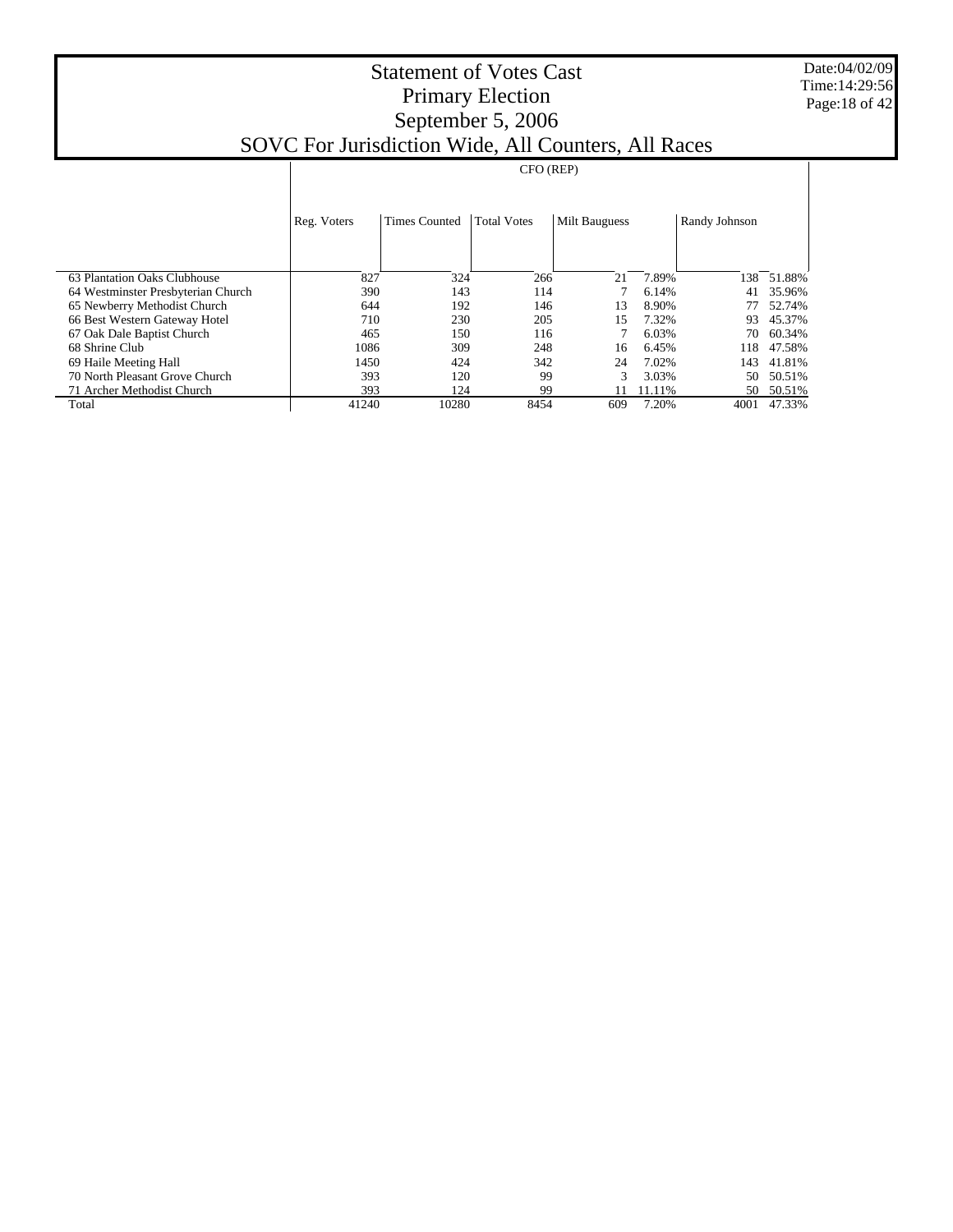Date:04/02/09 Time:14:29:56 Page:18 of 42

|                                    | CFO (REP)   |                      |                    |                      |        |               |        |
|------------------------------------|-------------|----------------------|--------------------|----------------------|--------|---------------|--------|
|                                    | Reg. Voters | <b>Times Counted</b> | <b>Total Votes</b> | <b>Milt Bauguess</b> |        | Randy Johnson |        |
|                                    |             |                      |                    |                      |        |               |        |
| 63 Plantation Oaks Clubhouse       | 827         | 324                  | 266                | 21                   | 7.89%  | 138           | 51.88% |
| 64 Westminster Presbyterian Church | 390         | 143                  | 114                |                      | 6.14%  | 41            | 35.96% |
| 65 Newberry Methodist Church       | 644         | 192                  | 146                | 13                   | 8.90%  |               | 52.74% |
| 66 Best Western Gateway Hotel      | 710         | 230                  | 205                | 15                   | 7.32%  | 93            | 45.37% |
| 67 Oak Dale Baptist Church         | 465         | 150                  | 116                |                      | 6.03%  | 70            | 60.34% |
| 68 Shrine Club                     | 1086        | 309                  | 248                | 16                   | 6.45%  | 118           | 47.58% |
| 69 Haile Meeting Hall              | 1450        | 424                  | 342                | 24                   | 7.02%  | 143           | 41.81% |
| 70 North Pleasant Grove Church     | 393         | 120                  | 99                 | 3                    | 3.03%  | 50            | 50.51% |
| 71 Archer Methodist Church         | 393         | 124                  | 99                 |                      | 11.11% | 50            | 50.51% |
| Total                              | 41240       | 10280                | 8454               | 609                  | 7.20%  | 4001          | 47.33% |
|                                    |             |                      |                    |                      |        |               |        |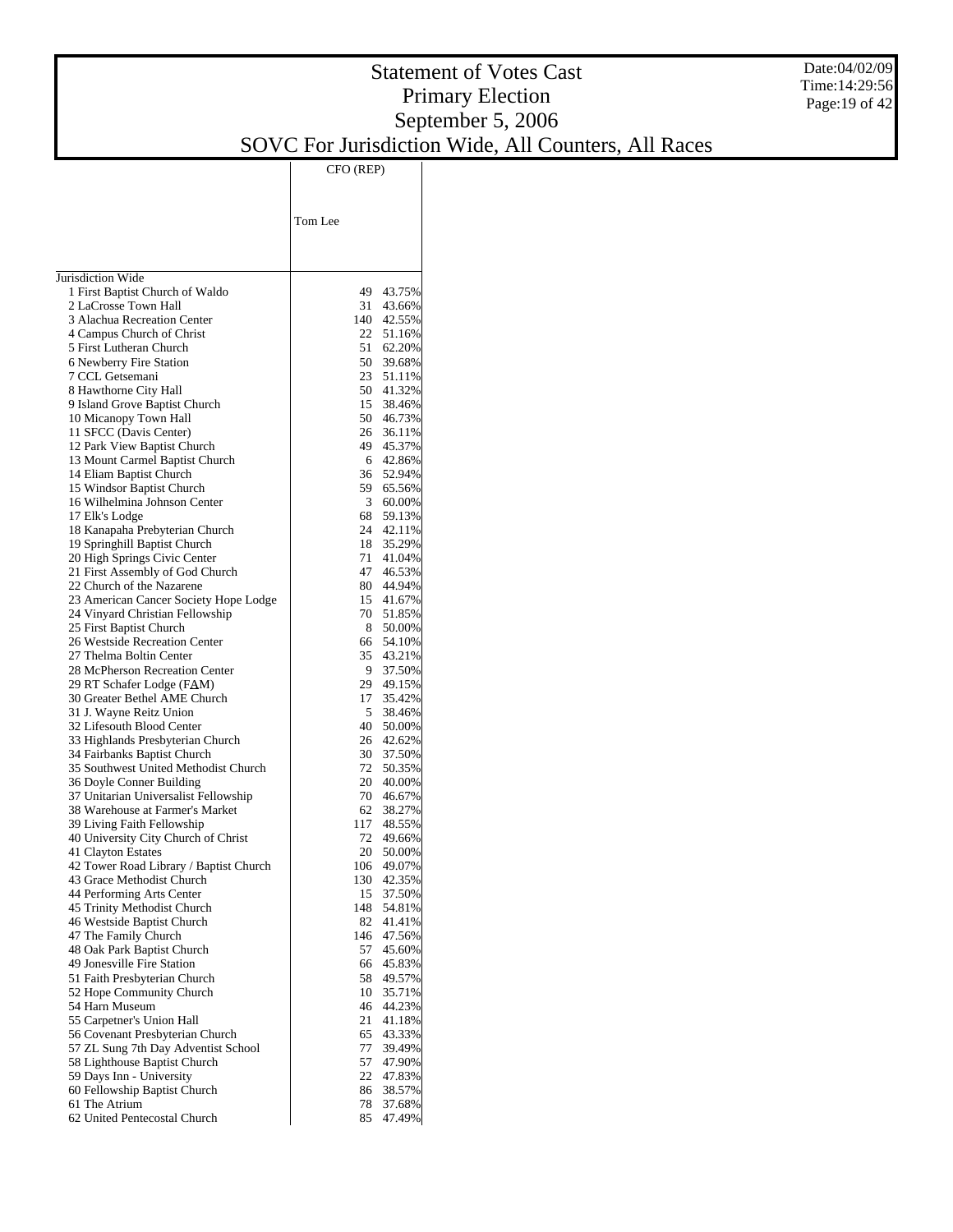## Statement of Votes Cast Primary Election September 5, 2006

SOVC For Jurisdiction Wide, All Counters, All Races

|                                                                          | CFO (REP)                     |
|--------------------------------------------------------------------------|-------------------------------|
|                                                                          |                               |
|                                                                          |                               |
|                                                                          | Tom Lee                       |
|                                                                          |                               |
|                                                                          |                               |
| Jurisdiction Wide                                                        |                               |
| 1 First Baptist Church of Waldo                                          | 49<br>43.75%                  |
| 2 LaCrosse Town Hall<br>3 Alachua Recreation Center                      | 31<br>43.66%<br>140<br>42.55% |
| 4 Campus Church of Christ                                                | 22<br>51.16%                  |
| 5 First Lutheran Church                                                  | 51<br>62.20%                  |
| 6 Newberry Fire Station                                                  | 50<br>39.68%                  |
| 7 CCL Getsemani                                                          | 23<br>51.11%                  |
| 8 Hawthorne City Hall                                                    | 50<br>41.32%                  |
| 9 Island Grove Baptist Church<br>10 Micanopy Town Hall                   | 15<br>38.46%<br>50<br>46.73%  |
| 11 SFCC (Davis Center)                                                   | 26<br>36.11%                  |
| 12 Park View Baptist Church                                              | 49<br>45.37%                  |
| 13 Mount Carmel Baptist Church                                           | 6<br>42.86%                   |
| 14 Eliam Baptist Church                                                  | 36<br>52.94%                  |
| 15 Windsor Baptist Church                                                | 59<br>65.56%                  |
| 16 Wilhelmina Johnson Center<br>17 Elk's Lodge                           | 3<br>60.00%<br>68<br>59.13%   |
| 18 Kanapaha Prebyterian Church                                           | 24<br>42.11%                  |
| 19 Springhill Baptist Church                                             | 18<br>35.29%                  |
| 20 High Springs Civic Center                                             | 71<br>41.04%                  |
| 21 First Assembly of God Church                                          | 47<br>46.53%                  |
| 22 Church of the Nazarene                                                | 80<br>44.94%                  |
| 23 American Cancer Society Hope Lodge<br>24 Vinyard Christian Fellowship | 15<br>41.67%<br>70<br>51.85%  |
| 25 First Baptist Church                                                  | 8<br>50.00%                   |
| 26 Westside Recreation Center                                            | 66<br>54.10%                  |
| 27 Thelma Boltin Center                                                  | 35<br>43.21%                  |
| 28 McPherson Recreation Center                                           | 9<br>37.50%                   |
| 29 RT Schafer Lodge (FAM)                                                | 29<br>49.15%                  |
| 30 Greater Bethel AME Church<br>31 J. Wayne Reitz Union                  | 17<br>35.42%<br>5<br>38.46%   |
| 32 Lifesouth Blood Center                                                | 40<br>50.00%                  |
| 33 Highlands Presbyterian Church                                         | 26<br>42.62%                  |
| 34 Fairbanks Baptist Church                                              | 30<br>37.50%                  |
| 35 Southwest United Methodist Church                                     | 72<br>50.35%                  |
| 36 Doyle Conner Building                                                 | 20<br>40.00%                  |
| 37 Unitarian Universalist Fellowship<br>38 Warehouse at Farmer's Market  | 70<br>46.67%<br>62<br>38.27%  |
| 39 Living Faith Fellowship                                               | 117<br>48.55%                 |
| 40 University City Church of Christ                                      | 72<br>49.66%                  |
| 41 Clayton Estates                                                       | 20<br>50.00%                  |
| 42 Tower Road Library / Baptist Church                                   | 49.07%<br>106                 |
| 43 Grace Methodist Church<br>44 Performing Arts Center                   | 130<br>42.35%<br>15<br>37.50% |
| 45 Trinity Methodist Church                                              | 148<br>54.81%                 |
| 46 Westside Baptist Church                                               | 82<br>41.41%                  |
| 47 The Family Church                                                     | 146<br>47.56%                 |
| 48 Oak Park Baptist Church                                               | 57<br>45.60%                  |
| 49 Jonesville Fire Station                                               | 66<br>45.83%                  |
| 51 Faith Presbyterian Church<br>52 Hope Community Church                 | 58<br>49.57%<br>10<br>35.71%  |
| 54 Harn Museum                                                           | 46<br>44.23%                  |
| 55 Carpetner's Union Hall                                                | 21<br>41.18%                  |
| 56 Covenant Presbyterian Church                                          | 65<br>43.33%                  |
| 57 ZL Sung 7th Day Adventist School                                      | 77<br>39.49%                  |
| 58 Lighthouse Baptist Church                                             | 57<br>47.90%                  |
| 59 Days Inn - University<br>60 Fellowship Baptist Church                 | 22<br>47.83%<br>86<br>38.57%  |
| 61 The Atrium                                                            | 78<br>37.68%                  |
| 62 United Pentecostal Church                                             | 85<br>47.49%                  |

Date:04/02/09 Time:14:29:56 Page:19 of 42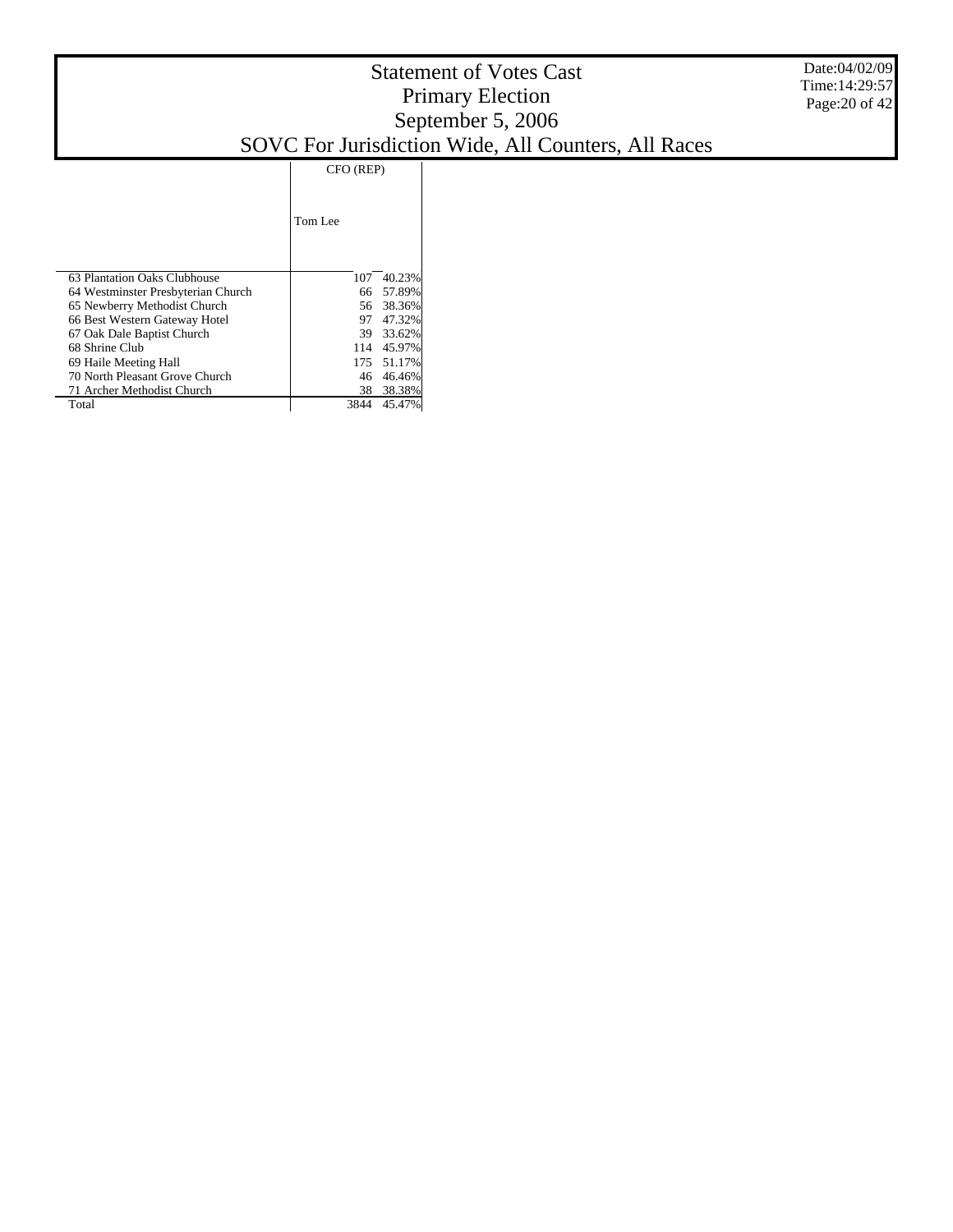|                                    | CFO (REP) |            |  |
|------------------------------------|-----------|------------|--|
|                                    | Tom Lee   |            |  |
| 63 Plantation Oaks Clubhouse       | 107       | 40.23%     |  |
| 64 Westminster Presbyterian Church | 66        | 57.89%     |  |
| 65 Newberry Methodist Church       | 56.       | 38.36%     |  |
| 66 Best Western Gateway Hotel      | 97        | 47.32%     |  |
| 67 Oak Dale Baptist Church         |           | 39 33.62%  |  |
| 68 Shrine Club                     | 114       | 45.97%     |  |
| 69 Haile Meeting Hall              |           | 175 51.17% |  |
| 70 North Pleasant Grove Church     | 46        | 46.46%     |  |
| 71 Archer Methodist Church         | 38        | 38.38%     |  |
| Total                              | 3844      | 45.47%     |  |

Date:04/02/09 Time:14:29:57 Page:20 of 42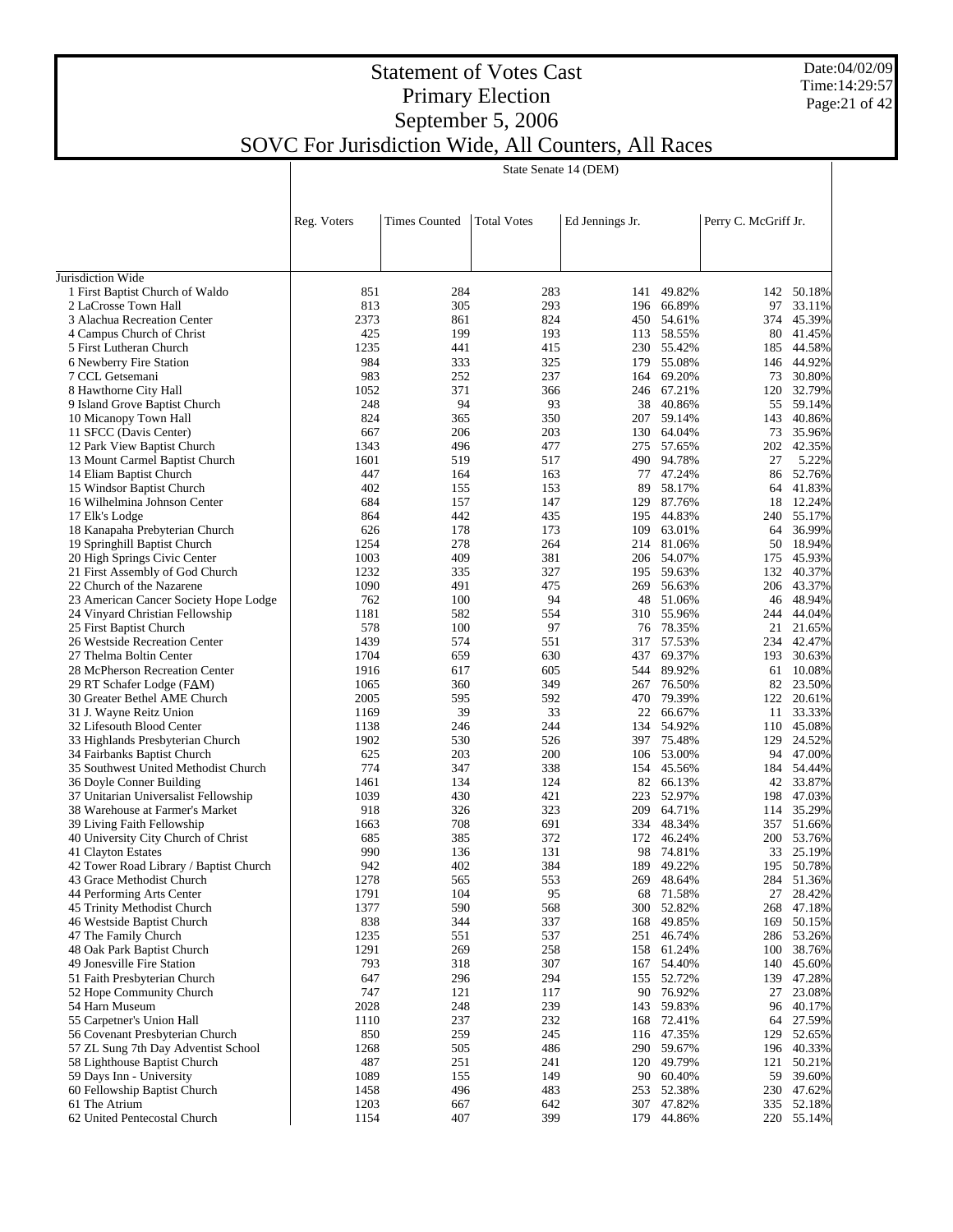Date:04/02/09 Time:14:29:57 Page:21 of 42

## Statement of Votes Cast Primary Election September 5, 2006 SOVC For Jurisdiction Wide, All Counters, All Races

|                                                                          | State Senate 14 (DEM) |                      |                    |                 |                          |                      |                          |
|--------------------------------------------------------------------------|-----------------------|----------------------|--------------------|-----------------|--------------------------|----------------------|--------------------------|
|                                                                          |                       |                      |                    |                 |                          |                      |                          |
|                                                                          | Reg. Voters           | <b>Times Counted</b> | <b>Total Votes</b> | Ed Jennings Jr. |                          | Perry C. McGriff Jr. |                          |
|                                                                          |                       |                      |                    |                 |                          |                      |                          |
|                                                                          |                       |                      |                    |                 |                          |                      |                          |
| Jurisdiction Wide<br>1 First Baptist Church of Waldo                     | 851                   | 284                  | 283                | 141             | 49.82%                   |                      | 142 50.18%               |
| 2 LaCrosse Town Hall                                                     | 813                   | 305                  | 293                |                 | 196 66.89%               | 97                   | 33.11%                   |
| 3 Alachua Recreation Center                                              | 2373                  | 861                  | 824                |                 | 450 54.61%               |                      | 374 45.39%               |
| 4 Campus Church of Christ                                                | 425                   | 199                  | 193                |                 | 113 58.55%               |                      | 80 41.45%                |
| 5 First Lutheran Church                                                  | 1235                  | 441                  | 415                |                 | 230 55.42%               |                      | 185 44.58%               |
| 6 Newberry Fire Station                                                  | 984                   | 333                  | 325                |                 | 179 55.08%               |                      | 146 44.92%               |
| 7 CCL Getsemani                                                          | 983                   | 252                  | 237                | 164             | 69.20%                   | 73                   | 30.80%                   |
| 8 Hawthorne City Hall                                                    | 1052                  | 371                  | 366                |                 | 246 67.21%               | 120                  | 32.79%                   |
| 9 Island Grove Baptist Church                                            | 248<br>824            | 94<br>365            | 93<br>350          |                 | 38 40.86%                |                      | 55 59.14%<br>143 40.86%  |
| 10 Micanopy Town Hall<br>11 SFCC (Davis Center)                          | 667                   | 206                  | 203                |                 | 207 59.14%<br>130 64.04% |                      | 73 35.96%                |
| 12 Park View Baptist Church                                              | 1343                  | 496                  | 477                |                 | 275 57.65%               |                      | 202 42.35%               |
| 13 Mount Carmel Baptist Church                                           | 1601                  | 519                  | 517                |                 | 490 94.78%               | 27                   | 5.22%                    |
| 14 Eliam Baptist Church                                                  | 447                   | 164                  | 163                | 77              | 47.24%                   |                      | 86 52.76%                |
| 15 Windsor Baptist Church                                                | 402                   | 155                  | 153                | 89              | 58.17%                   |                      | 64 41.83%                |
| 16 Wilhelmina Johnson Center                                             | 684                   | 157                  | 147                |                 | 129 87.76%               |                      | 18 12.24%                |
| 17 Elk's Lodge                                                           | 864                   | 442                  | 435                | 195             | 44.83%                   |                      | 240 55.17%               |
| 18 Kanapaha Prebyterian Church                                           | 626                   | 178                  | 173                | 109             | 63.01%                   |                      | 64 36.99%                |
| 19 Springhill Baptist Church                                             | 1254                  | 278                  | 264                | 214             | 81.06%                   |                      | 50 18.94%                |
| 20 High Springs Civic Center                                             | 1003                  | 409                  | 381                |                 | 206 54.07%               |                      | 175 45.93%               |
| 21 First Assembly of God Church                                          | 1232                  | 335                  | 327                |                 | 195 59.63%               |                      | 132 40.37%               |
| 22 Church of the Nazarene                                                | 1090<br>762           | 491<br>100           | 475<br>94          | 269<br>48       | 56.63%<br>51.06%         |                      | 206 43.37%<br>46 48.94%  |
| 23 American Cancer Society Hope Lodge<br>24 Vinyard Christian Fellowship | 1181                  | 582                  | 554                |                 | 310 55.96%               |                      | 244 44.04%               |
| 25 First Baptist Church                                                  | 578                   | 100                  | 97                 |                 | 76 78.35%                |                      | 21 21.65%                |
| 26 Westside Recreation Center                                            | 1439                  | 574                  | 551                | 317             | 57.53%                   |                      | 234 42.47%               |
| 27 Thelma Boltin Center                                                  | 1704                  | 659                  | 630                | 437             | 69.37%                   | 193                  | 30.63%                   |
| 28 McPherson Recreation Center                                           | 1916                  | 617                  | 605                |                 | 544 89.92%               |                      | 61 10.08%                |
| 29 RT Schafer Lodge (FAM)                                                | 1065                  | 360                  | 349                | 267             | 76.50%                   |                      | 82 23.50%                |
| 30 Greater Bethel AME Church                                             | 2005                  | 595                  | 592                |                 | 470 79.39%               |                      | 122 20.61%               |
| 31 J. Wayne Reitz Union                                                  | 1169                  | 39                   | 33                 |                 | 22 66.67%                |                      | 11 33.33%                |
| 32 Lifesouth Blood Center                                                | 1138                  | 246                  | 244                |                 | 134 54.92%               |                      | 110 45.08%               |
| 33 Highlands Presbyterian Church                                         | 1902                  | 530                  | 526                |                 | 397 75.48%               |                      | 129 24.52%               |
| 34 Fairbanks Baptist Church                                              | 625<br>774            | 203<br>347           | 200<br>338         | 154             | 106 53.00%<br>45.56%     |                      | 94 47.00%                |
| 35 Southwest United Methodist Church<br>36 Doyle Conner Building         | 1461                  | 134                  | 124                |                 | 82 66.13%                |                      | 184 54.44%<br>42 33.87%  |
| 37 Unitarian Universalist Fellowship                                     | 1039                  | 430                  | 421                | 223             | 52.97%                   |                      | 198 47.03%               |
| 38 Warehouse at Farmer's Market                                          | 918                   | 326                  | 323                | 209             | 64.71%                   |                      | 114 35.29%               |
| 39 Living Faith Fellowship                                               | 1663                  | 708                  | 691                |                 | 334 48.34%               |                      | 357 51.66%               |
| 40 University City Church of Christ                                      | 685                   | 385                  | 372                |                 | 172 46.24%               |                      | 200 53.76%               |
| 41 Clayton Estates                                                       | 990                   | 136                  | 131                |                 | 98 74.81%                |                      | 33 25.19%                |
| 42 Tower Road Library / Baptist Church                                   | 942                   | 402                  | 384                |                 | 189 49.22%               |                      | 195 50.78%               |
| 43 Grace Methodist Church                                                | 1278                  | 565                  | 553                |                 | 269 48.64%               |                      | 284 51.36%               |
| 44 Performing Arts Center                                                | 1791                  | 104                  | 95                 | 68              | 71.58%                   |                      | 27 28.42%                |
| 45 Trinity Methodist Church                                              | 1377                  | 590                  | 568                | 300             | 52.82%                   |                      | 268 47.18%               |
| 46 Westside Baptist Church<br>47 The Family Church                       | 838<br>1235           | 344<br>551           | 337<br>537         | 168<br>251      | 49.85%<br>46.74%         |                      | 169 50.15%<br>286 53.26% |
| 48 Oak Park Baptist Church                                               | 1291                  | 269                  | 258                | 158             | 61.24%                   |                      | 100 38.76%               |
| 49 Jonesville Fire Station                                               | 793                   | 318                  | 307                | 167             | 54.40%                   |                      | 140 45.60%               |
| 51 Faith Presbyterian Church                                             | 647                   | 296                  | 294                | 155             | 52.72%                   |                      | 139 47.28%               |
| 52 Hope Community Church                                                 | 747                   | 121                  | 117                |                 | 90 76.92%                | 27                   | 23.08%                   |
| 54 Harn Museum                                                           | 2028                  | 248                  | 239                |                 | 143 59.83%               |                      | 96 40.17%                |
| 55 Carpetner's Union Hall                                                | 1110                  | 237                  | 232                | 168             | 72.41%                   |                      | 64 27.59%                |
| 56 Covenant Presbyterian Church                                          | 850                   | 259                  | 245                |                 | 116 47.35%               |                      | 129 52.65%               |
| 57 ZL Sung 7th Day Adventist School                                      | 1268                  | 505                  | 486                |                 | 290 59.67%               |                      | 196 40.33%               |
| 58 Lighthouse Baptist Church                                             | 487                   | 251                  | 241                |                 | 120 49.79%               | 121                  | 50.21%                   |
| 59 Days Inn - University                                                 | 1089                  | 155                  | 149                |                 | 90 60.40%                |                      | 59 39.60%                |
| 60 Fellowship Baptist Church<br>61 The Atrium                            | 1458<br>1203          | 496<br>667           | 483<br>642         | 253             | 52.38%<br>307 47.82%     |                      | 230 47.62%<br>335 52.18% |
| 62 United Pentecostal Church                                             | 1154                  | 407                  | 399                |                 | 179 44.86%               |                      | 220 55.14%               |
|                                                                          |                       |                      |                    |                 |                          |                      |                          |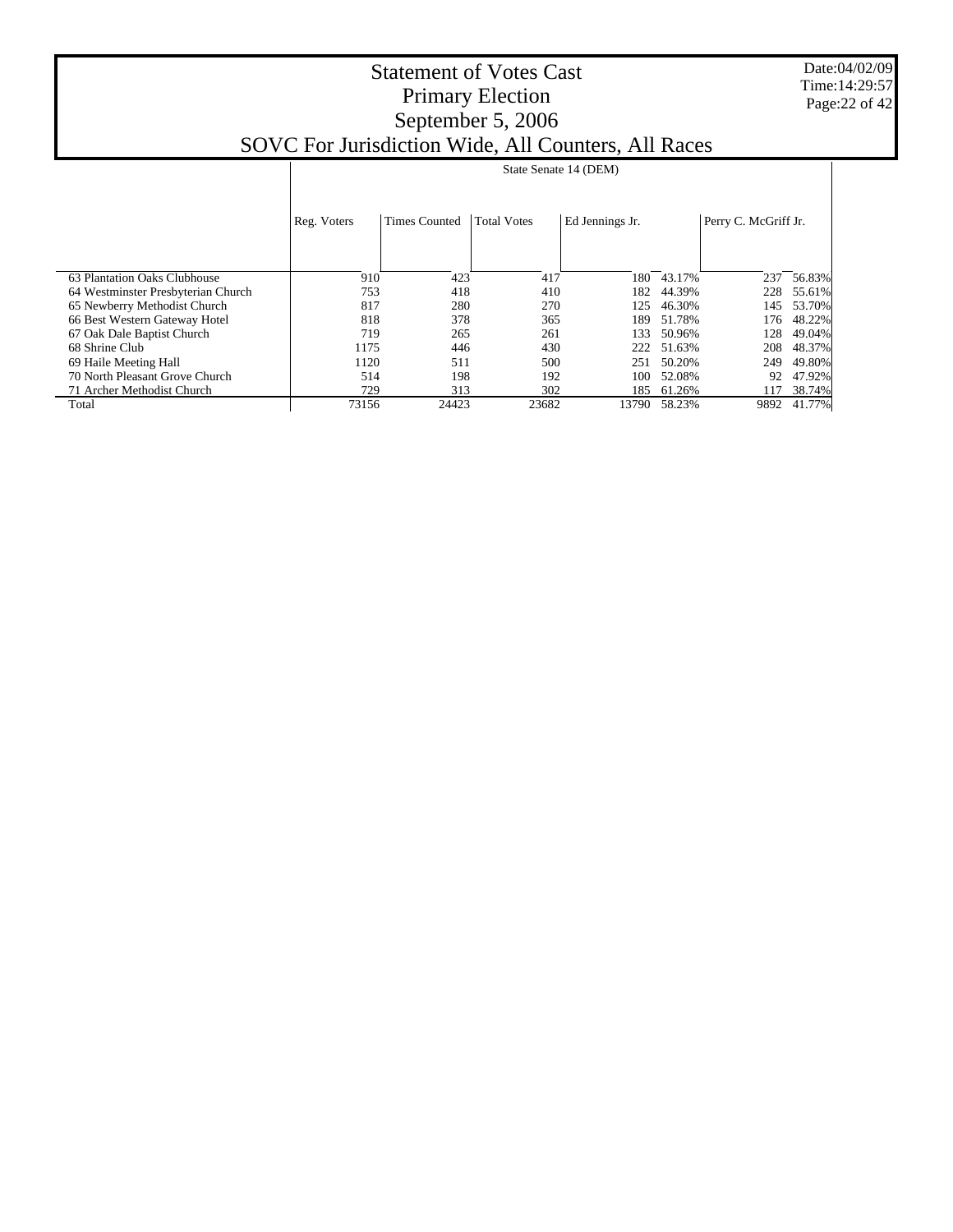Date:04/02/09 Time:14:29:57 Page:22 of 42

|                                    | State Senate 14 (DEM) |                      |                    |                 |        |                      |        |
|------------------------------------|-----------------------|----------------------|--------------------|-----------------|--------|----------------------|--------|
|                                    |                       |                      |                    |                 |        |                      |        |
|                                    | Reg. Voters           | <b>Times Counted</b> | <b>Total Votes</b> | Ed Jennings Jr. |        | Perry C. McGriff Jr. |        |
|                                    |                       |                      |                    |                 |        |                      |        |
| 63 Plantation Oaks Clubhouse       | 910                   | 423                  | 417                | 180             | 43.17% | 237                  | 56.83% |
| 64 Westminster Presbyterian Church | 753                   | 418                  | 410                | 182             | 44.39% | 228                  | 55.61% |
| 65 Newberry Methodist Church       | 817                   | 280                  | 270                | 125             | 46.30% | 145                  | 53.70% |
| 66 Best Western Gateway Hotel      | 818                   | 378                  | 365                | 189             | 51.78% | 176                  | 48.22% |
| 67 Oak Dale Baptist Church         | 719                   | 265                  | 261                | 133             | 50.96% | 128                  | 49.04% |
| 68 Shrine Club                     | 1175                  | 446                  | 430                | 222             | 51.63% | 208                  | 48.37% |
| 69 Haile Meeting Hall              | 1120                  | 511                  | 500                | 251             | 50.20% | 249                  | 49.80% |
| 70 North Pleasant Grove Church     | 514                   | 198                  | 192                | 100             | 52.08% | 92                   | 47.92% |
| 71 Archer Methodist Church         | 729                   | 313                  | 302                | 185             | 61.26% | 117                  | 38.74% |
| Total                              | 73156                 | 24423                | 23682              | 13790           | 58.23% | 9892                 | 41.77% |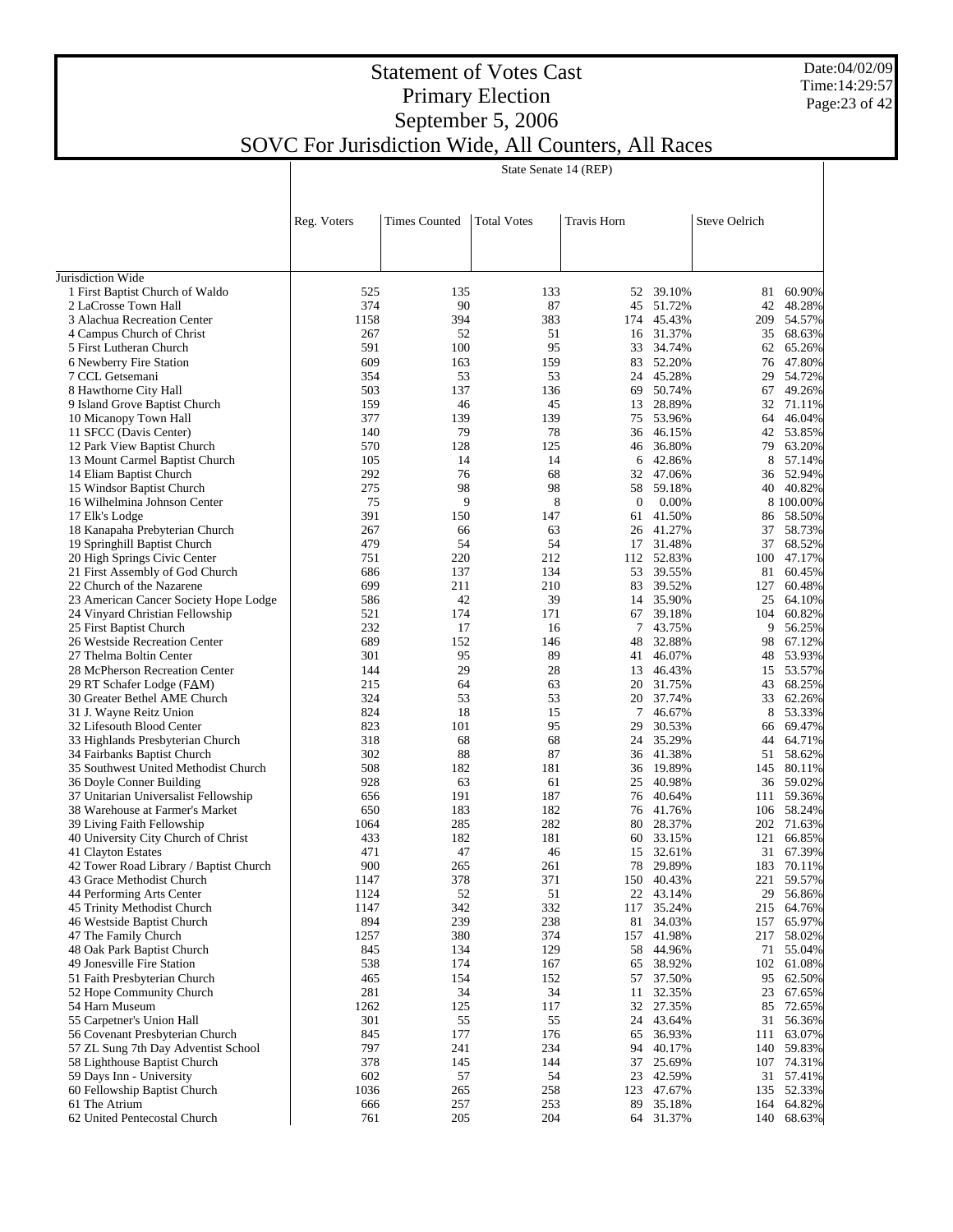Date:04/02/09 Time:14:29:57 Page:23 of 42

## Statement of Votes Cast Primary Election September 5, 2006 SOVC For Jurisdiction Wide, All Counters, All Races

|                                                                  | State Senate 14 (REP) |                      |                    |                    |                     |               |                         |
|------------------------------------------------------------------|-----------------------|----------------------|--------------------|--------------------|---------------------|---------------|-------------------------|
|                                                                  |                       |                      |                    |                    |                     |               |                         |
|                                                                  | Reg. Voters           | <b>Times Counted</b> | <b>Total Votes</b> | Travis Horn        |                     | Steve Oelrich |                         |
|                                                                  |                       |                      |                    |                    |                     |               |                         |
| Jurisdiction Wide<br>1 First Baptist Church of Waldo             | 525                   | 135                  | 133                | 52                 | 39.10%              | 81            | 60.90%                  |
| 2 LaCrosse Town Hall                                             | 374                   | 90                   | 87                 | 45                 | 51.72%              | 42            | 48.28%                  |
| 3 Alachua Recreation Center                                      | 1158                  | 394                  | 383                | 174                | 45.43%              | 209           | 54.57%                  |
| 4 Campus Church of Christ                                        | 267                   | 52                   | 51                 |                    | 16 31.37%           | 35            | 68.63%                  |
| 5 First Lutheran Church                                          | 591                   | 100                  | 95                 | 33                 | 34.74%              | 62            | 65.26%                  |
| 6 Newberry Fire Station                                          | 609                   | 163                  | 159                | 83                 | 52.20%              | 76            | 47.80%                  |
| 7 CCL Getsemani                                                  | 354<br>503            | 53<br>137            | 53<br>136          | 24<br>69           | 45.28%<br>50.74%    | 29<br>67      | 54.72%<br>49.26%        |
| 8 Hawthorne City Hall<br>9 Island Grove Baptist Church           | 159                   | 46                   | 45                 | 13                 | 28.89%              |               | 32 71.11%               |
| 10 Micanopy Town Hall                                            | 377                   | 139                  | 139                | 75                 | 53.96%              | 64            | 46.04%                  |
| 11 SFCC (Davis Center)                                           | 140                   | 79                   | 78                 | 36                 | 46.15%              | 42            | 53.85%                  |
| 12 Park View Baptist Church                                      | 570                   | 128                  | 125                | 46                 | 36.80%              | 79            | 63.20%                  |
| 13 Mount Carmel Baptist Church                                   | 105                   | 14                   | 14                 |                    | 6 42.86%            | 8             | 57.14%                  |
| 14 Eliam Baptist Church                                          | 292                   | 76                   | 68                 |                    | 32 47.06%           | 36            | 52.94%                  |
| 15 Windsor Baptist Church                                        | 275                   | 98                   | 98                 | 58                 | 59.18%              |               | 40 40.82%               |
| 16 Wilhelmina Johnson Center<br>17 Elk's Lodge                   | 75<br>391             | 9<br>150             | 8<br>147           | $\mathbf{0}$<br>61 | 0.00%<br>41.50%     | 86            | 8 100.00%<br>58.50%     |
| 18 Kanapaha Prebyterian Church                                   | 267                   | 66                   | 63                 | 26                 | 41.27%              | 37            | 58.73%                  |
| 19 Springhill Baptist Church                                     | 479                   | 54                   | 54                 | 17                 | 31.48%              | 37            | 68.52%                  |
| 20 High Springs Civic Center                                     | 751                   | 220                  | 212                |                    | 112 52.83%          | 100           | 47.17%                  |
| 21 First Assembly of God Church                                  | 686                   | 137                  | 134                | 53                 | 39.55%              | 81            | 60.45%                  |
| 22 Church of the Nazarene                                        | 699                   | 211                  | 210                | 83                 | 39.52%              | 127           | 60.48%                  |
| 23 American Cancer Society Hope Lodge                            | 586                   | 42                   | 39                 | 14                 | 35.90%              | 25            | 64.10%                  |
| 24 Vinyard Christian Fellowship                                  | 521                   | 174                  | 171                | 67                 | 39.18%              | 104           | 60.82%                  |
| 25 First Baptist Church                                          | 232<br>689            | 17<br>152            | 16<br>146          | 7<br>48            | 43.75%<br>32.88%    | 9<br>98       | 56.25%                  |
| 26 Westside Recreation Center<br>27 Thelma Boltin Center         | 301                   | 95                   | 89                 | 41                 | 46.07%              | 48            | 67.12%<br>53.93%        |
| 28 McPherson Recreation Center                                   | 144                   | 29                   | 28                 | 13                 | 46.43%              | 15            | 53.57%                  |
| 29 RT Schafer Lodge (FAM)                                        | 215                   | 64                   | 63                 | 20                 | 31.75%              | 43            | 68.25%                  |
| 30 Greater Bethel AME Church                                     | 324                   | 53                   | 53                 | 20                 | 37.74%              | 33            | 62.26%                  |
| 31 J. Wayne Reitz Union                                          | 824                   | 18                   | 15                 | 7                  | 46.67%              | 8             | 53.33%                  |
| 32 Lifesouth Blood Center                                        | 823                   | 101                  | 95                 | 29                 | 30.53%              | 66            | 69.47%                  |
| 33 Highlands Presbyterian Church                                 | 318                   | 68                   | 68                 | 24                 | 35.29%              | 44            | 64.71%                  |
| 34 Fairbanks Baptist Church                                      | 302                   | 88                   | 87                 | 36                 | 41.38%<br>19.89%    |               | 51 58.62%               |
| 35 Southwest United Methodist Church<br>36 Doyle Conner Building | 508<br>928            | 182<br>63            | 181<br>61          | 36<br>25           | 40.98%              | 145           | 80.11%<br>36 59.02%     |
| 37 Unitarian Universalist Fellowship                             | 656                   | 191                  | 187                | 76                 | 40.64%              |               | 111 59.36%              |
| 38 Warehouse at Farmer's Market                                  | 650                   | 183                  | 182                | 76                 | 41.76%              |               | 106 58.24%              |
| 39 Living Faith Fellowship                                       | 1064                  | 285                  | 282                | 80                 | 28.37%              |               | 202 71.63%              |
| 40 University City Church of Christ                              | 433                   | 182                  | 181                |                    | 60 33.15%           |               | 121 66.85%              |
| 41 Clayton Estates                                               | 471                   | 47                   | 46                 |                    | 15 32.61%           |               | 31 67.39%               |
| 42 Tower Road Library / Baptist Church                           | 900                   | 265                  | 261                |                    | 78 29.89%           |               | 183 70.11%              |
| 43 Grace Methodist Church                                        | 1147                  | 378                  | 371                | 150                | 40.43%<br>22 43.14% |               | 221 59.57%              |
| 44 Performing Arts Center<br>45 Trinity Methodist Church         | 1124<br>1147          | 52<br>342            | 51<br>332          | 117                | 35.24%              |               | 29 56.86%<br>215 64.76% |
| 46 Westside Baptist Church                                       | 894                   | 239                  | 238                | 81                 | 34.03%              | 157           | 65.97%                  |
| 47 The Family Church                                             | 1257                  | 380                  | 374                | 157                | 41.98%              |               | 217 58.02%              |
| 48 Oak Park Baptist Church                                       | 845                   | 134                  | 129                | 58                 | 44.96%              |               | 71 55.04%               |
| 49 Jonesville Fire Station                                       | 538                   | 174                  | 167                | 65                 | 38.92%              | 102           | 61.08%                  |
| 51 Faith Presbyterian Church                                     | 465                   | 154                  | 152                | 57                 | 37.50%              | 95            | 62.50%                  |
| 52 Hope Community Church                                         | 281                   | 34                   | 34                 | 11                 | 32.35%              |               | 23 67.65%               |
| 54 Harn Museum                                                   | 1262                  | 125                  | 117                | 32                 | 27.35%              | 85            | 72.65%                  |
| 55 Carpetner's Union Hall<br>56 Covenant Presbyterian Church     | 301<br>845            | 55<br>177            | 55<br>176          | 24<br>65           | 43.64%<br>36.93%    | 31<br>111     | 56.36%<br>63.07%        |
| 57 ZL Sung 7th Day Adventist School                              | 797                   | 241                  | 234                | 94                 | 40.17%              |               | 140 59.83%              |
| 58 Lighthouse Baptist Church                                     | 378                   | 145                  | 144                | 37                 | 25.69%              |               | 107 74.31%              |
| 59 Days Inn - University                                         | 602                   | 57                   | 54                 | 23                 | 42.59%              |               | 31 57.41%               |
| 60 Fellowship Baptist Church                                     | 1036                  | 265                  | 258                | 123                | 47.67%              |               | 135 52.33%              |
| 61 The Atrium                                                    | 666                   | 257                  | 253                | 89                 | 35.18%              | 164           | 64.82%                  |
| 62 United Pentecostal Church                                     | 761                   | 205                  | 204                |                    | 64 31.37%           | 140           | 68.63%                  |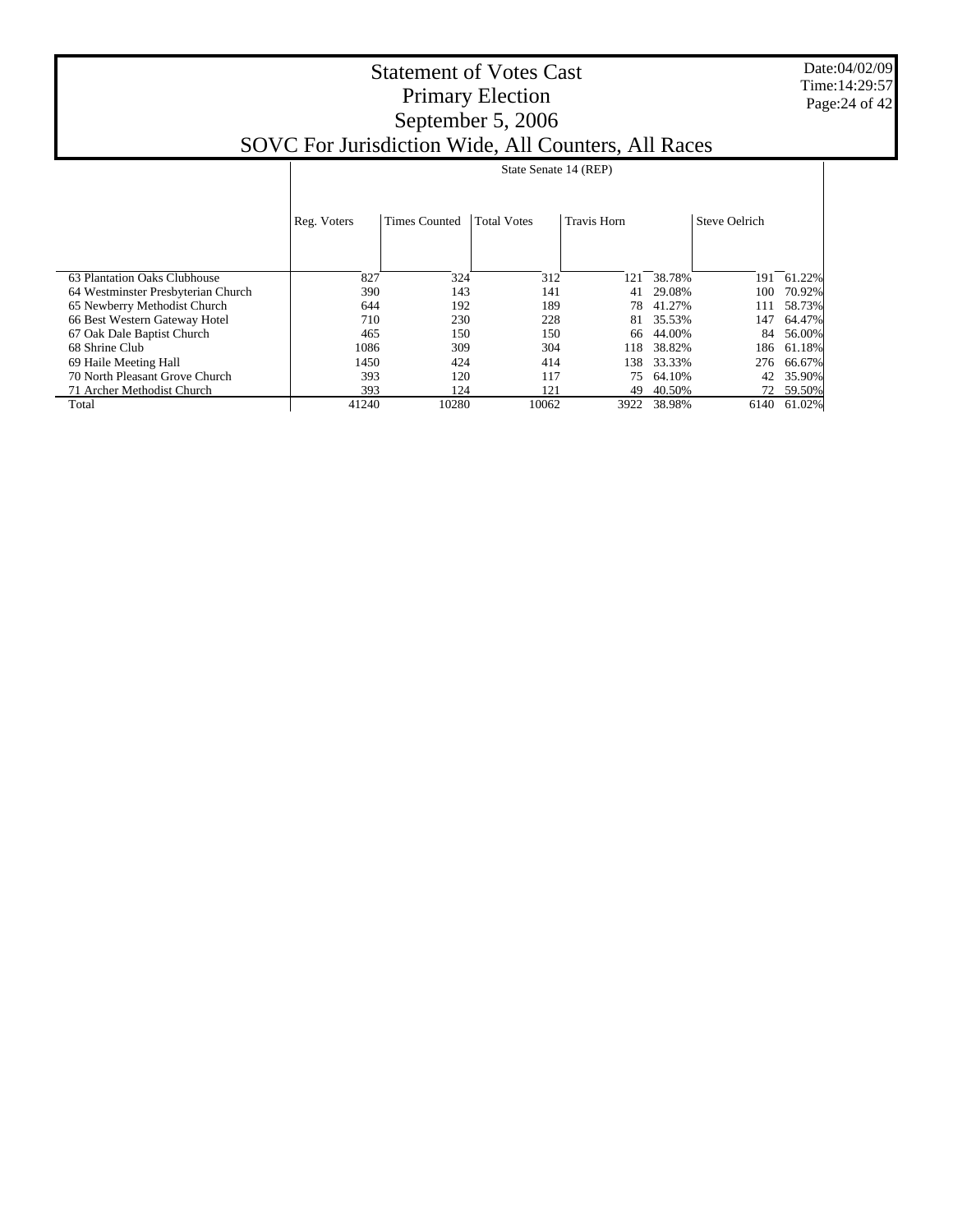Date:04/02/09 Time:14:29:57 Page:24 of 42

|                                    |             | State Senate 14 (REP) |                    |                    |        |                      |        |  |  |  |  |
|------------------------------------|-------------|-----------------------|--------------------|--------------------|--------|----------------------|--------|--|--|--|--|
|                                    | Reg. Voters | <b>Times Counted</b>  | <b>Total Votes</b> | <b>Travis Horn</b> |        | <b>Steve Oelrich</b> |        |  |  |  |  |
| 63 Plantation Oaks Clubhouse       | 827         | 324                   | 312                | 121                | 38.78% | 191                  | 61.22% |  |  |  |  |
| 64 Westminster Presbyterian Church | 390         | 143                   | 141                | 41                 | 29.08% | 100                  | 70.92% |  |  |  |  |
| 65 Newberry Methodist Church       | 644         | 192                   | 189                | 78                 | 41.27% | 111                  | 58.73% |  |  |  |  |
| 66 Best Western Gateway Hotel      | 710         | 230                   | 228                | 81                 | 35.53% | 147                  | 64.47% |  |  |  |  |
| 67 Oak Dale Baptist Church         | 465         | 150                   | 150                | 66                 | 44.00% | 84                   | 56.00% |  |  |  |  |
| 68 Shrine Club                     | 1086        | 309                   | 304                | 118                | 38.82% | 186                  | 61.18% |  |  |  |  |
| 69 Haile Meeting Hall              | 1450        | 424                   | 414                | 138                | 33.33% | 276                  | 66.67% |  |  |  |  |
| 70 North Pleasant Grove Church     | 393         | 120                   | 117                | 75                 | 64.10% | 42                   | 35.90% |  |  |  |  |
| 71 Archer Methodist Church         | 393         | 124                   | 121                | 49                 | 40.50% | 72                   | 59.50% |  |  |  |  |
| Total                              | 41240       | 10280                 | 10062              | 3922               | 38.98% | 6140                 | 61.02% |  |  |  |  |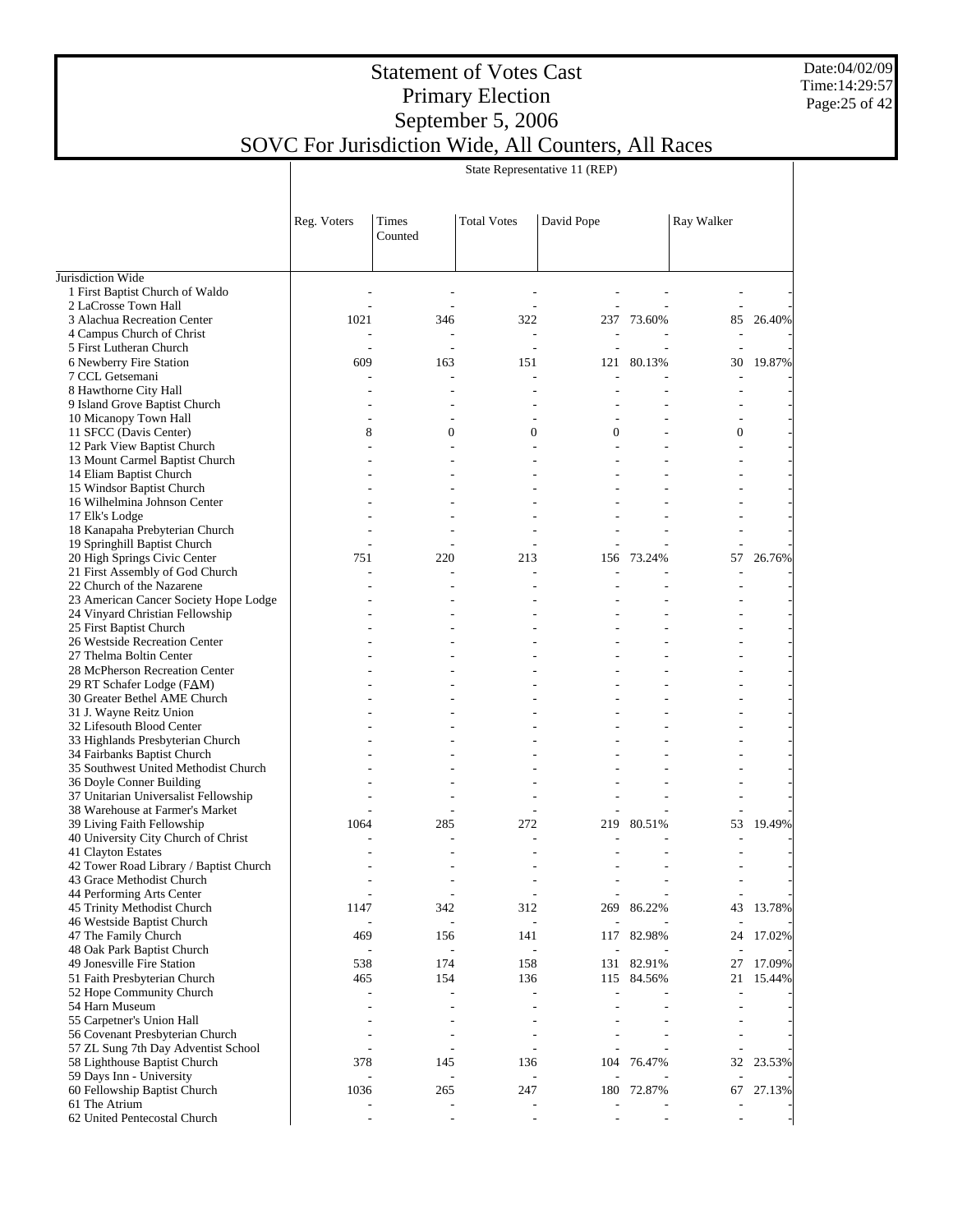#### Date:04/02/09 Time:14:29:57 Page:25 of 42

#### Statement of Votes Cast Primary Election September 5, 2006 SOVC For Jurisdiction Wide, All Counters, All Races

State Representative 11 (REP)

|                                                                        | Reg. Voters | Times<br>Counted         | <b>Total Votes</b>       | David Pope     |            | Ray Walker               |        |
|------------------------------------------------------------------------|-------------|--------------------------|--------------------------|----------------|------------|--------------------------|--------|
| Jurisdiction Wide                                                      |             |                          |                          |                |            |                          |        |
| 1 First Baptist Church of Waldo                                        |             |                          |                          |                |            |                          |        |
| 2 LaCrosse Town Hall                                                   |             |                          |                          |                |            | $\overline{\phantom{a}}$ |        |
| 3 Alachua Recreation Center                                            | 1021        | 346                      | 322                      |                | 237 73.60% | 85                       | 26.40% |
| 4 Campus Church of Christ                                              |             |                          | $\overline{\phantom{a}}$ |                |            |                          |        |
| 5 First Lutheran Church<br>6 Newberry Fire Station                     |             |                          | $\overline{a}$           |                |            |                          | 19.87% |
| 7 CCL Getsemani                                                        | 609         | 163<br>$\overline{a}$    | 151<br>$\overline{a}$    | 121<br>L.      | 80.13%     | 30<br>L.                 |        |
| 8 Hawthorne City Hall                                                  |             |                          |                          |                |            |                          |        |
| 9 Island Grove Baptist Church                                          |             |                          |                          |                |            |                          |        |
| 10 Micanopy Town Hall                                                  |             |                          |                          |                |            | $\overline{a}$           |        |
| 11 SFCC (Davis Center)                                                 | 8           | $\mathbf{0}$             | $\mathbf{0}$             | $\overline{0}$ |            | $\boldsymbol{0}$         |        |
| 12 Park View Baptist Church                                            |             |                          |                          |                |            | ÷                        |        |
| 13 Mount Carmel Baptist Church                                         |             |                          |                          |                |            |                          |        |
| 14 Eliam Baptist Church                                                |             |                          |                          |                |            | $\overline{a}$           |        |
| 15 Windsor Baptist Church                                              |             |                          |                          |                |            |                          |        |
| 16 Wilhelmina Johnson Center                                           |             |                          |                          |                |            |                          |        |
| 17 Elk's Lodge                                                         |             |                          |                          |                |            |                          |        |
| 18 Kanapaha Prebyterian Church                                         |             |                          |                          |                |            | ÷,<br>٠                  |        |
| 19 Springhill Baptist Church<br>20 High Springs Civic Center           | 751         | 220                      | 213                      | 156            | 73.24%     | 57                       | 26.76% |
| 21 First Assembly of God Church                                        |             |                          |                          |                |            | ÷,                       |        |
| 22 Church of the Nazarene                                              |             |                          |                          |                |            |                          |        |
| 23 American Cancer Society Hope Lodge                                  |             |                          |                          |                |            |                          |        |
| 24 Vinyard Christian Fellowship                                        |             |                          |                          |                |            | $\overline{a}$           |        |
| 25 First Baptist Church                                                |             |                          |                          |                |            |                          |        |
| 26 Westside Recreation Center                                          |             |                          |                          |                |            | $\overline{a}$           |        |
| 27 Thelma Boltin Center                                                |             |                          |                          |                |            |                          |        |
| 28 McPherson Recreation Center                                         |             |                          |                          |                |            | ÷.                       |        |
| 29 RT Schafer Lodge (FAM)                                              |             |                          |                          |                |            |                          |        |
| 30 Greater Bethel AME Church                                           |             |                          |                          |                |            |                          |        |
| 31 J. Wayne Reitz Union<br>32 Lifesouth Blood Center                   |             |                          |                          |                |            |                          |        |
| 33 Highlands Presbyterian Church                                       |             |                          |                          |                |            |                          |        |
| 34 Fairbanks Baptist Church                                            |             |                          |                          |                |            |                          |        |
| 35 Southwest United Methodist Church                                   |             |                          |                          |                |            |                          |        |
| 36 Doyle Conner Building                                               |             |                          |                          |                |            |                          |        |
| 37 Unitarian Universalist Fellowship                                   |             |                          |                          |                |            |                          |        |
| 38 Warehouse at Farmer's Market                                        |             |                          |                          |                |            | ÷                        |        |
| 39 Living Faith Fellowship                                             | 1064        | 285                      | 272                      | 219            | 80.51%     | 53                       | 19.49% |
| 40 University City Church of Christ                                    |             |                          |                          |                |            |                          |        |
| 41 Clayton Estates                                                     |             |                          |                          |                |            |                          |        |
| 42 Tower Road Library / Baptist Church<br>43 Grace Methodist Church    |             |                          |                          |                |            |                          |        |
| 44 Performing Arts Center                                              |             | $\overline{a}$           | $\overline{\phantom{a}}$ |                |            | $\overline{\phantom{a}}$ |        |
| 45 Trinity Methodist Church                                            | 1147        | 342                      | 312                      | 269            | 86.22%     | 43                       | 13.78% |
| 46 Westside Baptist Church                                             |             | $\overline{\phantom{a}}$ | $\overline{a}$           |                |            |                          |        |
| 47 The Family Church                                                   | 469         | 156                      | 141                      | 117            | 82.98%     | 24                       | 17.02% |
| 48 Oak Park Baptist Church                                             |             | $\overline{a}$           |                          |                |            |                          |        |
| 49 Jonesville Fire Station                                             | 538         | 174                      | 158                      | 131            | 82.91%     | 27                       | 17.09% |
| 51 Faith Presbyterian Church                                           | 465         | 154                      | 136                      | 115            | 84.56%     | 21                       | 15.44% |
| 52 Hope Community Church                                               |             |                          |                          |                |            |                          |        |
| 54 Harn Museum                                                         |             |                          |                          |                |            |                          |        |
| 55 Carpetner's Union Hall                                              |             |                          |                          |                |            |                          |        |
| 56 Covenant Presbyterian Church<br>57 ZL Sung 7th Day Adventist School |             |                          |                          |                |            |                          |        |
| 58 Lighthouse Baptist Church                                           | 378         | 145                      | 136                      | 104            | 76.47%     | 32                       | 23.53% |
| 59 Days Inn - University                                               |             | $\frac{1}{2}$            | L,                       |                |            |                          |        |
| 60 Fellowship Baptist Church                                           | 1036        | 265                      | 247                      | 180            | 72.87%     | 67                       | 27.13% |
| 61 The Atrium                                                          |             | $\overline{a}$           |                          |                |            |                          |        |
| 62 United Pentecostal Church                                           |             |                          |                          |                |            |                          |        |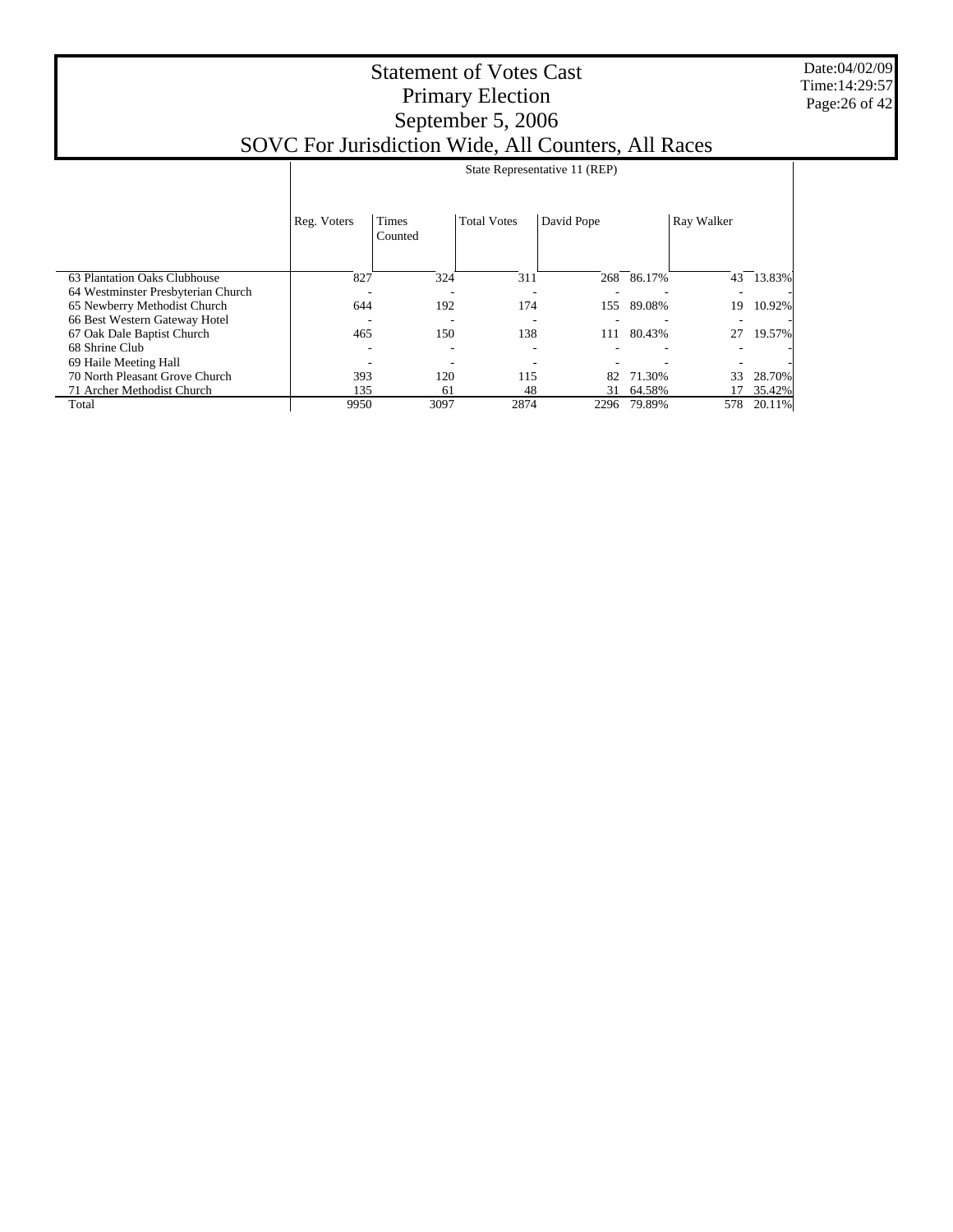#### Date:04/02/09 Time:14:29:57 Page:26 of 42

|  |  |  |  |  | State Representative 11 (REP) |  |  |  |  |  |  |  |  |  |
|--|--|--|--|--|-------------------------------|--|--|--|--|--|--|--|--|--|
|  |  |  |  |  |                               |  |  |  |  |  |  |  |  |  |

|                                    | Reg. Voters | <b>Times</b><br>Counted | <b>Total Votes</b> | David Pope |        | Ray Walker |        |
|------------------------------------|-------------|-------------------------|--------------------|------------|--------|------------|--------|
| 63 Plantation Oaks Clubhouse       | 827         | 324                     | 311                | 268        | 86.17% | 43         | 13.83% |
| 64 Westminster Presbyterian Church |             |                         |                    |            |        |            |        |
| 65 Newberry Methodist Church       | 644         | 192                     | 174                | 155        | 89.08% | 19         | 10.92% |
| 66 Best Western Gateway Hotel      |             |                         |                    |            |        |            |        |
| 67 Oak Dale Baptist Church         | 465         | 150                     | 138                | 111        | 80.43% | 27         | 19.57% |
| 68 Shrine Club                     |             |                         |                    |            |        |            |        |
| 69 Haile Meeting Hall              |             |                         |                    |            |        |            |        |
| 70 North Pleasant Grove Church     | 393         | 120                     | 115                | 82         | 71.30% | 33         | 28.70% |
| 71 Archer Methodist Church         | 135         | 61                      | 48                 | 31         | 64.58% |            | 35.42% |
| Total                              | 9950        | 3097                    | 2874               | 2296       | 79.89% | 578        | 20.11% |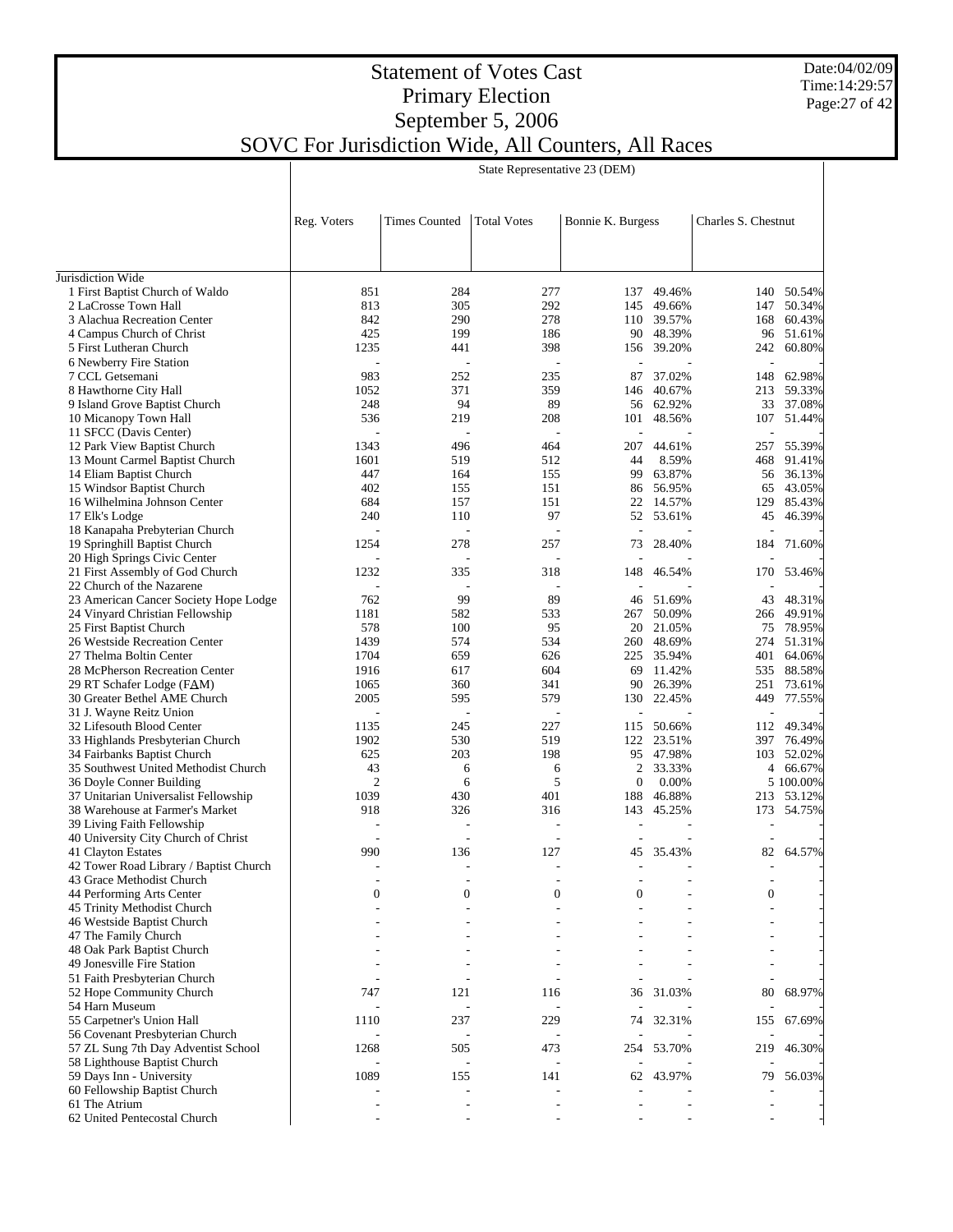Date:04/02/09 Time:14:29:57 Page:27 of 42

#### Statement of Votes Cast Primary Election September 5, 2006 SOVC For Jurisdiction Wide, All Counters, All Races

|                                                           | Reg. Voters                      | <b>Times Counted</b> | <b>Total Votes</b> | Bonnie K. Burgess        |                 | Charles S. Chestnut |                  |  |
|-----------------------------------------------------------|----------------------------------|----------------------|--------------------|--------------------------|-----------------|---------------------|------------------|--|
|                                                           |                                  |                      |                    |                          |                 |                     |                  |  |
| Jurisdiction Wide                                         |                                  |                      |                    |                          |                 |                     |                  |  |
| 1 First Baptist Church of Waldo                           | 851                              | 284                  | 277                | 137                      | 49.46%          |                     | 140 50.54%       |  |
| 2 LaCrosse Town Hall                                      | 813                              | 305                  | 292                | 145                      | 49.66%          | 147                 | 50.34%           |  |
| 3 Alachua Recreation Center                               | 842                              | 290                  | 278                |                          | 110 39.57%      | 168                 | 60.43%           |  |
| 4 Campus Church of Christ                                 | 425                              | 199                  | 186                |                          | 90 48.39%       | 96                  | 51.61%           |  |
| 5 First Lutheran Church                                   | 1235                             | 441                  | 398                |                          | 156 39.20%      | 242                 | 60.80%           |  |
| 6 Newberry Fire Station                                   |                                  |                      |                    |                          |                 |                     |                  |  |
| 7 CCL Getsemani                                           | 983                              | 252                  | 235                | 87                       | 37.02%          | 148                 | 62.98%           |  |
| 8 Hawthorne City Hall                                     | 1052                             | 371<br>94            | 359                |                          | 146 40.67%      | 213                 | 59.33%           |  |
| 9 Island Grove Baptist Church                             | 248                              |                      | 89                 |                          | 56 62.92%       |                     | 33 37.08%        |  |
| 10 Micanopy Town Hall                                     | 536                              | 219                  | 208                | 101                      | 48.56%          | 107                 | 51.44%           |  |
| 11 SFCC (Davis Center)                                    | $\overline{\phantom{a}}$<br>1343 | L,<br>496            | 464                | ä,                       |                 |                     |                  |  |
| 12 Park View Baptist Church                               |                                  |                      |                    | 207                      | 44.61%          | 257                 | 55.39%           |  |
| 13 Mount Carmel Baptist Church                            | 1601<br>447                      | 519<br>164           | 512<br>155         | 44<br>99                 | 8.59%<br>63.87% | 468<br>56           | 91.41%<br>36.13% |  |
| 14 Eliam Baptist Church                                   | 402                              | 155                  | 151                |                          | 86 56.95%       |                     | 43.05%           |  |
| 15 Windsor Baptist Church<br>16 Wilhelmina Johnson Center | 684                              | 157                  | 151                |                          | 22 14.57%       | 65<br>129           | 85.43%           |  |
| 17 Elk's Lodge                                            | 240                              | 110                  | 97                 |                          | 52 53.61%       | 45                  | 46.39%           |  |
| 18 Kanapaha Prebyterian Church                            |                                  |                      |                    | $\overline{\phantom{a}}$ |                 |                     |                  |  |
| 19 Springhill Baptist Church                              | 1254                             | 278                  | 257                | 73                       | 28.40%          | 184                 | 71.60%           |  |
| 20 High Springs Civic Center                              |                                  |                      |                    |                          |                 |                     |                  |  |
| 21 First Assembly of God Church                           | 1232                             | 335                  | 318                | 148                      | 46.54%          | 170                 | 53.46%           |  |
| 22 Church of the Nazarene                                 |                                  |                      |                    |                          |                 |                     |                  |  |
| 23 American Cancer Society Hope Lodge                     | 762                              | 99                   | 89                 | 46                       | 51.69%          | 43                  | 48.31%           |  |
| 24 Vinyard Christian Fellowship                           | 1181                             | 582                  | 533                | 267                      | 50.09%          | 266                 | 49.91%           |  |
| 25 First Baptist Church                                   | 578                              | 100                  | 95                 |                          | 20 21.05%       | 75                  | 78.95%           |  |
| 26 Westside Recreation Center                             | 1439                             | 574                  | 534                |                          | 260 48.69%      | 274                 | 51.31%           |  |
| 27 Thelma Boltin Center                                   | 1704                             | 659                  | 626                |                          | 225 35.94%      | 401                 | 64.06%           |  |
| 28 McPherson Recreation Center                            | 1916                             | 617                  | 604                | 69                       | 11.42%          | 535                 | 88.58%           |  |
| 29 RT Schafer Lodge (FAM)                                 | 1065                             | 360                  | 341                |                          | 90 26.39%       |                     | 251 73.61%       |  |
| 30 Greater Bethel AME Church                              | 2005                             | 595                  | 579                | 130                      | 22.45%          | 449                 | 77.55%           |  |
| 31 J. Wayne Reitz Union                                   | $\frac{1}{2}$                    | $\overline{a}$       |                    | $\overline{\phantom{a}}$ |                 |                     |                  |  |
| 32 Lifesouth Blood Center                                 | 1135                             | 245                  | 227                | 115                      | 50.66%          | 112                 | 49.34%           |  |
| 33 Highlands Presbyterian Church                          | 1902                             | 530                  | 519                |                          | 122 23.51%      | 397                 | 76.49%           |  |
| 34 Fairbanks Baptist Church                               | 625                              | 203                  | 198                |                          | 95 47.98%       | 103                 | 52.02%           |  |
| 35 Southwest United Methodist Church                      | 43                               | 6                    | 6                  | 2                        | 33.33%          |                     | 4 66.67%         |  |
| 36 Doyle Conner Building                                  | $\overline{2}$                   | 6                    | 5                  | $\mathbf{0}$             | 0.00%           |                     | 5 100,00%        |  |
| 37 Unitarian Universalist Fellowship                      | 1039                             | 430                  | 401                | 188                      | 46.88%          |                     | 213 53.12%       |  |
| 38 Warehouse at Farmer's Market                           | 918                              | 326                  | 316                | 143                      | 45.25%          | 173                 | 54.75%           |  |
| 39 Living Faith Fellowship                                |                                  |                      |                    |                          |                 |                     |                  |  |
| 40 University City Church of Christ                       |                                  |                      | $\overline{a}$     |                          |                 |                     |                  |  |
| 41 Clayton Estates                                        | 990                              | 136                  | 127                | 45                       | 35.43%          | 82                  | 64.57%           |  |
| 42 Tower Road Library / Baptist Church                    |                                  |                      |                    |                          |                 |                     |                  |  |
| 43 Grace Methodist Church                                 |                                  |                      |                    |                          |                 |                     |                  |  |
| 44 Performing Arts Center                                 | $\boldsymbol{0}$                 | $\boldsymbol{0}$     | $\boldsymbol{0}$   | $\Omega$                 |                 | $\boldsymbol{0}$    |                  |  |
| 45 Trinity Methodist Church                               |                                  |                      |                    |                          |                 |                     |                  |  |
| 46 Westside Baptist Church                                |                                  |                      |                    |                          |                 |                     |                  |  |
| 47 The Family Church                                      |                                  |                      |                    |                          |                 |                     |                  |  |
| 48 Oak Park Baptist Church                                |                                  |                      |                    |                          |                 |                     |                  |  |
| 49 Jonesville Fire Station                                |                                  |                      |                    |                          |                 |                     |                  |  |
| 51 Faith Presbyterian Church                              |                                  |                      |                    |                          |                 |                     |                  |  |
| 52 Hope Community Church                                  | 747                              | 121                  | 116                | 36                       | 31.03%          | 80                  | 68.97%           |  |
| 54 Harn Museum                                            |                                  | ÷,                   |                    |                          |                 |                     |                  |  |
| 55 Carpetner's Union Hall                                 | 1110                             | 237                  | 229                | 74                       | 32.31%          | 155                 | 67.69%           |  |
| 56 Covenant Presbyterian Church                           |                                  |                      |                    |                          |                 |                     |                  |  |
| 57 ZL Sung 7th Day Adventist School                       | 1268                             | 505                  | 473                | 254                      | 53.70%          | 219                 | 46.30%           |  |
| 58 Lighthouse Baptist Church                              |                                  |                      |                    |                          |                 |                     |                  |  |

 59 Days Inn - University 60 Fellowship Baptist Church

62 United Pentecostal Church

61 The Atrium

State Representative 23 (DEM)

1089 155 141 62 43.97% 79 56.03% - - - - - - - - - - - - - - - - - - - - -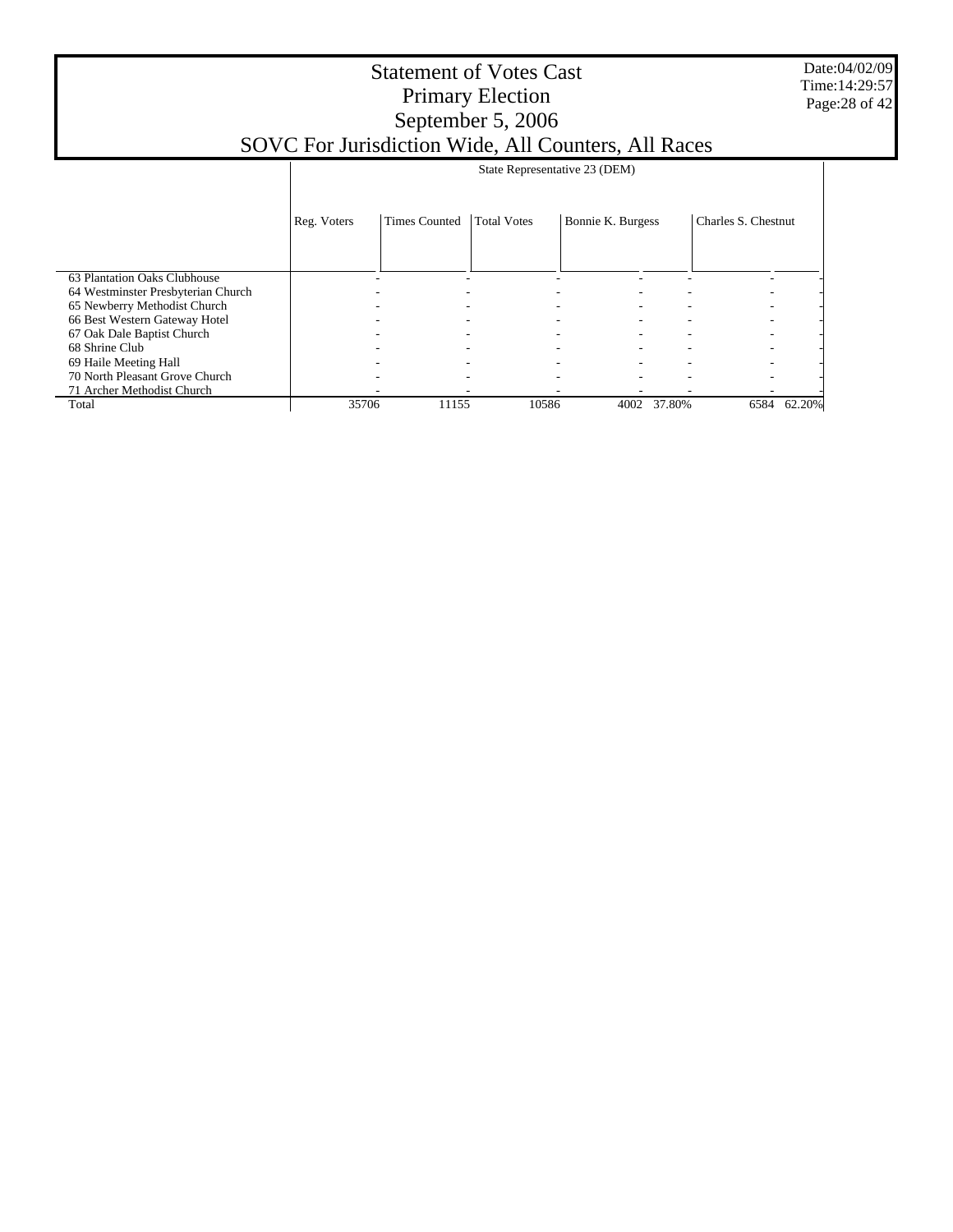Date:04/02/09 Time:14:29:57 Page:28 of 42

|                                    |                          |                      | State Representative 23 (DEM) |                   |        |                     |        |
|------------------------------------|--------------------------|----------------------|-------------------------------|-------------------|--------|---------------------|--------|
|                                    | Reg. Voters              | <b>Times Counted</b> | <b>Total Votes</b>            | Bonnie K. Burgess |        | Charles S. Chestnut |        |
| 63 Plantation Oaks Clubhouse       |                          |                      |                               |                   |        |                     |        |
| 64 Westminster Presbyterian Church |                          |                      |                               |                   |        |                     |        |
| 65 Newberry Methodist Church       |                          |                      |                               |                   |        |                     |        |
| 66 Best Western Gateway Hotel      |                          |                      |                               |                   |        |                     |        |
| 67 Oak Dale Baptist Church         |                          |                      |                               |                   |        |                     |        |
| 68 Shrine Club                     |                          |                      |                               |                   |        |                     |        |
| 69 Haile Meeting Hall              |                          |                      | -                             |                   |        |                     | ۰      |
| 70 North Pleasant Grove Church     | $\overline{\phantom{a}}$ |                      | -                             |                   |        |                     |        |
| 71 Archer Methodist Church         |                          |                      |                               |                   |        |                     |        |
| Total                              | 35706                    | 11155                | 10586                         | 4002              | 37.80% | 6584                | 62.20% |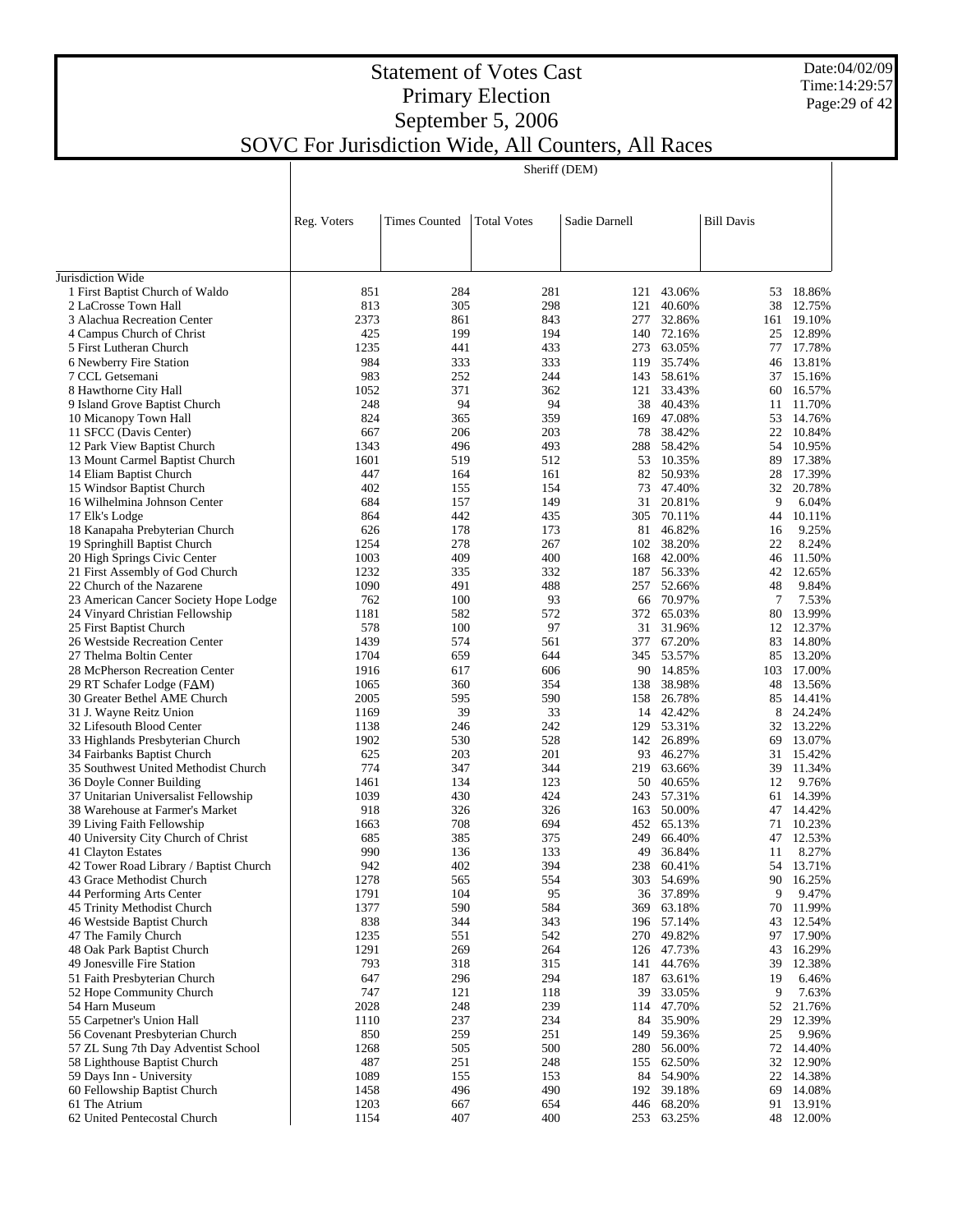Date:04/02/09 Time:14:29:57 Page:29 of 42

| Sheriff (DEM) |  |
|---------------|--|

|                                                       | Reg. Voters  | <b>Times Counted</b> | <b>Total Votes</b> | Sadie Darnell |                          | <b>Bill Davis</b> |                  |
|-------------------------------------------------------|--------------|----------------------|--------------------|---------------|--------------------------|-------------------|------------------|
|                                                       |              |                      |                    |               |                          |                   |                  |
| Jurisdiction Wide                                     |              |                      |                    |               |                          |                   |                  |
| 1 First Baptist Church of Waldo                       | 851          | 284                  | 281                |               | 121 43.06%               | 53                | 18.86%           |
| 2 LaCrosse Town Hall                                  | 813          | 305                  | 298                | 121           | 40.60%                   | 38                | 12.75%           |
| 3 Alachua Recreation Center                           | 2373         | 861                  | 843                |               | 277 32.86%               |                   | 161 19.10%       |
| 4 Campus Church of Christ                             | 425          | 199                  | 194                |               | 140 72.16%               | 25                | 12.89%           |
| 5 First Lutheran Church                               | 1235         | 441                  | 433                |               | 273 63.05%               |                   | 77 17.78%        |
| 6 Newberry Fire Station                               | 984          | 333                  | 333                | 119           | 35.74%                   | 46                | 13.81%           |
| 7 CCL Getsemani                                       | 983          | 252                  | 244                |               | 143 58.61%               | 37                | 15.16%           |
| 8 Hawthorne City Hall                                 | 1052         | 371                  | 362                |               | 121 33.43%               | 60                | 16.57%           |
| 9 Island Grove Baptist Church                         | 248          | 94                   | 94                 |               | 38 40.43%                | 11                | 11.70%           |
| 10 Micanopy Town Hall                                 | 824          | 365<br>206           | 359<br>203         | 169           | 47.08%                   | 53                | 14.76%           |
| 11 SFCC (Davis Center)<br>12 Park View Baptist Church | 667<br>1343  | 496                  | 493                |               | 78 38.42%<br>288 58.42%  | 22<br>54          | 10.84%<br>10.95% |
| 13 Mount Carmel Baptist Church                        | 1601         | 519                  | 512                |               | 53 10.35%                | 89                | 17.38%           |
| 14 Eliam Baptist Church                               | 447          | 164                  | 161                |               | 82 50.93%                | 28                | 17.39%           |
| 15 Windsor Baptist Church                             | 402          | 155                  | 154                |               | 73 47.40%                | 32                | 20.78%           |
| 16 Wilhelmina Johnson Center                          | 684          | 157                  | 149                |               | 31 20.81%                | 9                 | 6.04%            |
| 17 Elk's Lodge                                        | 864          | 442                  | 435                |               | 305 70.11%               | 44                | 10.11%           |
| 18 Kanapaha Prebyterian Church                        | 626          | 178                  | 173                |               | 81 46.82%                | 16                | 9.25%            |
| 19 Springhill Baptist Church                          | 1254         | 278                  | 267                |               | 102 38.20%               | 22                | 8.24%            |
| 20 High Springs Civic Center                          | 1003         | 409                  | 400                |               | 168 42.00%               | 46                | 11.50%           |
| 21 First Assembly of God Church                       | 1232         | 335                  | 332                |               | 187 56.33%               | 42                | 12.65%           |
| 22 Church of the Nazarene                             | 1090         | 491                  | 488                |               | 257 52.66%               | 48                | 9.84%            |
| 23 American Cancer Society Hope Lodge                 | 762          | 100                  | 93                 |               | 66 70.97%                | 7                 | 7.53%            |
| 24 Vinyard Christian Fellowship                       | 1181         | 582                  | 572                |               | 372 65.03%               | 80                | 13.99%           |
| 25 First Baptist Church                               | 578          | 100                  | 97                 |               | 31 31.96%                |                   | 12 12.37%        |
| 26 Westside Recreation Center                         | 1439         | 574                  | 561                |               | 377 67.20%               | 83                | 14.80%           |
| 27 Thelma Boltin Center                               | 1704         | 659                  | 644                |               | 345 53.57%               | 85                | 13.20%           |
| 28 McPherson Recreation Center                        | 1916         | 617                  | 606                |               | 90 14.85%                | 103               | 17.00%           |
| 29 RT Schafer Lodge (FAM)                             | 1065<br>2005 | 360<br>595           | 354<br>590         |               | 138 38.98%<br>26.78%     | 48                | 13.56%           |
| 30 Greater Bethel AME Church                          | 1169         | 39                   | 33                 | 158           | 14 42.42%                | 85<br>8           | 14.41%<br>24.24% |
| 31 J. Wayne Reitz Union<br>32 Lifesouth Blood Center  | 1138         | 246                  | 242                | 129           | 53.31%                   |                   | 32 13.22%        |
| 33 Highlands Presbyterian Church                      | 1902         | 530                  | 528                |               | 142 26.89%               | 69                | 13.07%           |
| 34 Fairbanks Baptist Church                           | 625          | 203                  | 201                |               | 93 46.27%                | 31                | 15.42%           |
| 35 Southwest United Methodist Church                  | 774          | 347                  | 344                | 219           | 63.66%                   | 39                | 11.34%           |
| 36 Doyle Conner Building                              | 1461         | 134                  | 123                |               | 50 40.65%                | 12                | 9.76%            |
| 37 Unitarian Universalist Fellowship                  | 1039         | 430                  | 424                |               | 243 57.31%               |                   | 61 14.39%        |
| 38 Warehouse at Farmer's Market                       | 918          | 326                  | 326                | 163           | 50.00%                   | 47                | 14.42%           |
| 39 Living Faith Fellowship                            | 1663         | 708                  | 694                |               | 452 65.13%               | 71                | 10.23%           |
| 40 University City Church of Christ                   | 685          | 385                  | 375                | 249           | 66.40%                   | 47                | 12.53%           |
| 41 Clayton Estates                                    | 990          | 136                  | 133                | 49            | 36.84%                   | 11                | 8.27%            |
| 42 Tower Road Library / Baptist Church                | 942          | 402                  | 394                | 238           | 60.41%                   | 54                | 13.71%           |
| 43 Grace Methodist Church                             | 1278         | 565                  | 554                |               | 303 54.69%               |                   | 90 16.25%        |
| 44 Performing Arts Center                             | 1791         | 104                  | 95                 |               | 36 37.89%                | 9                 | 9.47%            |
| 45 Trinity Methodist Church                           | 1377         | 590                  | 584                |               | 369 63.18%               |                   | 70 11.99%        |
| 46 Westside Baptist Church                            | 838          | 344                  | 343                |               | 196 57.14%               | 43                | 12.54%           |
| 47 The Family Church<br>48 Oak Park Baptist Church    | 1235         | 551                  | 542                |               | 270 49.82%               |                   | 97 17.90%        |
| 49 Jonesville Fire Station                            | 1291<br>793  | 269<br>318           | 264<br>315         |               | 126 47.73%<br>141 44.76% | 43<br>39          | 16.29%<br>12.38% |
| 51 Faith Presbyterian Church                          | 647          | 296                  | 294                |               | 187 63.61%               | 19                | 6.46%            |
| 52 Hope Community Church                              | 747          | 121                  | 118                |               | 39 33.05%                | 9                 | 7.63%            |
| 54 Harn Museum                                        | 2028         | 248                  | 239                |               | 114 47.70%               | 52                | 21.76%           |
| 55 Carpetner's Union Hall                             | 1110         | 237                  | 234                |               | 84 35.90%                | 29                | 12.39%           |
| 56 Covenant Presbyterian Church                       | 850          | 259                  | 251                |               | 149 59.36%               | 25                | 9.96%            |
| 57 ZL Sung 7th Day Adventist School                   | 1268         | 505                  | 500                |               | 280 56.00%               |                   | 72 14.40%        |
| 58 Lighthouse Baptist Church                          | 487          | 251                  | 248                | 155           | 62.50%                   |                   | 32 12.90%        |
| 59 Days Inn - University                              | 1089         | 155                  | 153                |               | 84 54.90%                |                   | 22 14.38%        |
| 60 Fellowship Baptist Church                          | 1458         | 496                  | 490                |               | 192 39.18%               | 69                | 14.08%           |
| 61 The Atrium                                         | 1203         | 667                  | 654                |               | 446 68.20%               |                   | 91 13.91%        |
| 62 United Pentecostal Church                          | 1154         | 407                  | 400                |               | 253 63.25%               |                   | 48 12.00%        |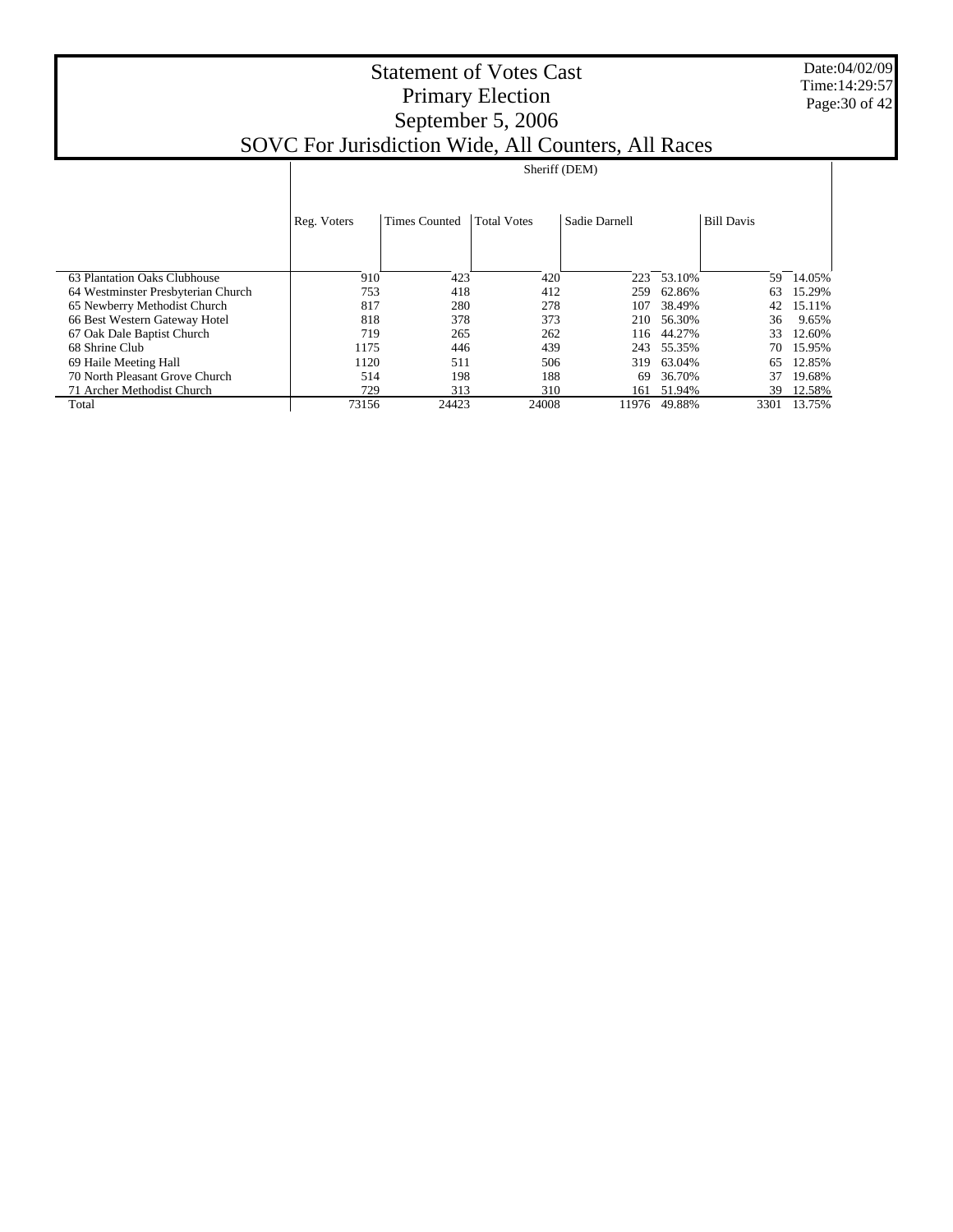Date:04/02/09 Time:14:29:57 Page:30 of 42

|                                    |             | Sheriff (DEM)                                                                    |       |       |        |      |        |  |  |  |  |
|------------------------------------|-------------|----------------------------------------------------------------------------------|-------|-------|--------|------|--------|--|--|--|--|
|                                    |             | <b>Total Votes</b><br><b>Times Counted</b><br>Sadie Darnell<br><b>Bill Davis</b> |       |       |        |      |        |  |  |  |  |
|                                    | Reg. Voters |                                                                                  |       |       |        |      |        |  |  |  |  |
|                                    |             |                                                                                  |       |       |        |      |        |  |  |  |  |
| 63 Plantation Oaks Clubhouse       | 910         | 423                                                                              | 420   | 223   | 53.10% | 59   | 14.05% |  |  |  |  |
| 64 Westminster Presbyterian Church | 753         | 418                                                                              | 412   | 259   | 62.86% | 63   | 15.29% |  |  |  |  |
| 65 Newberry Methodist Church       | 817         | 280                                                                              | 278   | 107   | 38.49% | 42   | 15.11% |  |  |  |  |
| 66 Best Western Gateway Hotel      | 818         | 378                                                                              | 373   | 210   | 56.30% | 36   | 9.65%  |  |  |  |  |
| 67 Oak Dale Baptist Church         | 719         | 265                                                                              | 262   | 116   | 44.27% | 33   | 12.60% |  |  |  |  |
| 68 Shrine Club                     | 1175        | 446                                                                              | 439   | 243   | 55.35% | 70   | 15.95% |  |  |  |  |
| 69 Haile Meeting Hall              | 1120        | 511                                                                              | 506   | 319   | 63.04% | 65   | 12.85% |  |  |  |  |
| 70 North Pleasant Grove Church     | 514         | 198                                                                              | 188   | 69    | 36.70% | 37   | 19.68% |  |  |  |  |
| 71 Archer Methodist Church         | 729         | 313                                                                              | 310   | 161   | 51.94% | 39   | 12.58% |  |  |  |  |
| Total                              | 73156       | 24423                                                                            | 24008 | 11976 | 49.88% | 3301 | 13.75% |  |  |  |  |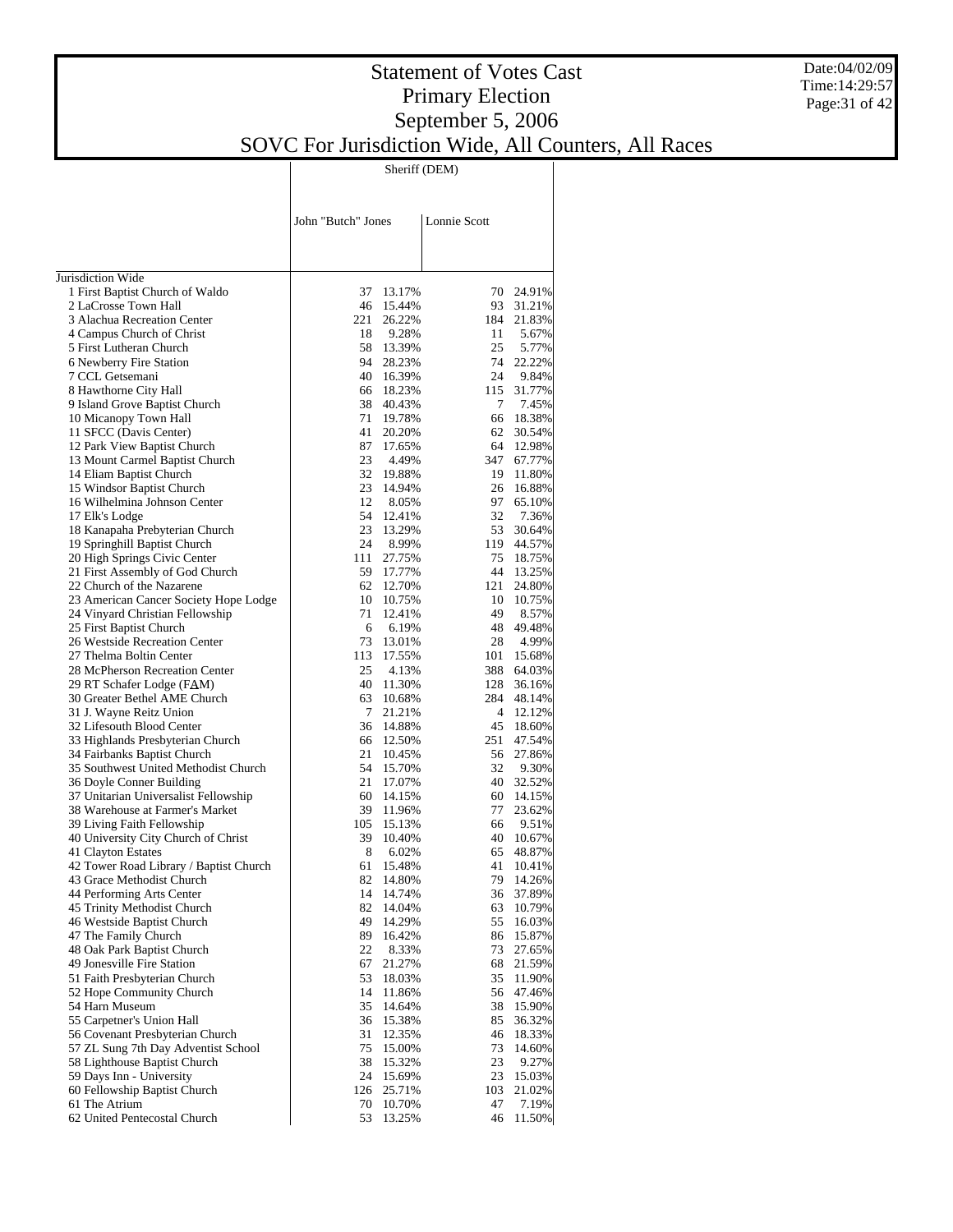#### Date:04/02/09 Time:14:29:57 Page:31 of 42

## Statement of Votes Cast Primary Election September 5, 2006 SOVC For Jurisdiction Wide, All Counters, All Races

Sheriff (DEM)

|                                                                | John "Butch" Jones |                        | Lonnie Scott         |                      |
|----------------------------------------------------------------|--------------------|------------------------|----------------------|----------------------|
| Jurisdiction Wide                                              |                    |                        |                      |                      |
| 1 First Baptist Church of Waldo                                | 37                 | 13.17%                 |                      | 70 24.91%            |
| 2 LaCrosse Town Hall                                           |                    | 46 15.44%              |                      | 93 31.21%            |
| 3 Alachua Recreation Center                                    | 221                | 26.22%                 | 184                  | 21.83%               |
| 4 Campus Church of Christ                                      | 18                 | 9.28%                  | 11                   | 5.67%                |
| 5 First Lutheran Church                                        |                    | 58 13.39%<br>94 28.23% | 25                   | 5.77%<br>74 22.22%   |
| 6 Newberry Fire Station<br>7 CCL Getsemani                     |                    | 40 16.39%              | 24                   | 9.84%                |
| 8 Hawthorne City Hall                                          |                    | 66 18.23%              | 115                  | 31.77%               |
| 9 Island Grove Baptist Church                                  |                    | 38 40.43%              | 7                    | 7.45%                |
| 10 Micanopy Town Hall                                          |                    | 71 19.78%              | 66                   | 18.38%               |
| 11 SFCC (Davis Center)                                         | 41                 | 20.20%                 | 62                   | 30.54%               |
| 12 Park View Baptist Church                                    |                    | 87 17.65%              | 64                   | 12.98%               |
| 13 Mount Carmel Baptist Church                                 | 23                 | 4.49%                  | 347                  | 67.77%               |
| 14 Eliam Baptist Church                                        |                    | 32 19.88%              | 19                   | 11.80%               |
| 15 Windsor Baptist Church                                      |                    | 23 14.94%              | 26                   | 16.88%               |
| 16 Wilhelmina Johnson Center                                   | 12                 | 8.05%                  |                      | 97 65.10%            |
| 17 Elk's Lodge                                                 |                    | 54 12.41%              | 32                   | 7.36%                |
| 18 Kanapaha Prebyterian Church<br>19 Springhill Baptist Church | 24                 | 23 13.29%              | 53                   | 30.64%<br>119 44.57% |
| 20 High Springs Civic Center                                   | 111                | 8.99%<br>27.75%        | 75                   | 18.75%               |
| 21 First Assembly of God Church                                |                    | 59 17.77%              | 44                   | 13.25%               |
| 22 Church of the Nazarene                                      |                    | 62 12.70%              | 121                  | 24.80%               |
| 23 American Cancer Society Hope Lodge                          |                    | 10 10.75%              | 10                   | 10.75%               |
| 24 Vinyard Christian Fellowship                                | 71                 | 12.41%                 | 49                   | 8.57%                |
| 25 First Baptist Church                                        | 6                  | 6.19%                  |                      | 48 49.48%            |
| 26 Westside Recreation Center                                  |                    | 73 13.01%              | 28                   | 4.99%                |
| 27 Thelma Boltin Center                                        |                    | 113 17.55%             | 101                  | 15.68%               |
| 28 McPherson Recreation Center                                 | 25                 | 4.13%                  | 388                  | 64.03%               |
| 29 RT Schafer Lodge (FAM)                                      |                    | 40 11.30%              | 128                  | 36.16%               |
| 30 Greater Bethel AME Church                                   | 63                 | 10.68%                 |                      | 284 48.14%           |
| 31 J. Wayne Reitz Union<br>32 Lifesouth Blood Center           | 7                  | 21.21%<br>36 14.88%    | $\overline{4}$<br>45 | 12.12%<br>18.60%     |
| 33 Highlands Presbyterian Church                               |                    | 66 12.50%              | 251                  | 47.54%               |
| 34 Fairbanks Baptist Church                                    | 21                 | 10.45%                 |                      | 56 27.86%            |
| 35 Southwest United Methodist Church                           |                    | 54 15.70%              | 32                   | 9.30%                |
| 36 Doyle Conner Building                                       | 21                 | 17.07%                 |                      | 40 32.52%            |
| 37 Unitarian Universalist Fellowship                           |                    | 60 14.15%              | 60                   | 14.15%               |
| 38 Warehouse at Farmer's Market                                |                    | 39 11.96%              | 77                   | 23.62%               |
| 39 Living Faith Fellowship                                     |                    | 105 15.13%             | 66                   | 9.51%                |
| 40 University City Church of Christ                            |                    | 39 10.40%              |                      | 40 10.67%            |
| 41 Clayton Estates                                             | 8                  | 6.02%                  | 65                   | 48.87%               |
| 42 Tower Road Library / Baptist Church                         | 61                 | 15.48%                 | 41<br>79             | 10.41%               |
| 43 Grace Methodist Church<br>44 Performing Arts Center         | 82<br>14           | 14.80%<br>14.74%       | 36                   | 14.26%<br>37.89%     |
| 45 Trinity Methodist Church                                    | 82                 | 14.04%                 | 63                   | 10.79%               |
| 46 Westside Baptist Church                                     | 49                 | 14.29%                 | 55                   | 16.03%               |
| 47 The Family Church                                           | 89                 | 16.42%                 | 86                   | 15.87%               |
| 48 Oak Park Baptist Church                                     | 22                 | 8.33%                  | 73                   | 27.65%               |
| 49 Jonesville Fire Station                                     | 67                 | 21.27%                 | 68                   | 21.59%               |
| 51 Faith Presbyterian Church                                   | 53                 | 18.03%                 | 35                   | 11.90%               |
| 52 Hope Community Church                                       | 14                 | 11.86%                 | 56                   | 47.46%               |
| 54 Harn Museum                                                 | 35                 | 14.64%                 | 38                   | 15.90%               |
| 55 Carpetner's Union Hall                                      | 36                 | 15.38%                 | 85                   | 36.32%               |
| 56 Covenant Presbyterian Church                                | 31                 | 12.35%                 | 46                   | 18.33%               |
| 57 ZL Sung 7th Day Adventist School                            | 75<br>38           | 15.00%                 | 73<br>23             | 14.60%               |
| 58 Lighthouse Baptist Church<br>59 Days Inn - University       | 24                 | 15.32%<br>15.69%       | 23                   | 9.27%<br>15.03%      |
| 60 Fellowship Baptist Church                                   | 126                | 25.71%                 | 103                  | 21.02%               |
| 61 The Atrium                                                  | 70                 | 10.70%                 | 47                   | 7.19%                |
| 62 United Pentecostal Church                                   | 53                 | 13.25%                 | 46                   | 11.50%               |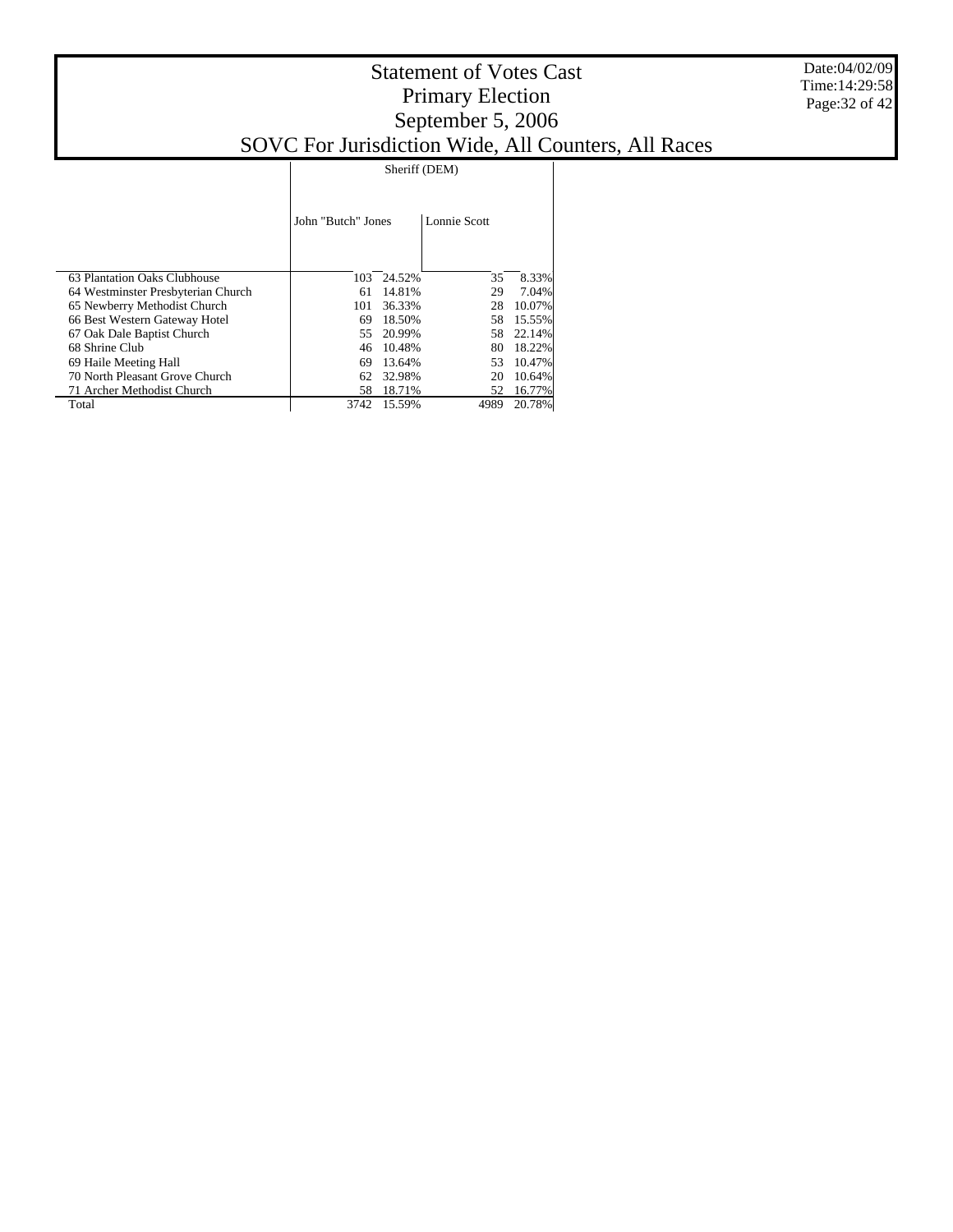|                                    | John "Butch" Jones |        | Lonnie Scott |        |
|------------------------------------|--------------------|--------|--------------|--------|
| 63 Plantation Oaks Clubhouse       | 103                | 24.52% | 35           | 8.33%  |
| 64 Westminster Presbyterian Church | 61                 | 14.81% | 29           | 7.04%  |
| 65 Newberry Methodist Church       | 101                | 36.33% | 28           | 10.07% |
| 66 Best Western Gateway Hotel      | 69                 | 18.50% | 58           | 15.55% |
| 67 Oak Dale Baptist Church         | 55                 | 20.99% | 58           | 22.14% |
| 68 Shrine Club                     | 46                 | 10.48% | 80           | 18.22% |
| 69 Haile Meeting Hall              | 69                 | 13.64% | 53           | 10.47% |
| 70 North Pleasant Grove Church     | 62                 | 32.98% | 20           | 10.64% |
| 71 Archer Methodist Church         | 58                 | 18.71% | 52           | 16.77% |
| Total                              | 3742               | 15.59% | 4989         | 20.78% |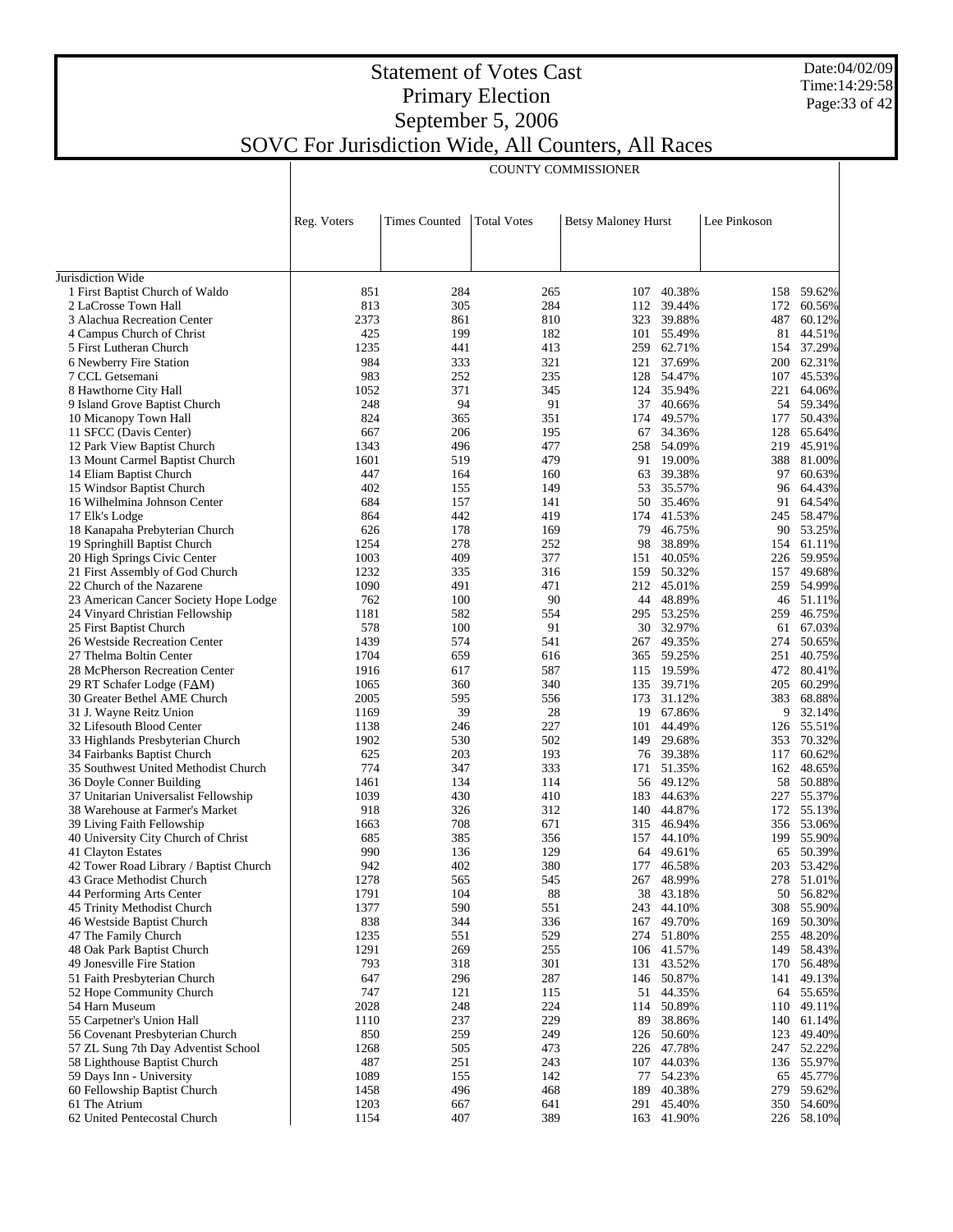Date:04/02/09 Time:14:29:58 Page:33 of 42

## Statement of Votes Cast Primary Election September 5, 2006 SOVC For Jurisdiction Wide, All Counters, All Races

|                                                                     | <b>COUNTY COMMISSIONER</b> |                      |                    |                            |                         |              |                          |
|---------------------------------------------------------------------|----------------------------|----------------------|--------------------|----------------------------|-------------------------|--------------|--------------------------|
|                                                                     |                            |                      |                    |                            |                         |              |                          |
|                                                                     | Reg. Voters                | <b>Times Counted</b> | <b>Total Votes</b> | <b>Betsy Maloney Hurst</b> |                         | Lee Pinkoson |                          |
| Jurisdiction Wide                                                   |                            |                      |                    |                            |                         |              |                          |
| 1 First Baptist Church of Waldo                                     | 851                        | 284                  | 265                | 107                        | 40.38%                  | 158          | 59.62%                   |
| 2 LaCrosse Town Hall                                                | 813                        | 305                  | 284                |                            | 112 39.44%              | 172          | 60.56%                   |
| 3 Alachua Recreation Center                                         | 2373                       | 861                  | 810                | 323                        | 39.88%                  | 487          | 60.12%                   |
| 4 Campus Church of Christ                                           | 425                        | 199                  | 182                |                            | 101 55.49%              |              | 81 44.51%                |
| 5 First Lutheran Church                                             | 1235<br>984                | 441<br>333           | 413<br>321         | 259<br>121                 | 62.71%<br>37.69%        |              | 154 37.29%<br>200 62.31% |
| 6 Newberry Fire Station<br>7 CCL Getsemani                          | 983                        | 252                  | 235                |                            | 128 54.47%              | 107          | 45.53%                   |
| 8 Hawthorne City Hall                                               | 1052                       | 371                  | 345                |                            | 124 35.94%              | 221          | 64.06%                   |
| 9 Island Grove Baptist Church                                       | 248                        | 94                   | 91                 | 37                         | 40.66%                  |              | 54 59.34%                |
| 10 Micanopy Town Hall                                               | 824                        | 365                  | 351                | 174                        | 49.57%                  | 177          | 50.43%                   |
| 11 SFCC (Davis Center)                                              | 667                        | 206                  | 195                | 67                         | 34.36%                  | 128          | 65.64%                   |
| 12 Park View Baptist Church                                         | 1343                       | 496                  | 477                |                            | 258 54.09%              |              | 219 45.91%               |
| 13 Mount Carmel Baptist Church                                      | 1601                       | 519                  | 479                |                            | 91 19.00%               | 388          | 81.00%                   |
| 14 Eliam Baptist Church<br>15 Windsor Baptist Church                | 447<br>402                 | 164<br>155           | 160<br>149         | 63<br>53                   | 39.38%<br>35.57%        | 97<br>96     | 60.63%<br>64.43%         |
| 16 Wilhelmina Johnson Center                                        | 684                        | 157                  | 141                |                            | 50 35.46%               | 91           | 64.54%                   |
| 17 Elk's Lodge                                                      | 864                        | 442                  | 419                | 174                        | 41.53%                  |              | 245 58.47%               |
| 18 Kanapaha Prebyterian Church                                      | 626                        | 178                  | 169                | 79                         | 46.75%                  |              | 90 53.25%                |
| 19 Springhill Baptist Church                                        | 1254                       | 278                  | 252                | 98                         | 38.89%                  |              | 154 61.11%               |
| 20 High Springs Civic Center                                        | 1003                       | 409                  | 377                | 151                        | 40.05%                  |              | 226 59.95%               |
| 21 First Assembly of God Church                                     | 1232                       | 335                  | 316                | 159                        | 50.32%                  | 157          | 49.68%                   |
| 22 Church of the Nazarene                                           | 1090                       | 491                  | 471                |                            | 212 45.01%              |              | 259 54.99%               |
| 23 American Cancer Society Hope Lodge                               | 762                        | 100                  | 90                 | 44                         | 48.89%                  |              | 46 51.11%                |
| 24 Vinyard Christian Fellowship<br>25 First Baptist Church          | 1181<br>578                | 582<br>100           | 554<br>91          |                            | 295 53.25%<br>30 32.97% |              | 259 46.75%<br>61 67.03%  |
| 26 Westside Recreation Center                                       | 1439                       | 574                  | 541                |                            | 267 49.35%              | 274          | 50.65%                   |
| 27 Thelma Boltin Center                                             | 1704                       | 659                  | 616                |                            | 365 59.25%              | 251          | 40.75%                   |
| 28 McPherson Recreation Center                                      | 1916                       | 617                  | 587                |                            | 115 19.59%              | 472          | 80.41%                   |
| 29 RT Schafer Lodge (FAM)                                           | 1065                       | 360                  | 340                |                            | 135 39.71%              | 205          | 60.29%                   |
| 30 Greater Bethel AME Church                                        | 2005                       | 595                  | 556                | 173                        | 31.12%                  | 383          | 68.88%                   |
| 31 J. Wayne Reitz Union                                             | 1169                       | 39                   | 28                 | 19                         | 67.86%                  |              | 9 32.14%                 |
| 32 Lifesouth Blood Center                                           | 1138                       | 246                  | 227                | 101                        | 44.49%                  |              | 126 55.51%               |
| 33 Highlands Presbyterian Church<br>34 Fairbanks Baptist Church     | 1902<br>625                | 530<br>203           | 502<br>193         | 149                        | 29.68%<br>76 39.38%     | 117          | 353 70.32%<br>60.62%     |
| 35 Southwest United Methodist Church                                | 774                        | 347                  | 333                |                            | 171 51.35%              |              | 162 48.65%               |
| 36 Doyle Conner Building                                            | 1461                       | 134                  | 114                |                            | 56 49.12%               |              | 58 50.88%                |
| 37 Unitarian Universalist Fellowship                                | 1039                       | 430                  | 410                | 183                        | 44.63%                  |              | 227 55.37%               |
| 38 Warehouse at Farmer's Market                                     | 918                        | 326                  | 312                |                            | 140 44.87%              |              | 172 55.13%               |
| 39 Living Faith Fellowship                                          | 1663                       | 708                  | 671                | 315                        | 46.94%                  |              | 356 53.06%               |
| 40 University City Church of Christ                                 | 685                        | 385                  | 356                |                            | 157 44.10%              |              | 199 55.90%               |
| 41 Clayton Estates                                                  | 990                        | 136                  | 129                |                            | 64 49.61%               |              | 65 50.39%                |
| 42 Tower Road Library / Baptist Church<br>43 Grace Methodist Church | 942<br>1278                | 402<br>565           | 380<br>545         | 267                        | 177 46.58%<br>48.99%    |              | 203 53.42%<br>278 51.01% |
| 44 Performing Arts Center                                           | 1791                       | 104                  | 88                 |                            | 38 43.18%               |              | 50 56.82%                |
| 45 Trinity Methodist Church                                         | 1377                       | 590                  | 551                | 243                        | 44.10%                  |              | 308 55.90%               |
| 46 Westside Baptist Church                                          | 838                        | 344                  | 336                |                            | 167 49.70%              |              | 169 50.30%               |
| 47 The Family Church                                                | 1235                       | 551                  | 529                |                            | 274 51.80%              |              | 255 48.20%               |
| 48 Oak Park Baptist Church                                          | 1291                       | 269                  | 255                |                            | 106 41.57%              |              | 149 58.43%               |
| 49 Jonesville Fire Station                                          | 793                        | 318                  | 301                |                            | 131 43.52%              |              | 170 56.48%               |
| 51 Faith Presbyterian Church                                        | 647                        | 296                  | 287                |                            | 146 50.87%              |              | 141 49.13%               |
| 52 Hope Community Church<br>54 Harn Museum                          | 747<br>2028                | 121<br>248           | 115<br>224         |                            | 51 44.35%<br>114 50.89% |              | 64 55.65%<br>110 49.11%  |
| 55 Carpetner's Union Hall                                           | 1110                       | 237                  | 229                | 89                         | 38.86%                  |              | 140 61.14%               |
| 56 Covenant Presbyterian Church                                     | 850                        | 259                  | 249                |                            | 126 50.60%              |              | 123 49.40%               |
| 57 ZL Sung 7th Day Adventist School                                 | 1268                       | 505                  | 473                |                            | 226 47.78%              |              | 247 52.22%               |
| 58 Lighthouse Baptist Church                                        | 487                        | 251                  | 243                |                            | 107 44.03%              |              | 136 55.97%               |
| 59 Days Inn - University                                            | 1089                       | 155                  | 142                | 77                         | 54.23%                  |              | 65 45.77%                |
| 60 Fellowship Baptist Church                                        | 1458                       | 496                  | 468                |                            | 189 40.38%              |              | 279 59.62%               |
| 61 The Atrium                                                       | 1203                       | 667                  | 641                | 291                        | 45.40%                  |              | 350 54.60%               |
| 62 United Pentecostal Church                                        | 1154                       | 407                  | 389                |                            | 163 41.90%              |              | 226 58.10%               |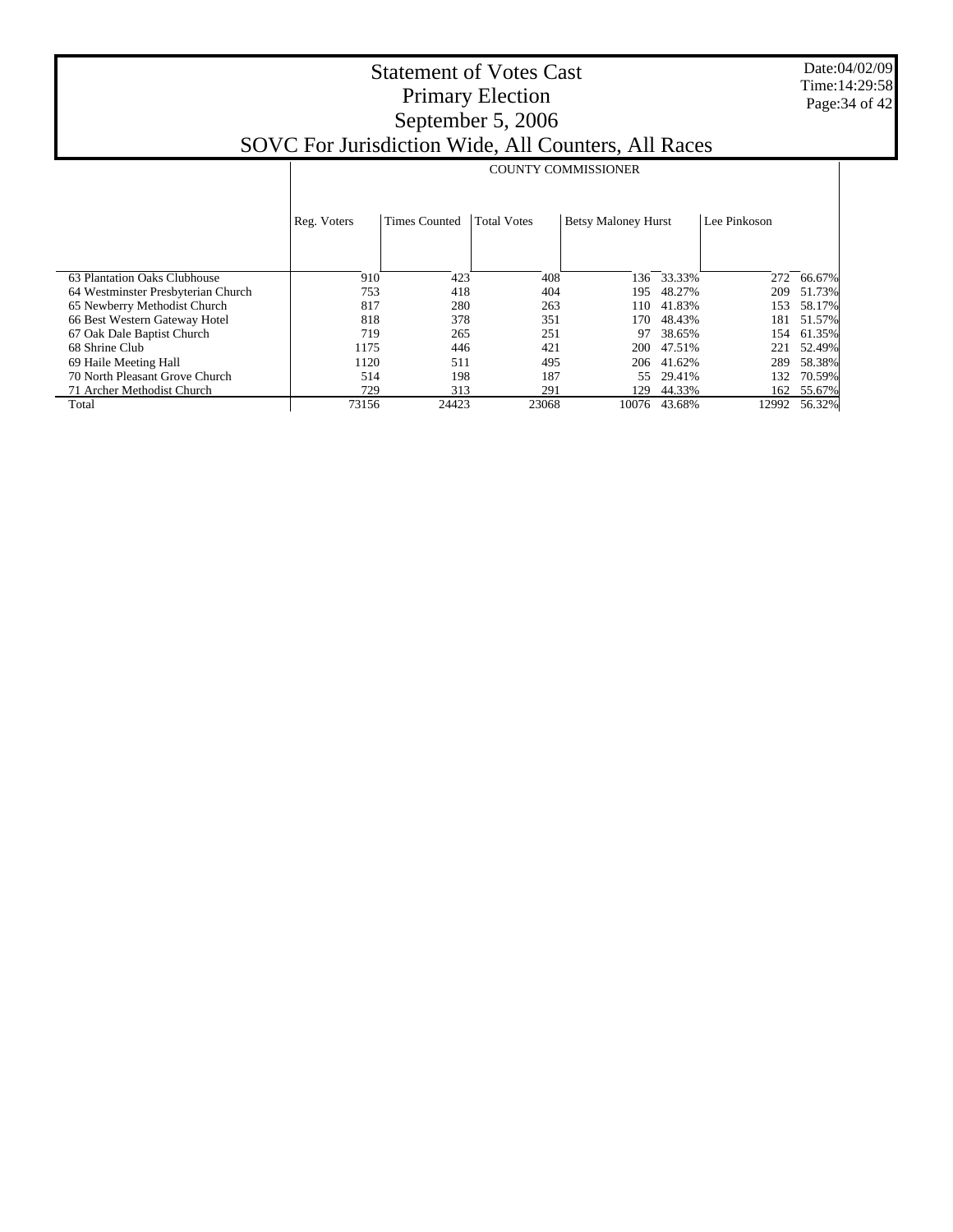Date:04/02/09 Time:14:29:58 Page:34 of 42

|                                    | <b>COUNTY COMMISSIONER</b>                                                              |       |              |       |        |       |        |  |  |
|------------------------------------|-----------------------------------------------------------------------------------------|-------|--------------|-------|--------|-------|--------|--|--|
|                                    |                                                                                         |       |              |       |        |       |        |  |  |
|                                    | <b>Total Votes</b><br><b>Betsy Maloney Hurst</b><br><b>Times Counted</b><br>Reg. Voters |       | Lee Pinkoson |       |        |       |        |  |  |
|                                    |                                                                                         |       |              |       |        |       |        |  |  |
| 63 Plantation Oaks Clubhouse       | 910                                                                                     | 423   | 408          | 136   | 33.33% | 272   | 66.67% |  |  |
| 64 Westminster Presbyterian Church | 753                                                                                     | 418   | 404          | 195   | 48.27% | 209   | 51.73% |  |  |
| 65 Newberry Methodist Church       | 817                                                                                     | 280   | 263          | 110   | 41.83% | 153   | 58.17% |  |  |
| 66 Best Western Gateway Hotel      | 818                                                                                     | 378   | 351          | 170   | 48.43% | 181   | 51.57% |  |  |
| 67 Oak Dale Baptist Church         | 719                                                                                     | 265   | 251          | 97    | 38.65% | 154   | 61.35% |  |  |
| 68 Shrine Club                     | 1175                                                                                    | 446   | 421          | 200   | 47.51% | 221   | 52.49% |  |  |
| 69 Haile Meeting Hall              | 1120                                                                                    | 511   | 495          | 206   | 41.62% | 289   | 58.38% |  |  |
| 70 North Pleasant Grove Church     | 514                                                                                     | 198   | 187          | 55.   | 29.41% | 132   | 70.59% |  |  |
| 71 Archer Methodist Church         | 729                                                                                     | 313   | 291          | 129   | 44.33% | 162   | 55.67% |  |  |
| Total                              | 73156                                                                                   | 24423 | 23068        | 10076 | 43.68% | 12992 | 56.32% |  |  |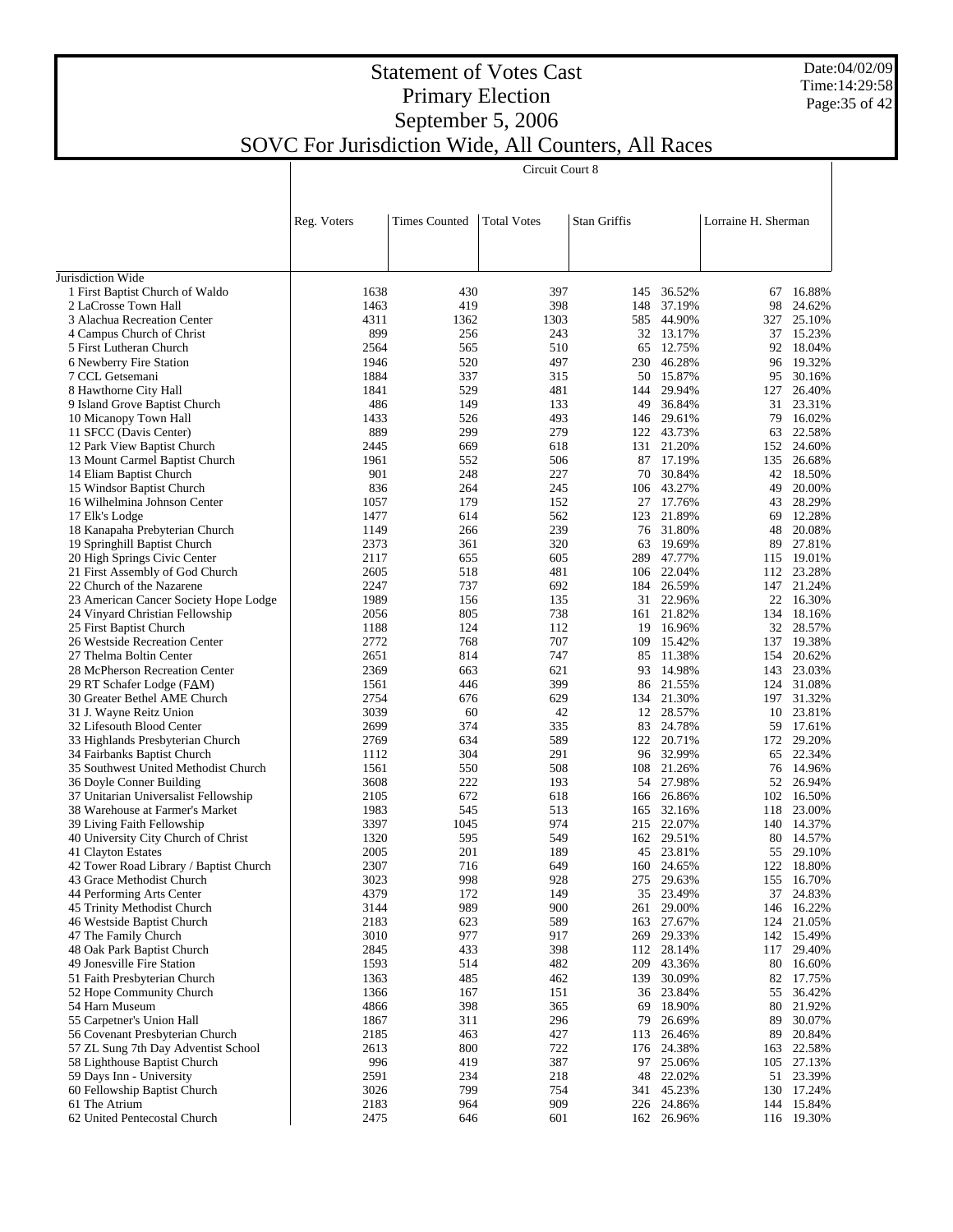#### Date:04/02/09 Time:14:29:58 Page:35 of 42

## Statement of Votes Cast Primary Election September 5, 2006

#### SOVC For Jurisdiction Wide, All Counters, All Races Circuit Court 8

|                                                              | Reg. Voters  | <b>Times Counted</b> | <b>Total Votes</b> | <b>Stan Griffis</b> |                         | Lorraine H. Sherman |                  |
|--------------------------------------------------------------|--------------|----------------------|--------------------|---------------------|-------------------------|---------------------|------------------|
|                                                              |              |                      |                    |                     |                         |                     |                  |
| Jurisdiction Wide                                            |              |                      |                    |                     |                         |                     |                  |
| 1 First Baptist Church of Waldo                              | 1638         | 430                  | 397                | 145                 | 36.52%                  | 67                  | 16.88%           |
| 2 LaCrosse Town Hall                                         | 1463         | 419                  | 398                |                     | 148 37.19%              | 98                  | 24.62%           |
| 3 Alachua Recreation Center                                  | 4311         | 1362                 | 1303               |                     | 585 44.90%              | 327                 | 25.10%           |
| 4 Campus Church of Christ                                    | 899          | 256                  | 243                |                     | 32 13.17%               | 37                  | 15.23%           |
| 5 First Lutheran Church                                      | 2564         | 565                  | 510                |                     | 65 12.75%               | 92                  | 18.04%           |
| 6 Newberry Fire Station                                      | 1946         | 520                  | 497                |                     | 230 46.28%              | 96                  | 19.32%           |
| 7 CCL Getsemani                                              | 1884         | 337                  | 315                |                     | 50 15.87%               | 95                  | 30.16%           |
| 8 Hawthorne City Hall                                        | 1841         | 529                  | 481                |                     | 144 29.94%              | 127                 | 26.40%           |
| 9 Island Grove Baptist Church                                | 486          | 149                  | 133                |                     | 49 36.84%               | 31                  | 23.31%           |
| 10 Micanopy Town Hall                                        | 1433         | 526                  | 493                |                     | 146 29.61%              | 79                  | 16.02%           |
| 11 SFCC (Davis Center)                                       | 889          | 299                  | 279                |                     | 122 43.73%              | 63                  | 22.58%           |
| 12 Park View Baptist Church                                  | 2445         | 669                  | 618                |                     | 131 21.20%              | 152                 | 24.60%           |
| 13 Mount Carmel Baptist Church                               | 1961         | 552                  | 506                |                     | 87 17.19%               | 135                 | 26.68%           |
| 14 Eliam Baptist Church                                      | 901<br>836   | 248                  | 227                |                     | 70 30.84%               | 42                  | 18.50%           |
| 15 Windsor Baptist Church<br>16 Wilhelmina Johnson Center    | 1057         | 264<br>179           | 245                |                     | 106 43.27%<br>27 17.76% | 49                  | 20.00%<br>28.29% |
| 17 Elk's Lodge                                               | 1477         | 614                  | 152<br>562         |                     | 123 21.89%              | 43<br>69            | 12.28%           |
| 18 Kanapaha Prebyterian Church                               | 1149         | 266                  | 239                |                     | 76 31.80%               | 48                  | 20.08%           |
| 19 Springhill Baptist Church                                 | 2373         | 361                  | 320                |                     | 63 19.69%               | 89                  | 27.81%           |
| 20 High Springs Civic Center                                 | 2117         | 655                  | 605                |                     | 289 47.77%              | 115                 | 19.01%           |
| 21 First Assembly of God Church                              | 2605         | 518                  | 481                |                     | 106 22.04%              | 112                 | 23.28%           |
| 22 Church of the Nazarene                                    | 2247         | 737                  | 692                |                     | 184 26.59%              | 147                 | 21.24%           |
| 23 American Cancer Society Hope Lodge                        | 1989         | 156                  | 135                |                     | 31 22.96%               | 22                  | 16.30%           |
| 24 Vinyard Christian Fellowship                              | 2056         | 805                  | 738                |                     | 161 21.82%              | 134                 | 18.16%           |
| 25 First Baptist Church                                      | 1188         | 124                  | 112                |                     | 19 16.96%               | 32                  | 28.57%           |
| 26 Westside Recreation Center                                | 2772         | 768                  | 707                |                     | 109 15.42%              | 137                 | 19.38%           |
| 27 Thelma Boltin Center                                      | 2651         | 814                  | 747                |                     | 85 11.38%               | 154                 | 20.62%           |
| 28 McPherson Recreation Center                               | 2369         | 663                  | 621                |                     | 93 14.98%               | 143                 | 23.03%           |
| 29 RT Schafer Lodge (FAM)                                    | 1561         | 446                  | 399                |                     | 86 21.55%               | 124                 | 31.08%           |
| 30 Greater Bethel AME Church                                 | 2754         | 676                  | 629                |                     | 134 21.30%              | 197                 | 31.32%           |
| 31 J. Wayne Reitz Union                                      | 3039         | 60                   | 42                 |                     | 12 28.57%               | 10                  | 23.81%           |
| 32 Lifesouth Blood Center                                    | 2699         | 374                  | 335                |                     | 83 24.78%               | 59                  | 17.61%           |
| 33 Highlands Presbyterian Church                             | 2769         | 634                  | 589                |                     | 122 20.71%              | 172                 | 29.20%           |
| 34 Fairbanks Baptist Church                                  | 1112         | 304                  | 291                |                     | 96 32.99%               | 65                  | 22.34%           |
| 35 Southwest United Methodist Church                         | 1561         | 550                  | 508                |                     | 108 21.26%              | 76                  | 14.96%           |
| 36 Doyle Conner Building                                     | 3608         | 222                  | 193                |                     | 54 27.98%               | 52                  | 26.94%           |
| 37 Unitarian Universalist Fellowship                         | 2105         | 672                  | 618                |                     | 166 26.86%              | 102                 | 16.50%           |
| 38 Warehouse at Farmer's Market                              | 1983         | 545                  | 513                |                     | 165 32.16%              | 118                 | 23.00%           |
| 39 Living Faith Fellowship                                   | 3397         | 1045                 | 974                |                     | 215 22.07%              |                     | 140 14.37%       |
| 40 University City Church of Christ                          | 1320         | 595                  | 549                |                     | 162 29.51%              | 80                  | 14.57%           |
| 41 Clayton Estates<br>42 Tower Road Library / Baptist Church | 2005<br>2307 | 201<br>716           | 189<br>649         |                     | 45 23.81%<br>160 24.65% | 55<br>122           | 29.10%<br>18.80% |
| 43 Grace Methodist Church                                    | 3023         | 998                  | 928                |                     | 275 29.63%              |                     | 155 16.70%       |
| 44 Performing Arts Center                                    | 4379         | 172                  | 149                |                     | 35 23.49%               | 37                  | 24.83%           |
| 45 Trinity Methodist Church                                  | 3144         | 989                  | 900                | 261                 | 29.00%                  | 146                 | 16.22%           |
| 46 Westside Baptist Church                                   | 2183         | 623                  | 589                | 163                 | 27.67%                  | 124                 | 21.05%           |
| 47 The Family Church                                         | 3010         | 977                  | 917                |                     | 269 29.33%              |                     | 142 15.49%       |
| 48 Oak Park Baptist Church                                   | 2845         | 433                  | 398                |                     | 112 28.14%              | 117                 | 29.40%           |
| 49 Jonesville Fire Station                                   | 1593         | 514                  | 482                |                     | 209 43.36%              | 80                  | 16.60%           |
| 51 Faith Presbyterian Church                                 | 1363         | 485                  | 462                | 139                 | 30.09%                  | 82                  | 17.75%           |
| 52 Hope Community Church                                     | 1366         | 167                  | 151                |                     | 36 23.84%               | 55                  | 36.42%           |
| 54 Harn Museum                                               | 4866         | 398                  | 365                | 69                  | 18.90%                  | 80                  | 21.92%           |
| 55 Carpetner's Union Hall                                    | 1867         | 311                  | 296                |                     | 79 26.69%               | 89                  | 30.07%           |
| 56 Covenant Presbyterian Church                              | 2185         | 463                  | 427                | 113                 | 26.46%                  | 89                  | 20.84%           |
| 57 ZL Sung 7th Day Adventist School                          | 2613         | 800                  | 722                |                     | 176 24.38%              | 163                 | 22.58%           |
| 58 Lighthouse Baptist Church                                 | 996          | 419                  | 387                |                     | 97 25.06%               | 105                 | 27.13%           |
| 59 Days Inn - University                                     | 2591         | 234                  | 218                |                     | 48 22.02%               | 51                  | 23.39%           |
| 60 Fellowship Baptist Church                                 | 3026         | 799                  | 754                |                     | 341 45.23%              | 130                 | 17.24%           |
| 61 The Atrium                                                | 2183         | 964                  | 909                |                     | 226 24.86%              |                     | 144 15.84%       |
| 62 United Pentecostal Church                                 | 2475         | 646                  | 601                |                     | 162 26.96%              |                     | 116 19.30%       |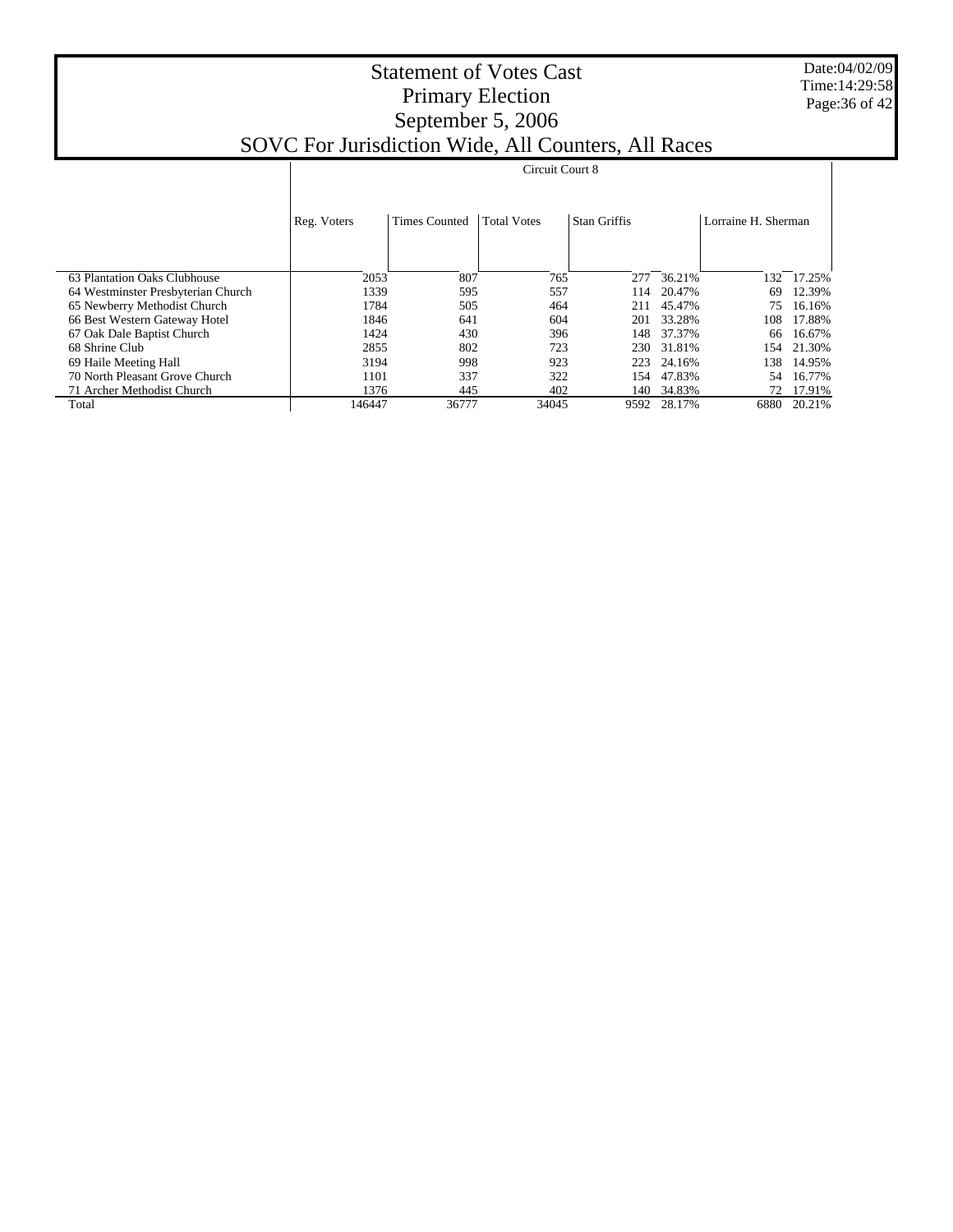Date:04/02/09 Time:14:29:58 Page:36 of 42

# Reg. Voters Times Counted | Total Votes | Stan Griffis | Lorraine H. Sherman Circuit Court 8

| 63 Plantation Oaks Clubhouse       | 2053   | 807   | 765   | 277  | 36.21%      | 132. | 17.25% |
|------------------------------------|--------|-------|-------|------|-------------|------|--------|
| 64 Westminster Presbyterian Church | 1339   | 595   | 557   | 114  | 20.47%      | 69   | 12.39% |
| 65 Newberry Methodist Church       | 1784   | 505   | 464   | 211  | 45.47%      | 75   | 16.16% |
| 66 Best Western Gateway Hotel      | 1846   | 641   | 604   | 201  | 33.28%      | 108  | 17.88% |
| 67 Oak Dale Baptist Church         | 1424   | 430   | 396   | 148  | 37.37%      | 66   | 16.67% |
| 68 Shrine Club                     | 2855   | 802   | 723   | 230  | 31.81%      | 154  | 21.30% |
| 69 Haile Meeting Hall              | 3194   | 998   | 923   | 223  | 24.16%      | 138  | 14.95% |
| 70 North Pleasant Grove Church     | 1101   | 337   | 322   | 154  | 47.83%      | 54   | 16.77% |
| 71 Archer Methodist Church         | 1376   | 445   | 402   | 140. | 34.83%      | 72   | 17.91% |
| Total                              | 146447 | 36777 | 34045 |      | 9592 28.17% | 6880 | 20.21% |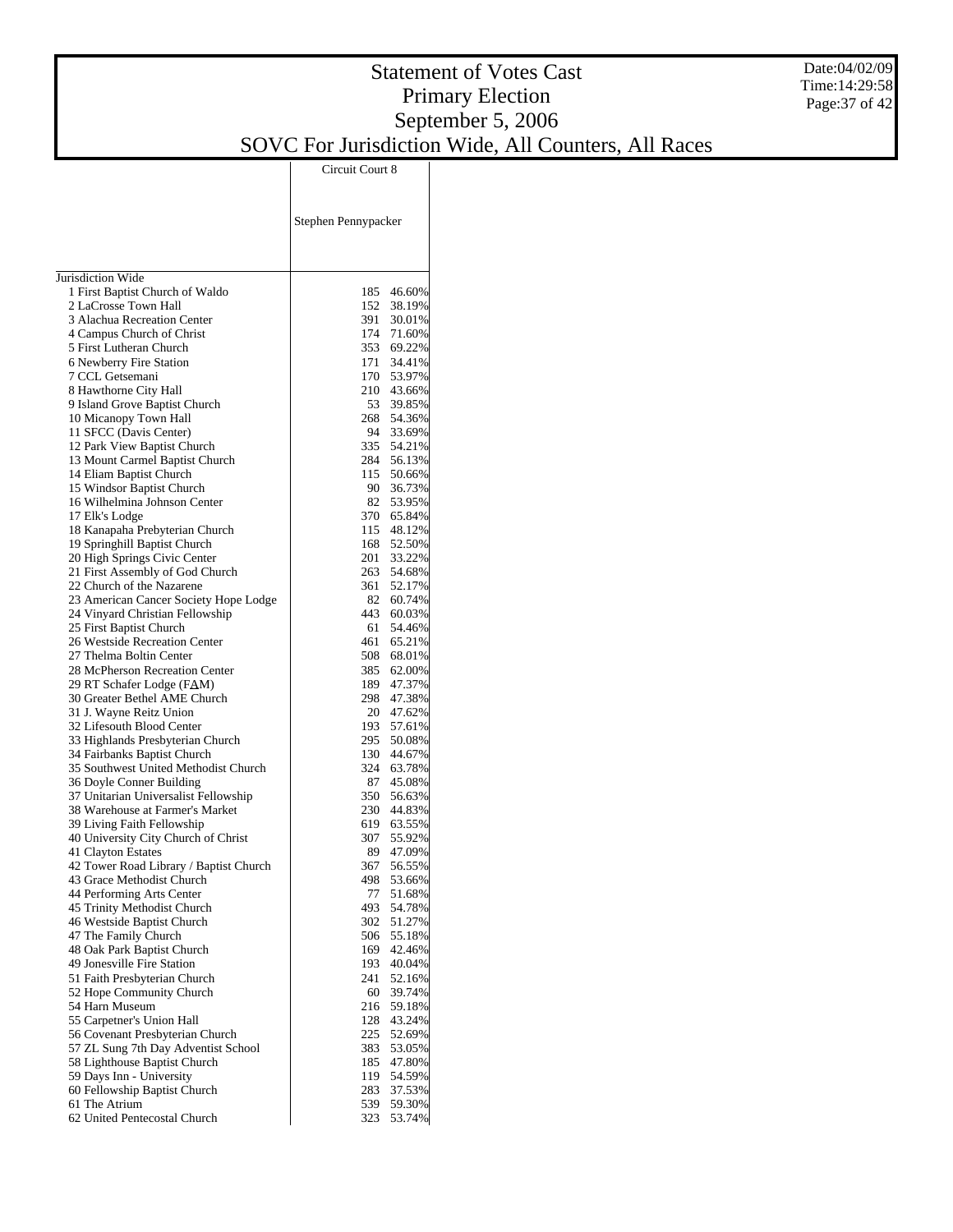Jurisdiction Wide 1 First Baptist Church of Waldo 2 LaCrosse Town Hall 3 Alachua Recreation Center 4 Campus Church of Christ 5 First Lutheran Church 6 Newberry Fire Station 7 CCL Getsemani 8 Hawthorne City Hall 9 Island Grove Baptist Church 10 Micanopy Town Hall 11 SFCC (Davis Center) 12 Park View Baptist Church 13 Mount Carmel Baptist Church 14 Eliam Baptist Church 15 Windsor Baptist Church 16 Wilhelmina Johnson Center 17 Elk's Lodge 18 Kanapaha Prebyterian Church 19 Springhill Baptist Church 20 High Springs Civic Center 21 First Assembly of God Church 22 Church of the Nazarene 23 American Cancer Society Hope Lodge 24 Vinyard Christian Fellowship 25 First Baptist Church 26 Westside Recreation Center 27 Thelma Boltin Center 28 McPherson Recreation Center 29 RT Schafer Lodge (FAM) 30 Greater Bethel AME Church 31 J. Wayne Reitz Union 32 Lifesouth Blood Center 33 Highlands Presbyterian Church 34 Fairbanks Baptist Church 35 Southwest United Methodist Church 36 Doyle Conner Building 37 Unitarian Universalist Fellowship 38 Warehouse at Farmer's Market 39 Living Faith Fellowship 40 University City Church of Christ 41 Clayton Estates 42 Tower Road Library / Baptist Church 43 Grace Methodist Church 44 Performing Arts Center 45 Trinity Methodist Church 46 Westside Baptist Church 47 The Family Church 48 Oak Park Baptist Church 49 Jonesville Fire Station 51 Faith Presbyterian Church 52 Hope Community Church 54 Harn Museum 55 Carpetner's Union Hall 56 Covenant Presbyterian Church 57 ZL Sung 7th Day Adventist School 58 Lighthouse Baptist Church 59 Days Inn - University 60 Fellowship Baptist Church 61 The Atrium 62 United Pentecostal Church Stephen Pennypacker Circuit Court 8 185 46.60% 152 38.19% 391 30.01%<br>174 71.60% 174 71.60% 353 69.22% 34.41% 170 53.97% 210 43.66% 53 39.85% 268 54.36%<br>94 33.69% 94 33.69%<br>335 54.21% 335 54.21% 56.13% 115 50.66%<br>90 36.73% 90 36.73%<br>82 53.95% 53.95% 370 65.84% 48.12% 168 52.50% 201 33.22%<br>263 54.68% 54.68% 361 52.17% 82 60.74% 60.03% 61 54.46%<br>461 65.21% 461 65.21% 508 68.01% 62.00% 189 47.37% 47.38% 20 47.62%<br>193 57.61% 193 57.61%<br>295 50.08% 50.08% 130 44.67%<br>324 63.78% 63.78% 87 45.08%<br>350 56.63% 350 56.63%<br>230 44.83% 44.83% 619 63.55% 55.92% 89 47.09% 367 56.55% 53.66% 77 51.68% 54.78% 302 51.27% 506 55.18%<br>169 42.46% 169 42.46%<br>193 40.04% 193 40.04% 52.16% 60 39.74% 216 59.18% 128 43.24% 52.69% 383 53.05% 185 47.80%<br>119 54.59% 54.59% 283 37.53%<br>539 59.30% 539 59.30% 323 53.74%

Date:04/02/09 Time:14:29:58 Page:37 of 42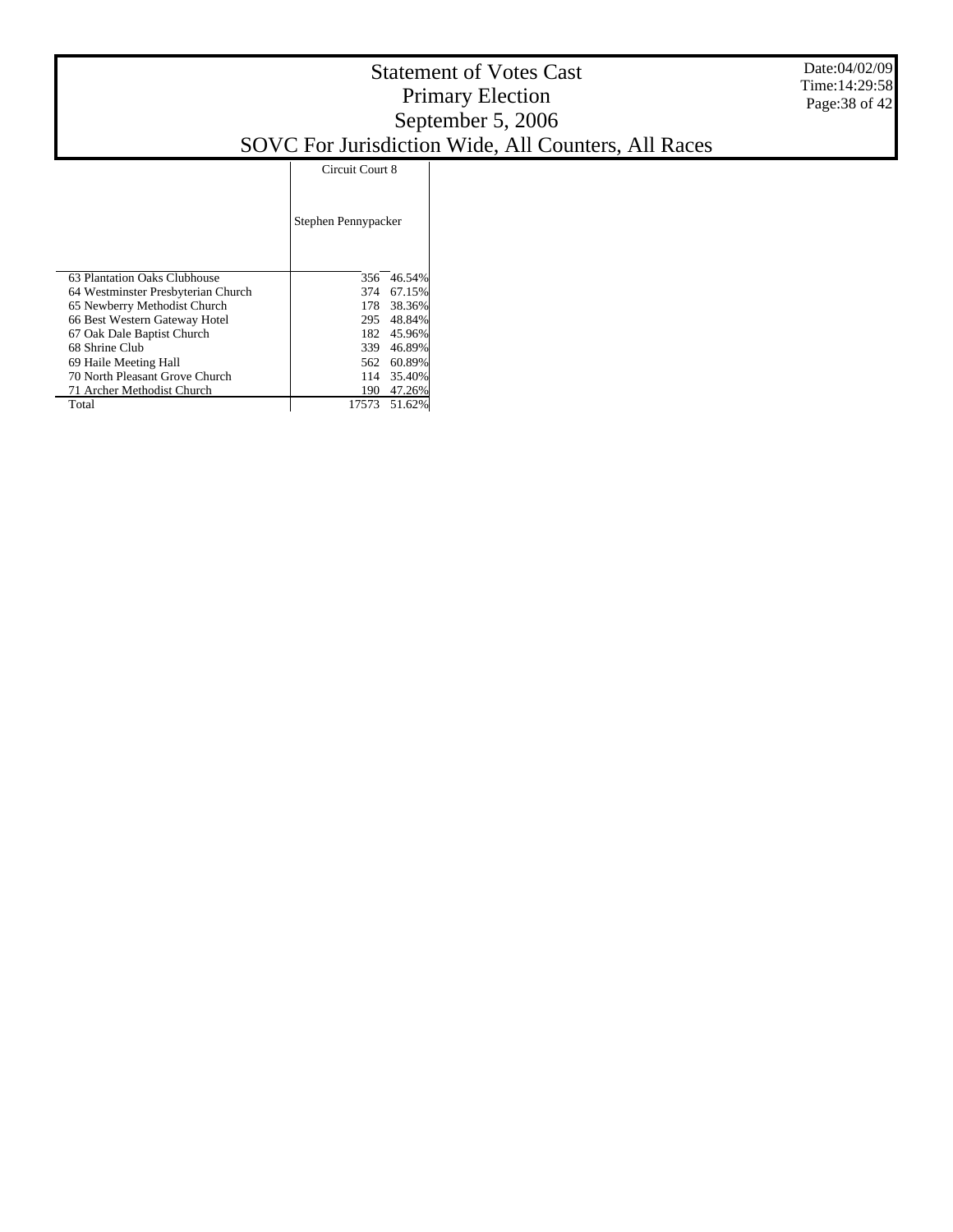|                                    | Circuit Court 8     |        |  |
|------------------------------------|---------------------|--------|--|
|                                    | Stephen Pennypacker |        |  |
| 63 Plantation Oaks Clubhouse       | 356                 | 46.54% |  |
| 64 Westminster Presbyterian Church | 374                 | 67.15% |  |
| 65 Newberry Methodist Church       | 178                 | 38.36% |  |
| 66 Best Western Gateway Hotel      | 295                 | 48.84% |  |
| 67 Oak Dale Baptist Church         | 182                 | 45.96% |  |
| 68 Shrine Club                     | 339                 | 46.89% |  |
| 69 Haile Meeting Hall              | 562                 | 60.89% |  |
| 70 North Pleasant Grove Church     | 114                 | 35.40% |  |
| 71 Archer Methodist Church         | 190                 | 47.26% |  |
| Total                              | 17573               | 51.62% |  |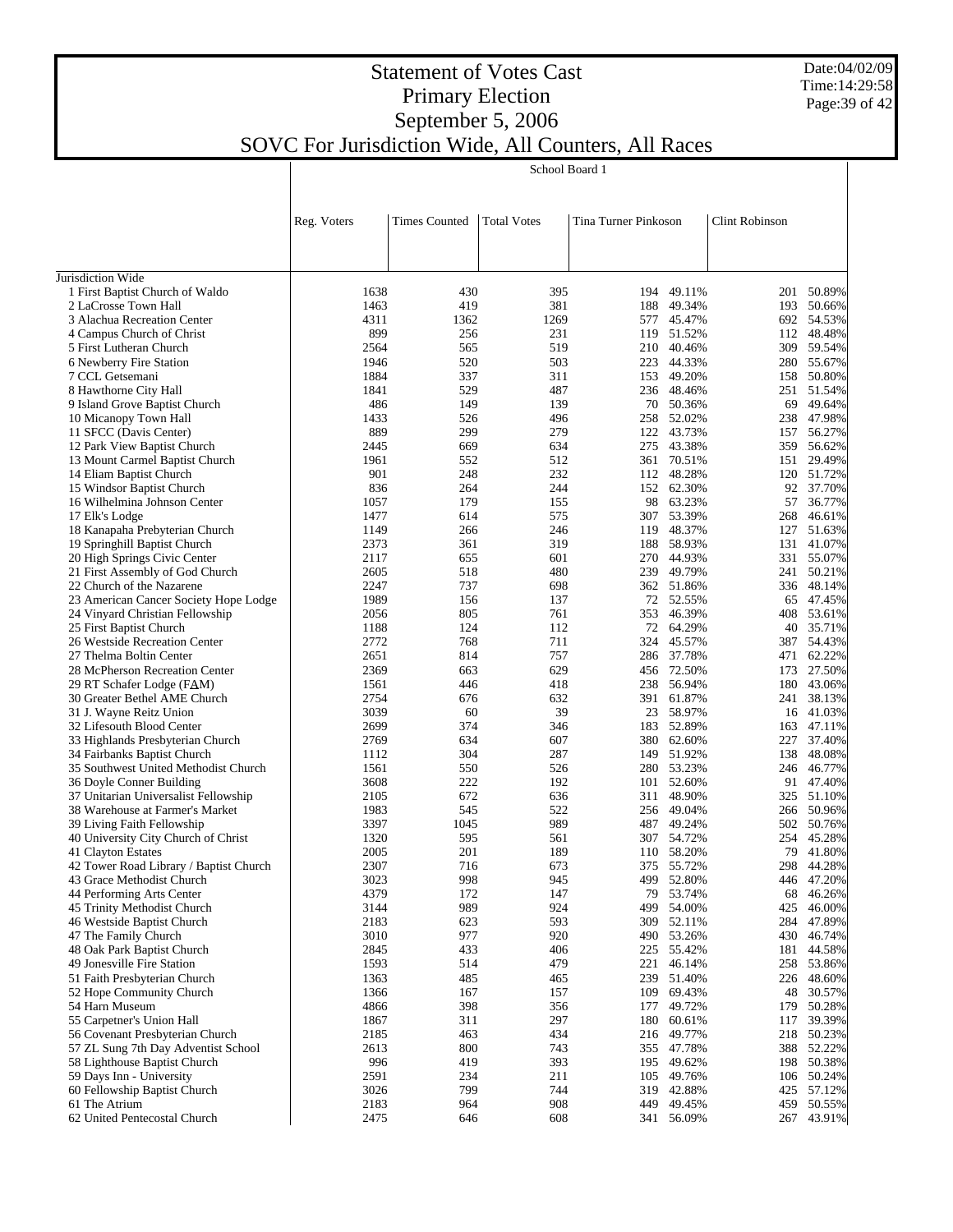Date:04/02/09 Time:14:29:58 Page:39 of 42

 $\overline{\phantom{a}}$ 

## Statement of Votes Cast Primary Election September 5, 2006 SOVC For Jurisdiction Wide, All Counters, All Races

School Board 1

|                                                                     | Reg. Voters  | <b>Times Counted</b> | <b>Total Votes</b> | Tina Turner Pinkoson |                          | Clint Robinson |                          |
|---------------------------------------------------------------------|--------------|----------------------|--------------------|----------------------|--------------------------|----------------|--------------------------|
|                                                                     |              |                      |                    |                      |                          |                |                          |
|                                                                     |              |                      |                    |                      |                          |                |                          |
| Jurisdiction Wide                                                   |              |                      |                    |                      |                          |                |                          |
| 1 First Baptist Church of Waldo                                     | 1638         | 430                  | 395                |                      | 194 49.11%               | 201            | 50.89%                   |
| 2 LaCrosse Town Hall                                                | 1463         | 419                  | 381                |                      | 188 49.34%               |                | 193 50.66%               |
| 3 Alachua Recreation Center                                         | 4311         | 1362                 | 1269               |                      | 577 45.47%               |                | 692 54.53%               |
| 4 Campus Church of Christ                                           | 899          | 256                  | 231                |                      | 119 51.52%               |                | 112 48.48%               |
| 5 First Lutheran Church                                             | 2564         | 565                  | 519                |                      | 210 40.46%               |                | 309 59.54%               |
| 6 Newberry Fire Station                                             | 1946         | 520                  | 503                |                      | 223 44.33%               |                | 280 55.67%               |
| 7 CCL Getsemani<br>8 Hawthorne City Hall                            | 1884<br>1841 | 337<br>529           | 311<br>487         |                      | 153 49.20%<br>236 48.46% |                | 158 50.80%<br>251 51.54% |
| 9 Island Grove Baptist Church                                       | 486          | 149                  | 139                | 70                   | 50.36%                   | 69             | 49.64%                   |
| 10 Micanopy Town Hall                                               | 1433         | 526                  | 496                |                      | 258 52.02%               |                | 238 47.98%               |
| 11 SFCC (Davis Center)                                              | 889          | 299                  | 279                | 122                  | 43.73%                   | 157            | 56.27%                   |
| 12 Park View Baptist Church                                         | 2445         | 669                  | 634                |                      | 275 43.38%               |                | 359 56.62%               |
| 13 Mount Carmel Baptist Church                                      | 1961         | 552                  | 512                | 361                  | 70.51%                   | 151            | 29.49%                   |
| 14 Eliam Baptist Church                                             | 901          | 248                  | 232                |                      | 112 48.28%               |                | 120 51.72%               |
| 15 Windsor Baptist Church                                           | 836          | 264                  | 244                |                      | 152 62.30%               | 92             | 37.70%                   |
| 16 Wilhelmina Johnson Center                                        | 1057         | 179                  | 155                |                      | 98 63.23%                | 57             | 36.77%                   |
| 17 Elk's Lodge                                                      | 1477         | 614                  | 575                | 307                  | 53.39%                   | 268            | 46.61%                   |
| 18 Kanapaha Prebyterian Church                                      | 1149         | 266                  | 246                |                      | 119 48.37%               | 127            | 51.63%                   |
| 19 Springhill Baptist Church                                        | 2373         | 361                  | 319                |                      | 188 58.93%               | 131            | 41.07%                   |
| 20 High Springs Civic Center                                        | 2117         | 655                  | 601                |                      | 270 44.93%               |                | 331 55.07%               |
| 21 First Assembly of God Church                                     | 2605         | 518                  | 480                |                      | 239 49.79%               | 241            | 50.21%                   |
| 22 Church of the Nazarene                                           | 2247         | 737                  | 698                |                      | 362 51.86%               |                | 336 48.14%               |
| 23 American Cancer Society Hope Lodge                               | 1989         | 156                  | 137                |                      | 72 52.55%                |                | 65 47.45%                |
| 24 Vinyard Christian Fellowship                                     | 2056         | 805                  | 761                |                      | 353 46.39%               |                | 408 53.61%               |
| 25 First Baptist Church                                             | 1188         | 124                  | 112                |                      | 72 64.29%                | 40             | 35.71%                   |
| 26 Westside Recreation Center<br>27 Thelma Boltin Center            | 2772<br>2651 | 768<br>814           | 711<br>757         |                      | 324 45.57%<br>286 37.78% |                | 387 54.43%<br>471 62.22% |
| 28 McPherson Recreation Center                                      | 2369         | 663                  | 629                |                      | 456 72.50%               |                | 173 27.50%               |
| 29 RT Schafer Lodge (FAM)                                           | 1561         | 446                  | 418                |                      | 238 56.94%               |                | 180 43.06%               |
| 30 Greater Bethel AME Church                                        | 2754         | 676                  | 632                |                      | 391 61.87%               | 241            | 38.13%                   |
| 31 J. Wayne Reitz Union                                             | 3039         | 60                   | 39                 | 23                   | 58.97%                   |                | 16 41.03%                |
| 32 Lifesouth Blood Center                                           | 2699         | 374                  | 346                |                      | 183 52.89%               |                | 163 47.11%               |
| 33 Highlands Presbyterian Church                                    | 2769         | 634                  | 607                |                      | 380 62.60%               | 227            | 37.40%                   |
| 34 Fairbanks Baptist Church                                         | 1112         | 304                  | 287                |                      | 149 51.92%               |                | 138 48.08%               |
| 35 Southwest United Methodist Church                                | 1561         | 550                  | 526                |                      | 280 53.23%               |                | 246 46.77%               |
| 36 Doyle Conner Building                                            | 3608         | 222                  | 192                |                      | 101 52.60%               |                | 91 47.40%                |
| 37 Unitarian Universalist Fellowship                                | 2105         | 672                  | 636                | 311                  | 48.90%                   |                | 325 51.10%               |
| 38 Warehouse at Farmer's Market                                     | 1983         | 545                  | 522                |                      | 256 49.04%               |                | 266 50.96%               |
| 39 Living Faith Fellowship                                          | 3397         | 1045                 | 989                |                      | 487 49.24%               |                | 502 50.76%               |
| 40 University City Church of Christ                                 | 1320         | 595                  | 561                |                      | 307 54.72%               |                | 254 45.28%               |
| 41 Clayton Estates                                                  | 2005<br>2307 | 201<br>716           | 189<br>673         |                      | 110 58.20%<br>375 55.72% |                | 79 41.80%<br>298 44.28%  |
| 42 Tower Road Library / Baptist Church<br>43 Grace Methodist Church | 3023         | 998                  | 945                |                      | 499 52.80%               |                | 446 47.20%               |
| 44 Performing Arts Center                                           | 4379         | 172                  | 147                |                      | 79 53.74%                |                | 68 46.26%                |
| 45 Trinity Methodist Church                                         | 3144         | 989                  | 924                | 499                  | 54.00%                   |                | 425 46.00%               |
| 46 Westside Baptist Church                                          | 2183         | 623                  | 593                |                      | 309 52.11%               |                | 284 47.89%               |
| 47 The Family Church                                                | 3010         | 977                  | 920                | 490                  | 53.26%                   |                | 430 46.74%               |
| 48 Oak Park Baptist Church                                          | 2845         | 433                  | 406                |                      | 225 55.42%               |                | 181 44.58%               |
| 49 Jonesville Fire Station                                          | 1593         | 514                  | 479                | 221                  | 46.14%                   |                | 258 53.86%               |
| 51 Faith Presbyterian Church                                        | 1363         | 485                  | 465                |                      | 239 51.40%               |                | 226 48.60%               |
| 52 Hope Community Church                                            | 1366         | 167                  | 157                | 109                  | 69.43%                   |                | 48 30.57%                |
| 54 Harn Museum                                                      | 4866         | 398                  | 356                | 177                  | 49.72%                   |                | 179 50.28%               |
| 55 Carpetner's Union Hall                                           | 1867         | 311                  | 297                | 180                  | 60.61%                   | 117            | 39.39%                   |
| 56 Covenant Presbyterian Church                                     | 2185         | 463                  | 434                |                      | 216 49.77%               |                | 218 50.23%               |
| 57 ZL Sung 7th Day Adventist School                                 | 2613         | 800                  | 743                |                      | 355 47.78%               |                | 388 52.22%               |
| 58 Lighthouse Baptist Church                                        | 996          | 419                  | 393                |                      | 195 49.62%               |                | 198 50.38%               |
| 59 Days Inn - University                                            | 2591         | 234                  | 211                | 105                  | 49.76%                   |                | 106 50.24%               |
| 60 Fellowship Baptist Church                                        | 3026         | 799                  | 744                |                      | 319 42.88%               |                | 425 57.12%               |
| 61 The Atrium<br>62 United Pentecostal Church                       | 2183<br>2475 | 964                  | 908<br>608         | 449                  | 49.45%                   | 459            | 50.55%<br>267 43.91%     |
|                                                                     |              | 646                  |                    |                      | 341 56.09%               |                |                          |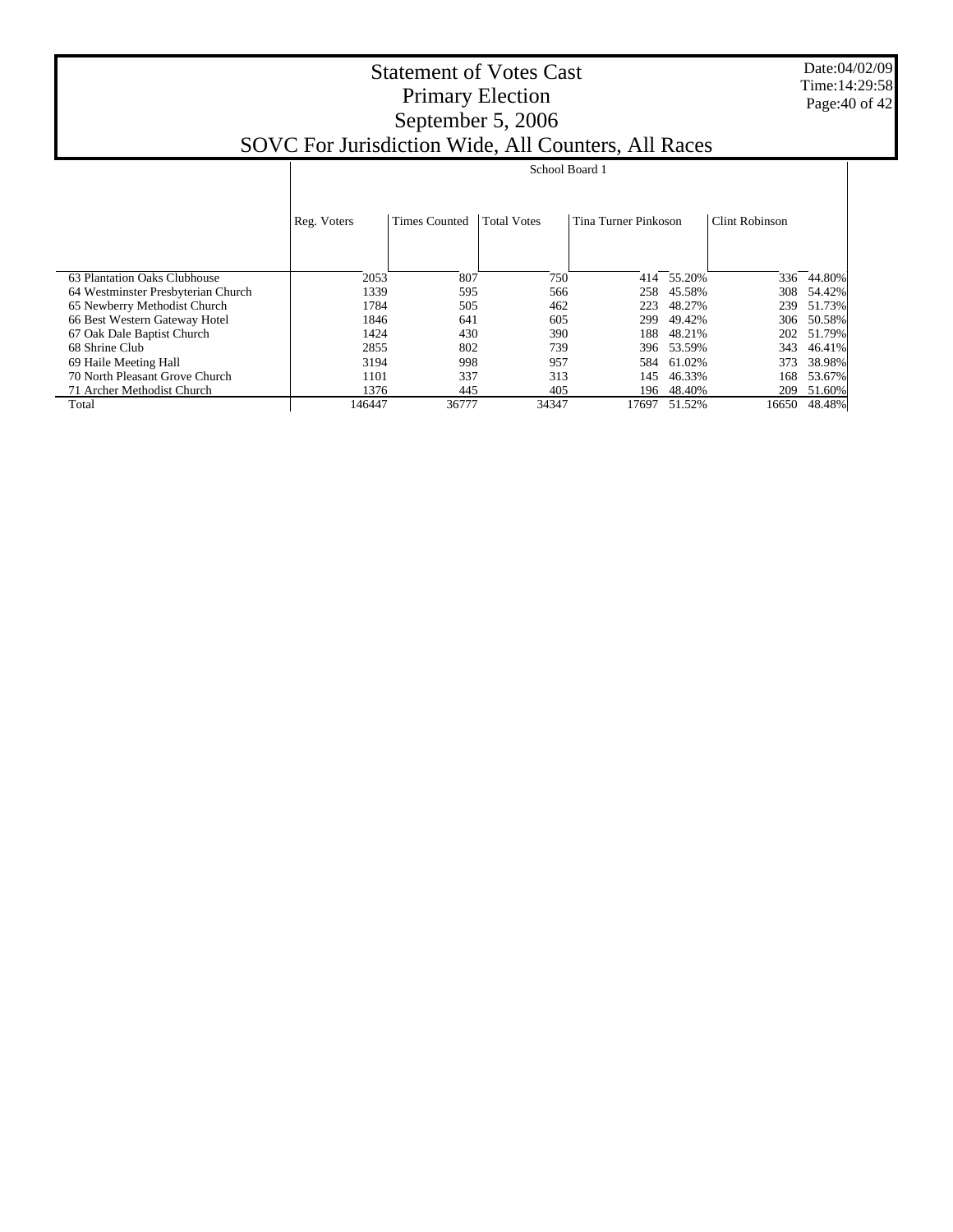Date:04/02/09 Time:14:29:58 Page:40 of 42

|                                    | School Board 1 |                      |                    |                      |        |                       |        |  |
|------------------------------------|----------------|----------------------|--------------------|----------------------|--------|-----------------------|--------|--|
|                                    | Reg. Voters    | <b>Times Counted</b> | <b>Total Votes</b> | Tina Turner Pinkoson |        | <b>Clint Robinson</b> |        |  |
|                                    |                |                      |                    |                      |        |                       |        |  |
| 63 Plantation Oaks Clubhouse       | 2053           | 807                  | 750                | 414                  | 55.20% | 336                   | 44.80% |  |
| 64 Westminster Presbyterian Church | 1339           | 595                  | 566                | 258                  | 45.58% | 308                   | 54.42% |  |
| 65 Newberry Methodist Church       | 1784           | 505                  | 462                | 223                  | 48.27% | 239                   | 51.73% |  |
| 66 Best Western Gateway Hotel      | 1846           | 641                  | 605                | 299                  | 49.42% | 306                   | 50.58% |  |
| 67 Oak Dale Baptist Church         | 1424           | 430                  | 390                | 188                  | 48.21% | 202                   | 51.79% |  |
| 68 Shrine Club                     | 2855           | 802                  | 739                | 396                  | 53.59% | 343                   | 46.41% |  |
| 69 Haile Meeting Hall              | 3194           | 998                  | 957                | 584                  | 61.02% | 373                   | 38.98% |  |
| 70 North Pleasant Grove Church     | 1101           | 337                  | 313                | 145                  | 46.33% | 168                   | 53.67% |  |
| 71 Archer Methodist Church         | 1376           | 445                  | 405                | 196                  | 48.40% | 209                   | 51.60% |  |
| Total                              | 146447         | 36777                | 34347              | 17697                | 51.52% | 16650                 | 48.48% |  |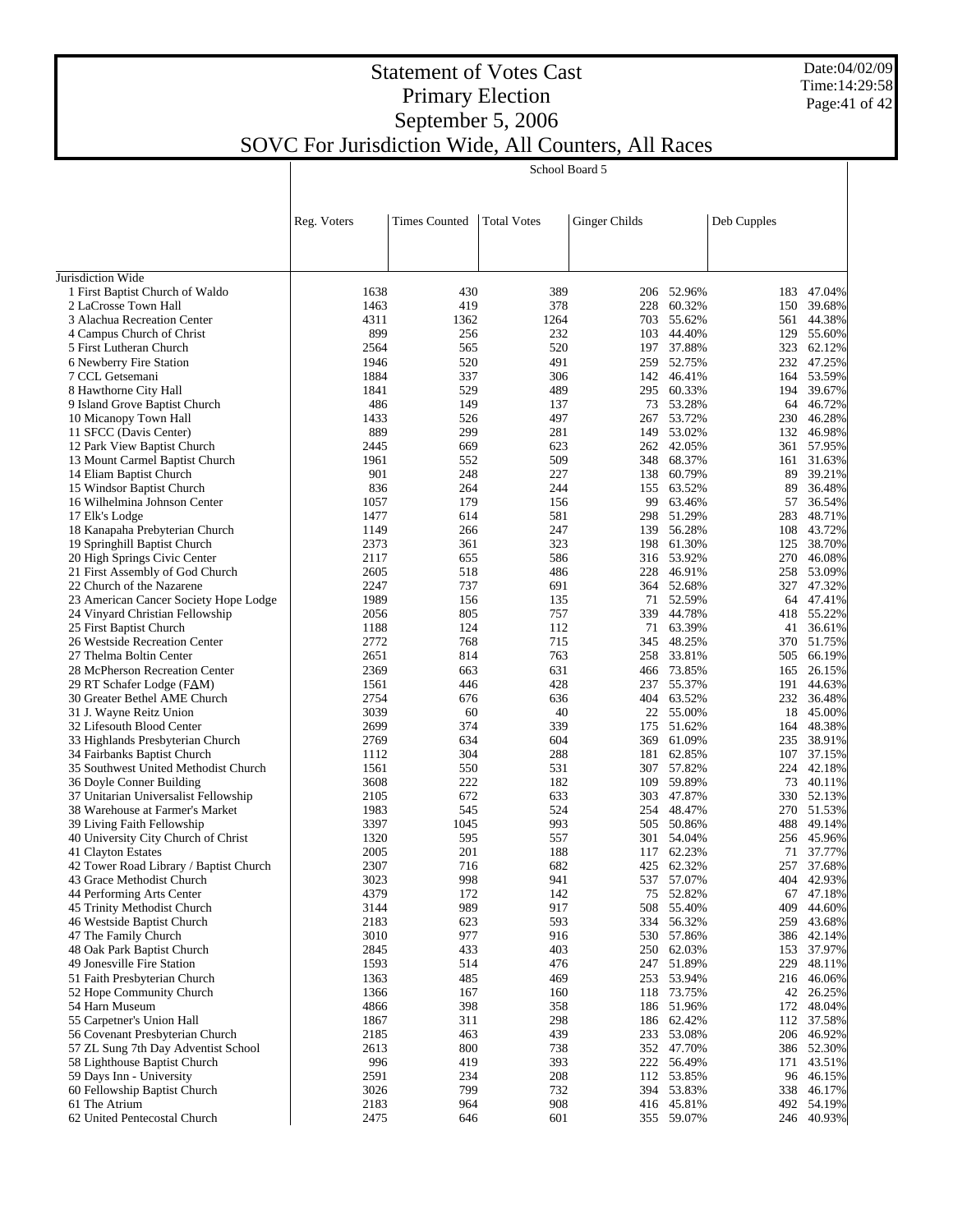Date:04/02/09 Time:14:29:58 Page:41 of 42

## Statement of Votes Cast Primary Election September 5, 2006 SOVC For Jurisdiction Wide, All Counters, All Races

School Board 5

|                                                                        | School Board 5 |                      |                    |               |                          |             |                          |
|------------------------------------------------------------------------|----------------|----------------------|--------------------|---------------|--------------------------|-------------|--------------------------|
|                                                                        |                |                      |                    |               |                          |             |                          |
|                                                                        |                |                      |                    |               |                          |             |                          |
|                                                                        | Reg. Voters    | <b>Times Counted</b> | <b>Total Votes</b> | Ginger Childs |                          | Deb Cupples |                          |
|                                                                        |                |                      |                    |               |                          |             |                          |
|                                                                        |                |                      |                    |               |                          |             |                          |
| Jurisdiction Wide                                                      |                |                      |                    |               |                          |             |                          |
| 1 First Baptist Church of Waldo                                        | 1638           | 430                  | 389                |               | 206 52.96%               | 183         | 47.04%                   |
| 2 LaCrosse Town Hall                                                   | 1463           | 419                  | 378                | 228           | 60.32%                   | 150         | 39.68%                   |
| 3 Alachua Recreation Center                                            | 4311           | 1362                 | 1264               | 703           | 55.62%                   | 561         | 44.38%                   |
| 4 Campus Church of Christ                                              | 899<br>2564    | 256<br>565           | 232<br>520         | 103           | 44.40%<br>197 37.88%     |             | 129 55.60%<br>323 62.12% |
| 5 First Lutheran Church<br>6 Newberry Fire Station                     | 1946           | 520                  | 491                |               | 259 52.75%               |             | 232 47.25%               |
| 7 CCL Getsemani                                                        | 1884           | 337                  | 306                |               | 142 46.41%               |             | 164 53.59%               |
| 8 Hawthorne City Hall                                                  | 1841           | 529                  | 489                | 295           | 60.33%                   |             | 194 39.67%               |
| 9 Island Grove Baptist Church                                          | 486            | 149                  | 137                |               | 73 53.28%                |             | 64 46.72%                |
| 10 Micanopy Town Hall                                                  | 1433           | 526                  | 497                |               | 267 53.72%               |             | 230 46.28%               |
| 11 SFCC (Davis Center)                                                 | 889            | 299                  | 281                |               | 149 53.02%               |             | 132 46.98%               |
| 12 Park View Baptist Church                                            | 2445           | 669                  | 623                |               | 262 42.05%               |             | 361 57.95%               |
| 13 Mount Carmel Baptist Church                                         | 1961           | 552                  | 509                |               | 348 68.37%               |             | 161 31.63%               |
| 14 Eliam Baptist Church                                                | 901            | 248                  | 227                |               | 138 60.79%               | 89          | 39.21%                   |
| 15 Windsor Baptist Church                                              | 836            | 264                  | 244                | 155           | 63.52%                   | 89          | 36.48%<br>36.54%         |
| 16 Wilhelmina Johnson Center                                           | 1057<br>1477   | 179<br>614           | 156<br>581         | 99            | 63.46%<br>298 51.29%     | 57<br>283   | 48.71%                   |
| 17 Elk's Lodge<br>18 Kanapaha Prebyterian Church                       | 1149           | 266                  | 247                |               | 139 56.28%               |             | 108 43.72%               |
| 19 Springhill Baptist Church                                           | 2373           | 361                  | 323                |               | 198 61.30%               |             | 125 38.70%               |
| 20 High Springs Civic Center                                           | 2117           | 655                  | 586                |               | 316 53.92%               |             | 270 46.08%               |
| 21 First Assembly of God Church                                        | 2605           | 518                  | 486                | 228           | 46.91%                   |             | 258 53.09%               |
| 22 Church of the Nazarene                                              | 2247           | 737                  | 691                |               | 364 52.68%               |             | 327 47.32%               |
| 23 American Cancer Society Hope Lodge                                  | 1989           | 156                  | 135                |               | 71 52.59%                |             | 64 47.41%                |
| 24 Vinyard Christian Fellowship                                        | 2056           | 805                  | 757                |               | 339 44.78%               |             | 418 55.22%               |
| 25 First Baptist Church                                                | 1188           | 124                  | 112                | 71            | 63.39%                   |             | 41 36.61%                |
| 26 Westside Recreation Center                                          | 2772           | 768                  | 715                | 345           | 48.25%                   |             | 370 51.75%               |
| 27 Thelma Boltin Center                                                | 2651           | 814                  | 763                |               | 258 33.81%               | 505         | 66.19%                   |
| 28 McPherson Recreation Center                                         | 2369           | 663                  | 631                | 466           | 73.85%                   | 165         | 26.15%                   |
| 29 RT Schafer Lodge (FAM)<br>30 Greater Bethel AME Church              | 1561<br>2754   | 446<br>676           | 428<br>636         | 237           | 55.37%<br>404 63.52%     | 191         | 44.63%<br>232 36.48%     |
| 31 J. Wayne Reitz Union                                                | 3039           | 60                   | 40                 |               | 22 55.00%                |             | 18 45.00%                |
| 32 Lifesouth Blood Center                                              | 2699           | 374                  | 339                | 175           | 51.62%                   |             | 164 48.38%               |
| 33 Highlands Presbyterian Church                                       | 2769           | 634                  | 604                | 369           | 61.09%                   |             | 235 38.91%               |
| 34 Fairbanks Baptist Church                                            | 1112           | 304                  | 288                |               | 181 62.85%               |             | 107 37.15%               |
| 35 Southwest United Methodist Church                                   | 1561           | 550                  | 531                | 307           | 57.82%                   |             | 224 42.18%               |
| 36 Doyle Conner Building                                               | 3608           | 222                  | 182                |               | 109 59.89%               | 73          | 40.11%                   |
| 37 Unitarian Universalist Fellowship                                   | 2105           | 672                  | 633                | 303           | 47.87%                   |             | 330 52.13%               |
| 38 Warehouse at Farmer's Market                                        | 1983           | 545                  | 524                |               | 254 48.47%               |             | 270 51.53%               |
| 39 Living Faith Fellowship                                             | 3397           | 1045                 | 993                | 505           | 50.86%                   | 488         | 49.14%                   |
| 40 University City Church of Christ                                    | 1320           | 595                  | 557                |               | 301 54.04%               |             | 256 45.96%               |
| 41 Clayton Estates                                                     | 2005           | 201                  | 188                |               | 117 62.23%               |             | 71 37.77%                |
| 42 Tower Road Library / Baptist Church<br>43 Grace Methodist Church    | 2307<br>3023   | 716<br>998           | 682<br>941         |               | 425 62.32%<br>537 57.07% |             | 257 37.68%<br>404 42.93% |
| 44 Performing Arts Center                                              | 4379           | 172                  | 142                |               | 75 52.82%                |             | 67 47.18%                |
| 45 Trinity Methodist Church                                            | 3144           | 989                  | 917                |               | 508 55.40%               | 409         | 44.60%                   |
| 46 Westside Baptist Church                                             | 2183           | 623                  | 593                |               | 334 56.32%               |             | 259 43.68%               |
| 47 The Family Church                                                   | 3010           | 977                  | 916                |               | 530 57.86%               |             | 386 42.14%               |
| 48 Oak Park Baptist Church                                             | 2845           | 433                  | 403                |               | 250 62.03%               |             | 153 37.97%               |
| 49 Jonesville Fire Station                                             | 1593           | 514                  | 476                |               | 247 51.89%               |             | 229 48.11%               |
| 51 Faith Presbyterian Church                                           | 1363           | 485                  | 469                |               | 253 53.94%               |             | 216 46.06%               |
| 52 Hope Community Church                                               | 1366           | 167                  | 160                |               | 118 73.75%               |             | 42 26.25%                |
| 54 Harn Museum                                                         | 4866           | 398                  | 358                |               | 186 51.96%               |             | 172 48.04%               |
| 55 Carpetner's Union Hall                                              | 1867           | 311                  | 298                |               | 186 62.42%               |             | 112 37.58%               |
| 56 Covenant Presbyterian Church<br>57 ZL Sung 7th Day Adventist School | 2185           | 463<br>800           | 439<br>738         |               | 233 53.08%<br>352 47.70% |             | 206 46.92%               |
| 58 Lighthouse Baptist Church                                           | 2613<br>996    | 419                  | 393                |               | 222 56.49%               |             | 386 52.30%<br>171 43.51% |
| 59 Days Inn - University                                               | 2591           | 234                  | 208                |               | 112 53.85%               |             | 96 46.15%                |
| 60 Fellowship Baptist Church                                           | 3026           | 799                  | 732                |               | 394 53.83%               |             | 338 46.17%               |
| 61 The Atrium                                                          | 2183           | 964                  | 908                |               | 416 45.81%               |             | 492 54.19%               |
| 62 United Pentecostal Church                                           | 2475           | 646                  | 601                |               | 355 59.07%               |             | 246 40.93%               |